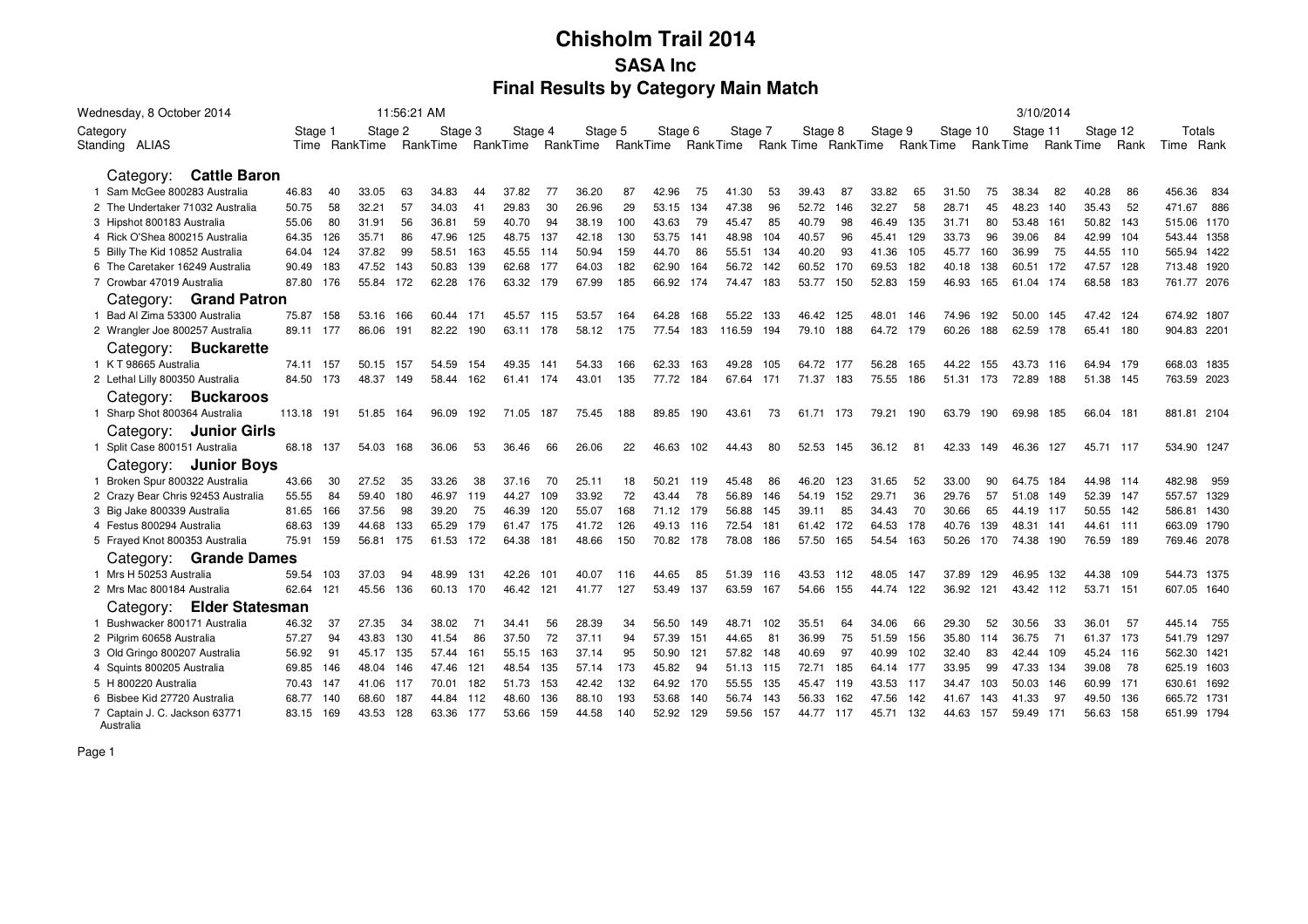| Wednesday, 8 October 2014                  |               |               | 11:56:21 AM  |           |           |     |          |          |           |                 |         |      |                    |     |         |                 |           |                 |           | 3/10/2014 |           |      |               |
|--------------------------------------------|---------------|---------------|--------------|-----------|-----------|-----|----------|----------|-----------|-----------------|---------|------|--------------------|-----|---------|-----------------|-----------|-----------------|-----------|-----------|-----------|------|---------------|
| Category                                   | Stage 1       | Stage 2       |              | Stage 3   | Stage 4   |     | Stage 5  |          | Stage 6   |                 | Stage 7 |      | Stage 8            |     | Stage 9 |                 | Stage 10  |                 | Stage 11  |           | Stage 12  |      | Totals        |
| Standing ALIAS                             |               | Time RankTime | RankTime     |           | RankTime  |     | RankTime | RankTime |           | <b>RankTime</b> |         |      | Rank Time RankTime |     |         | <b>RankTime</b> |           | <b>RankTime</b> |           | Rank Time |           | Rank | Time Rank     |
|                                            |               |               |              |           |           |     |          |          |           |                 |         |      |                    |     |         |                 |           |                 |           |           |           |      |               |
| Category: Cattle Baron                     |               |               |              |           |           |     |          |          |           |                 |         |      |                    |     |         |                 |           |                 |           |           |           |      |               |
| 1 Sam McGee 800283 Australia               | 46.83         | 40<br>33.05   | 34.83<br>63  | 44        | 37.82     | 77  | 36.20    | 87       | 42.96     | 75              | 41.30   | 53   | 39.43              | 87  | 33.82   | 65              | 31.50     | 75              | 38.34     | 82        | 40.28     | 86   | 456.36<br>834 |
| 2 The Undertaker 71032 Australia           | 50.75         | 58<br>32.21   | 57<br>34.03  | 41        | 29.83     | 30  | 26.96    | 29       | 53.15     | 134             | 47.38   | 96   | 52.72              | 146 | 32.27   | 58              | 28.71     | 45              | 48.23     | 140       | 35.43     | 52   | 471.67<br>886 |
| 3 Hipshot 800183 Australia                 | 55.06         | 80<br>31.91   | 36.81<br>56  | 59        | 40.70     | 94  | 38.19    | 100      | 43.63     | 79              | 45.47   | 85   | 40.79              | 98  | 46.49   | 135             | 31.71     | 80              | 53.48     | 161       | 50.82     | 143  | 515.06 1170   |
| 4 Rick O'Shea 800215 Australia             | 64.35<br>126  | 35.71         | 86<br>47.96  | 125       | 48.75     | 137 | 42.18    | 130      | 53.75     | 141             | 48.98   | 104  | 40.57              | 96  | 45.41   | 129             | 33.73     | 96              | 39.06     | 84        | 42.99     | -104 | 543.44 1358   |
| 5 Billy The Kid 10852 Australia            | 64.04<br>124  | 37.82         | 99<br>58.51  | 163       | 45.55     | 114 | 50.94    | 159      | 44.70     | 86              | 55.51   | 134  | 40.20              | 93  | 41.36   | 105             | 45.77     | 160             | 36.99     | 75        | 44.55 110 |      | 565.94 1422   |
| 6 The Caretaker 16249 Australia            | 183<br>90.49  | 47.52         | 50.83<br>143 | 139       | 62.68     | 177 | 64.03    | 182      | 62.90     | 164             | 56.72   | 142  | 60.52              | 170 | 69.53   | 182             | 40.18     | 138             | 60.51     | 172       | 47.57 128 |      | 713.48 1920   |
| 7 Crowbar 47019 Australia                  | 87.80 176     | 55.84         | 172<br>62.28 | 176       | 63.32     | 179 | 67.99    | 185      | 66.92     | 174             | 74.47   | 183  | 53.77              | 150 | 52.83   | 159             | 46.93     | 165             | 61.04     | 174       | 68.58 183 |      | 761.77 2076   |
| Category: Grand Patron                     |               |               |              |           |           |     |          |          |           |                 |         |      |                    |     |         |                 |           |                 |           |           |           |      |               |
| 1 Bad Al Zima 53300 Australia              | 75.87 158     | 53.16         | 166          | 60.44 171 | 45.57 115 |     | 53.57    | 164      | 64.28     | 168             | 55.22   | -133 | 46.42              | 125 | 48.01   | 146             | 74.96     | 192             | 50.00     | 145       | 47.42 124 |      | 674.92 1807   |
| 2 Wrangler Joe 800257 Australia            | 89.11 177     | 86.06         | 191<br>82.22 | 190       | 63.11 178 |     | 58.12    | 175      | 77.54     | 183             | 116.59  | 194  | 79.10 188          |     | 64.72   | 179             | 60.26     | 188             | 62.59     | 178       | 65.41 180 |      | 904.83 2201   |
| Category: Buckarette                       |               |               |              |           |           |     |          |          |           |                 |         |      |                    |     |         |                 |           |                 |           |           |           |      |               |
| 1 K T 98665 Australia                      | 74.11 157     | 50.15         | 54.59<br>157 | 154       | 49.35     | 141 | 54.33    | 166      | 62.33     | 163             | 49.28   | 105  | 64.72              | 177 | 56.28   | 165             | 44.22     | 155             | 43.73 116 |           | 64.94 179 |      | 668.03 1835   |
| 2 Lethal Lilly 800350 Australia            | 84.50 173     | 48.37         | 149<br>58.44 | 162       | 61.41 174 |     | 43.01    | 135      | 77.72     | 184             | 67.64   | 171  | 71.37              | 183 | 75.55   | 186             | 51.31 173 |                 | 72.89     | 188       | 51.38 145 |      | 763.59 2023   |
| Category: Buckaroos                        |               |               |              |           |           |     |          |          |           |                 |         |      |                    |     |         |                 |           |                 |           |           |           |      |               |
| 1 Sharp Shot 800364 Australia              | 113.18<br>191 | 51.85         | 164<br>96.09 | 192       | 71.05     | 187 | 75.45    | 188      | 89.85     | 190             | 43.61   | 73   | 61.71              | 173 | 79.21   | 190             | 63.79     | 190             | 69.98     | 185       | 66.04 181 |      | 881.81 2104   |
| <b>Junior Girls</b><br>Category:           |               |               |              |           |           |     |          |          |           |                 |         |      |                    |     |         |                 |           |                 |           |           |           |      |               |
| 1 Split Case 800151 Australia              | 68.18 137     | 54.03         | 168<br>36.06 | 53        | 36.46     | 66  | 26.06    | 22       | 46.63     | 102             | 44.43   | 80   | 52.53              | 145 | 36.12   | 81              | 42.33     | 149             | 46.36     | 127       | 45.71 117 |      | 534.90 1247   |
| Category: Junior Boys                      |               |               |              |           |           |     |          |          |           |                 |         |      |                    |     |         |                 |           |                 |           |           |           |      |               |
| 1 Broken Spur 800322 Australia             | 43.66         | 30<br>27.52   | 33.26<br>35  | 38        | 37.16     | 70  | 25.11    | 18       | 50.21     | 119             | 45.48   | 86   | 46.20              | 123 | 31.65   | 52              | 33.00     | 90              | 64.75     | 184       | 44.98 114 |      | 482.98<br>959 |
| 2 Crazy Bear Chris 92453 Australia         | 55.55         | 84<br>59.40   | 46.97<br>180 | 119       | 44.27     | 109 | 33.92    | 72       | 43.44     | 78              | 56.89   | 146  | 54.19              | 152 | 29.71   | 36              | 29.76     | 57              | 51.08     | 149       | 52.39 147 |      | 557.57 1329   |
| 3 Big Jake 800339 Australia                | 81.65<br>166  | 37.56         | 98<br>39.20  | 75        | 46.39     | 120 | 55.07    | 168      | 71.12 179 |                 | 56.88   | 145  | 39.11              | 85  | 34.43   | 70              | 30.66     | 65              | 44.19     | - 117     | 50.55 142 |      | 586.81 1430   |
| 4 Festus 800294 Australia                  | 68.63<br>139  | 44.68         | 133<br>65.29 | 179       | 61.47     | 175 | 41.72    | 126      | 49.13 116 |                 | 72.54   | 181  | 61.42              | 172 | 64.53   | 178             | 40.76     | 139             | 48.31     | 141       | 44.61 111 |      | 663.09 1790   |
| 5 Frayed Knot 800353 Australia             | 75.91 159     | 56.81         | 175          | 61.53 172 | 64.38     | 181 | 48.66    | 150      | 70.82 178 |                 | 78.08   | 186  | 57.50              | 165 | 54.54   | 163             | 50.26     | 170             | 74.38     | 190       | 76.59 189 |      | 769.46 2078   |
| Category: Grande Dames                     |               |               |              |           |           |     |          |          |           |                 |         |      |                    |     |         |                 |           |                 |           |           |           |      |               |
| 1 Mrs H 50253 Australia                    | 59.54<br>103  | 37.03         | 48.99<br>94  | 131       | 42.26     | 101 | 40.07    | 116      | 44.65     | 85              | 51.39   | 116  | 43.53              | 112 | 48.05   | 147             | 37.89     | 129             | 46.95     | 132       | 44.38 109 |      | 544.73 1375   |
| 2 Mrs Mac 800184 Australia                 | 121<br>62.64  | 45.56         | 136<br>60.13 | 170       | 46.42     | 121 | 41.77    | 127      | 53.49     | 137             | 63.59   | 167  | 54.66              | 155 | 44.74   | 122             | 36.92     | 121             | 43.42     | 112       | 53.71 151 |      | 607.05 1640   |
| Category: Elder Statesman                  |               |               |              |           |           |     |          |          |           |                 |         |      |                    |     |         |                 |           |                 |           |           |           |      |               |
| Bushwacker 800171 Australia                | 46.32         | 37<br>27.35   | 38.02<br>-34 | 71        | 34.41     | 56  | 28.39    | 34       | 56.50     | 149             | 48.71   | 102  | 35.51              | 64  | 34.06   | 66              | 29.30     | 52              | 30.56     | 33        | 36.01     | -57  | 445.14<br>755 |
| 2 Pilgrim 60658 Australia                  | 57.27         | 94<br>43.83   | 130<br>41.54 | 86        | 37.50     | 72  | 37.11    | 94       | 57.39     | 151             | 44.65   | 81   | 36.99              | 75  | 51.59   | 156             | 35.80     | 114             | 36.75     | 71        | 61.37 173 |      | 541.79 1297   |
| 3 Old Gringo 800207 Australia              | 56.92         | 91<br>45.17   | 135<br>57.44 | 161       | 55.15     | 163 | 37.14    | 95       | 50.90     | 121             | 57.82   | 148  | 40.69              | 97  | 40.99   | 102             | 32.40     | 83              | 42.44     | 109       | 45.24 116 |      | 562.30 1421   |
| 4 Squints 800205 Australia                 | 69.85<br>146  | 48.04         | 47.46<br>146 | 121       | 48.54     | 135 | 57.14    | 173      | 45.82     | 94              | 51.13   | 115  | 72.71              | 185 | 64.14   | 177             | 33.95     | 99              | 47.33     | 134       | 39.08     | 78   | 625.19 1603   |
| 5 H 800220 Australia                       | 70.43 147     | 41.06 117     |              | 70.01 182 | 51.73     | 153 | 42.42    | 132      | 64.92 170 |                 | 55.55   | 135  | 45.47              | 119 | 43.53   | 117             | 34.47     | 103             | 50.03     | 146       | 60.99 171 |      | 630.61 1692   |
| 6 Bisbee Kid 27720 Australia               | 68.77<br>140  | 68.60         | 44.84<br>187 | 112       | 48.60     | 136 | 88.10    | 193      | 53.68     | 140             | 56.74   | 143  | 56.33              | 162 | 47.56   | 142             | 41.67     | 143             | 41.33     | 97        | 49.50 136 |      | 665.72 1731   |
| 7 Captain J. C. Jackson 63771<br>Australia | 169<br>83.15  | 43.53         | 63.36<br>128 | 177       | 53.66     | 159 | 44.58    | 140      | 52.92     | 129             | 59.56   | 157  | 44.77              | 117 | 45.71   | 132             | 44.63     | 157             | 59.49     | 171       | 56.63 158 |      | 651.99 1794   |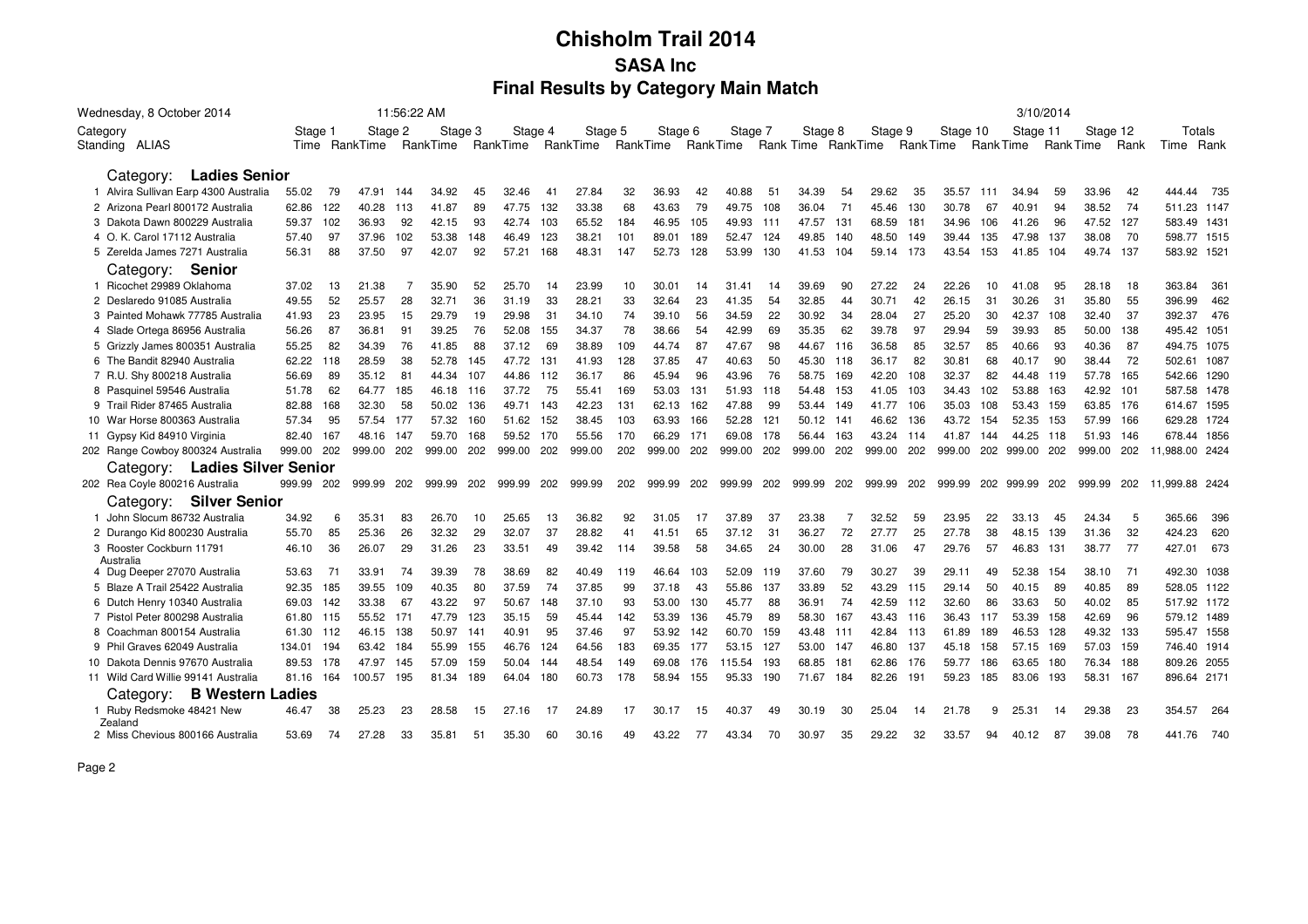| Wednesday, 8 October 2014             |               |               | 11:56:22 AM |          |     |          |     |                            |     |         |     |         |     |         |     |                             |     |          |     |           | 3/10/2014 |            |      |                |
|---------------------------------------|---------------|---------------|-------------|----------|-----|----------|-----|----------------------------|-----|---------|-----|---------|-----|---------|-----|-----------------------------|-----|----------|-----|-----------|-----------|------------|------|----------------|
| Category                              | Stage 1       |               | Stage 2     | Stage 3  |     | Stage 4  |     | Stage 5                    |     | Stage 6 |     | Stage 7 |     | Stage 8 |     | Stage 9                     |     | Stage 10 |     | Stage 11  |           | Stage 12   |      | Totals         |
| Standing ALIAS                        |               | Time RankTime |             | RankTime |     | RankTime |     | RankTime RankTime RankTime |     |         |     |         |     |         |     | Rank Time RankTime RankTime |     |          |     | Rank Time |           | Rank Time  | Rank | Time Rank      |
|                                       |               |               |             |          |     |          |     |                            |     |         |     |         |     |         |     |                             |     |          |     |           |           |            |      |                |
| <b>Ladies Senior</b><br>Category:     |               |               |             |          |     |          |     |                            |     |         |     |         |     |         |     |                             |     |          |     |           |           |            |      |                |
| 1 Alvira Sullivan Earp 4300 Australia | 55.02<br>79   | 47.91         | 144         | 34.92    | 45  | 32.46    | 41  | 27.84                      | 32  | 36.93   | 42  | 40.88   | 51  | 34.39   | 54  | 29.62                       | 35  | 35.57    | 111 | 34.94     | 59        | 33.96      | 42   | 444.44<br>735  |
| 2 Arizona Pearl 800172 Australia      | 122<br>62.86  | 40.28         | 113         | 41.87    | 89  | 47.75    | 132 | 33.38                      | 68  | 43.63   | 79  | 49.75   | 108 | 36.04   | 71  | 45.46                       | 130 | 30.78    | 67  | 40.91     | 94        | 38.52      | 74   | 511.23 1147    |
| 3 Dakota Dawn 800229 Australia        | 59.37<br>102  | 36.93         | 92          | 42.15    | 93  | 42.74    | 103 | 65.52                      | 184 | 46.95   | 105 | 49.93   | 111 | 47.57   | 131 | 68.59                       | 181 | 34.96    | 106 | 41.26     | 96        | 47.52      | 127  | 583.49 1431    |
| 4 O. K. Carol 17112 Australia         | 57.40<br>97   | 37.96         | 102         | 53.38    | 148 | 46.49    | 123 | 38.21                      | 101 | 89.01   | 189 | 52.47   | 124 | 49.85   | 140 | 48.50                       | 149 | 39.44    | 135 | 47.98     | 137       | 38.08      | 70   | 598.77 1515    |
| 5 Zerelda James 7271 Australia        | 88<br>56.31   | 37.50         | 97          | 42.07    | 92  | 57.21    | 168 | 48.31                      | 147 | 52.73   | 128 | 53.99   | 130 | 41.53   | 104 | 59.14                       | 173 | 43.54    | 153 | 41.85     | 104       | 49.74 137  |      | 583.92 1521    |
| Senior<br>Category:                   |               |               |             |          |     |          |     |                            |     |         |     |         |     |         |     |                             |     |          |     |           |           |            |      |                |
| 1 Ricochet 29989 Oklahoma             | 37.02<br>13   | 21.38         |             | 35.90    | 52  | 25.70    | 14  | 23.99                      | 10  | 30.01   | 14  | 31.41   | 14  | 39.69   | 90  | 27.22                       | 24  | 22.26    | 10  | 41.08     | 95        | 28.18      | 18   | 363.84<br>361  |
| 2 Deslaredo 91085 Australia           | 52<br>49.55   | 25.57         | 28          | 32.71    | 36  | 31.19    | 33  | 28.21                      | 33  | 32.64   | 23  | 41.35   | 54  | 32.85   | 44  | 30.71                       | 42  | 26.15    | 31  | 30.26     | 31        | 35.80      | 55   | 396.99<br>462  |
| 3 Painted Mohawk 77785 Australia      | 23<br>41.93   | 23.95         | 15          | 29.79    | 19  | 29.98    | 31  | 34.10                      | 74  | 39.10   | 56  | 34.59   | 22  | 30.92   | 34  | 28.04                       | 27  | 25.20    | 30  | 42.37     | 108       | 32.40      | 37   | 392.37<br>476  |
| 4 Slade Ortega 86956 Australia        | 87<br>56.26   | 36.81         | 91          | 39.25    | 76  | 52.08    | 155 | 34.37                      | 78  | 38.66   | 54  | 42.99   | 69  | 35.35   | 62  | 39.78                       | 97  | 29.94    | 59  | 39.93     | 85        | 50.00      | 138  | 495.42 1051    |
| 5 Grizzly James 800351 Australia      | 55.25<br>82   | 34.39         | 76          | 41.85    | 88  | 37.12    | 69  | 38.89                      | 109 | 44.74   | 87  | 47.67   | 98  | 44.67   | 116 | 36.58                       | 85  | 32.57    | 85  | 40.66     | 93        | 40.36      | 87   | 494.75 1075    |
| 6 The Bandit 82940 Australia          | 118<br>62.22  | 28.59         | 38          | 52.78    | 145 | 47.72    | 131 | 41.93                      | 128 | 37.85   | 47  | 40.63   | 50  | 45.30   | 118 | 36.17                       | 82  | 30.81    | 68  | 40.17     | 90        | 38.44      | 72   | 502.61 1087    |
| 7 R.U. Shy 800218 Australia           | 56.69<br>89   | 35.12         | 81          | 44.34    | 107 | 44.86    | 112 | 36.17                      | 86  | 45.94   | 96  | 43.96   | 76  | 58.75   | 169 | 42.20                       | 108 | 32.37    | 82  | 44.48     | 119       | 57.78      | 165  | 542.66 1290    |
| 8 Pasquinel 59546 Australia           | 51.78<br>62   | 64.77         | 185         | 46.18    | 116 | 37.72    | 75  | 55.41                      | 169 | 53.03   | 131 | 51.93   | 118 | 54.48   | 153 | 41.05                       | 103 | 34.43    | 102 | 53.88     | 163       | 42.92      | 101  | 587.58 1478    |
| 9 Trail Rider 87465 Australia         | 82.88<br>168  | 32.30         | 58          | 50.02    | 136 | 49.71    | 143 | 42.23                      | 131 | 62.13   | 162 | 47.88   | 99  | 53.44   | 149 | 41.77                       | 106 | 35.03    | 108 | 53.43     | 159       | 63.85 176  |      | 614.67 1595    |
| 10 War Horse 800363 Australia         | 95<br>57.34   | 57.54         | 177         | 57.32    | 160 | 51.62    | 152 | 38.45                      | 103 | 63.93   | 166 | 52.28   | 121 | 50.12   | 141 | 46.62                       | 136 | 43.72    | 154 | 52.35     | 153       | 57.99      | 166  | 629.28 1724    |
| Gypsy Kid 84910 Virginia<br>11        | 82.40<br>167  | 48.16         | 147         | 59.70    | 168 | 59.52    | 170 | 55.56                      | 170 | 66.29   | 171 | 69.08   | 178 | 56.44   | 163 | 43.24                       | 114 | 41.87    | 144 | 44.25     | 118       | 51.93 146  |      | 678.44 1856    |
| 202 Range Cowboy 800324 Australia     | 999.00 202    | 999.00        | 202         | 999.00   | 202 | 999.00   | 202 | 999.00                     | 202 | 999.00  | 202 | 999.00  | 202 | 999.00  | 202 | 999.00                      | 202 | 999.00   | 202 | 999.00    | 202       | 999.00 202 |      | 11.988.00 2424 |
| Category: Ladies Silver Senior        |               |               |             |          |     |          |     |                            |     |         |     |         |     |         |     |                             |     |          |     |           |           |            |      |                |
| 202 Rea Coyle 800216 Australia        | 999.99<br>202 | 999.99        | 202         | 999.99   | 202 | 999.99   | 202 | 999.99                     | 202 | 999.99  | 202 | 999.99  | 202 | 999.99  | 202 | 999.99                      | 202 | 999.99   | 202 | 999.99    | 202       | 999.99     | 202  | 11.999.88 2424 |
| Category: Silver Senior               |               |               |             |          |     |          |     |                            |     |         |     |         |     |         |     |                             |     |          |     |           |           |            |      |                |
| 1 John Slocum 86732 Australia         | 34.92<br>6    | 35.31         | 83          | 26.70    | 10  | 25.65    | 13  | 36.82                      | 92  | 31.05   | 17  | 37.89   | 37  | 23.38   |     | 32.52                       | 59  | 23.95    | 22  | 33.13     | 45        | 24.34      | 5    | 365.66<br>396  |
| 2 Durango Kid 800230 Australia        | 85<br>55.70   | 25.36         | 26          | 32.32    | 29  | 32.07    | 37  | 28.82                      | 41  | 41.51   | 65  | 37.12   | 31  | 36.27   | 72  | 27.77                       | 25  | 27.78    | 38  | 48.15     | 139       | 31.36      | 32   | 424.23<br>620  |
| 3 Rooster Cockburn 11791              | 36<br>46.10   | 26.07         | 29          | 31.26    | 23  | 33.51    | 49  | 39.42                      | 114 | 39.58   | 58  | 34.65   | 24  | 30.00   | 28  | 31.06                       | 47  | 29.76    | 57  | 46.83     | 131       | 38.77      | 77   | 673<br>427.01  |
| Australia                             |               |               |             |          |     |          |     |                            |     |         |     |         |     |         |     |                             |     |          |     |           |           |            |      |                |
| 4 Dug Deeper 27070 Australia          | 53.63<br>71   | 33.91         | 74          | 39.39    | 78  | 38.69    | 82  | 40.49                      | 119 | 46.64   | 103 | 52.09   | 119 | 37.60   | 79  | 30.27                       | 39  | 29.11    | 49  | 52.38     | 154       | 38.10      | 71   | 492.30 1038    |
| 5 Blaze A Trail 25422 Australia       | 92.35<br>185  | 39.55         | 109         | 40.35    | 80  | 37.59    | 74  | 37.85                      | 99  | 37.18   | 43  | 55.86   | 137 | 33.89   | 52  | 43.29                       | 115 | 29.14    | 50  | 40.15     | 89        | 40.85      | 89   | 528.05 1122    |
| 6 Dutch Henry 10340 Australia         | 69.03<br>142  | 33.38         | -67         | 43.22    | 97  | 50.67    | 148 | 37.10                      | 93  | 53.00   | 130 | 45.77   | 88  | 36.91   | 74  | 42.59                       | 112 | 32.60    | 86  | 33.63     | -50       | 40.02      | 85   | 517.92 1172    |
| 7 Pistol Peter 800298 Australia       | 61.80 115     | 55.52         | 171         | 47.79    | 123 | 35.15    | 59  | 45.44                      | 142 | 53.39   | 136 | 45.79   | 89  | 58.30   | 167 | 43.43                       | 116 | 36.43    | 117 | 53.39     | 158       | 42.69      | 96   | 579.12 1489    |
| 8 Coachman 800154 Australia           | 61.30 112     | 46.15         | 138         | 50.97    | 141 | 40.91    | 95  | 37.46                      | 97  | 53.92   | 142 | 60.70   | 159 | 43.48   | 111 | 42.84                       | 113 | 61.89    | 189 | 46.53     | 128       | 49.32      | 133  | 595.47 1558    |
| 9 Phil Graves 62049 Australia         | 134.01<br>194 | 63.42         | 184         | 55.99    | 155 | 46.76    | 124 | 64.56                      | 183 | 69.35   | 177 | 53.15   | 127 | 53.00   | 147 | 46.80                       | 137 | 45.18    | 158 | 57.15     | 169       | 57.03      | 159  | 746.40 1914    |
| 10 Dakota Dennis 97670 Australia      | 89.53 178     | 47.97         | 145         | 57.09    | 159 | 50.04    | 144 | 48.54                      | 149 | 69.08   | 176 | 115.54  | 193 | 68.85   | 181 | 62.86                       | 176 | 59.77    | 186 | 63.65     | 180       | 76.34      | 188  | 809.26 2055    |
| 11 Wild Card Willie 99141 Australia   | 164<br>81.16  | 100.57        | 195         | 81.34    | 189 | 64.04    | 180 | 60.73                      | 178 | 58.94   | 155 | 95.33   | 190 | 71.67   | 184 | 82.26                       | 191 | 59.23    | 185 | 83.06     | 193       | 58.31      | 167  | 896.64 2171    |
| <b>B Western Ladies</b><br>Category:  |               |               |             |          |     |          |     |                            |     |         |     |         |     |         |     |                             |     |          |     |           |           |            |      |                |
| 1 Ruby Redsmoke 48421 New<br>Zealand  | 46.47<br>38   | 25.23         | 23          | 28.58    | 15  | 27.16    | 17  | 24.89                      | 17  | 30.17   | 15  | 40.37   | 49  | 30.19   | 30  | 25.04                       | 14  | 21.78    | 9   | 25.31     | 14        | 29.38      | 23   | 354.57<br>264  |
| 2 Miss Chevious 800166 Australia      | 53.69<br>74   | 27.28         | 33          | 35.81    | 51  | 35.30    | 60  | 30.16                      | 49  | 43.22   | 77  | 43.34   | 70  | 30.97   | 35  | 29.22                       | 32  | 33.57    | 94  | 40.12     | 87        | 39.08      | 78   | 441.76<br>740  |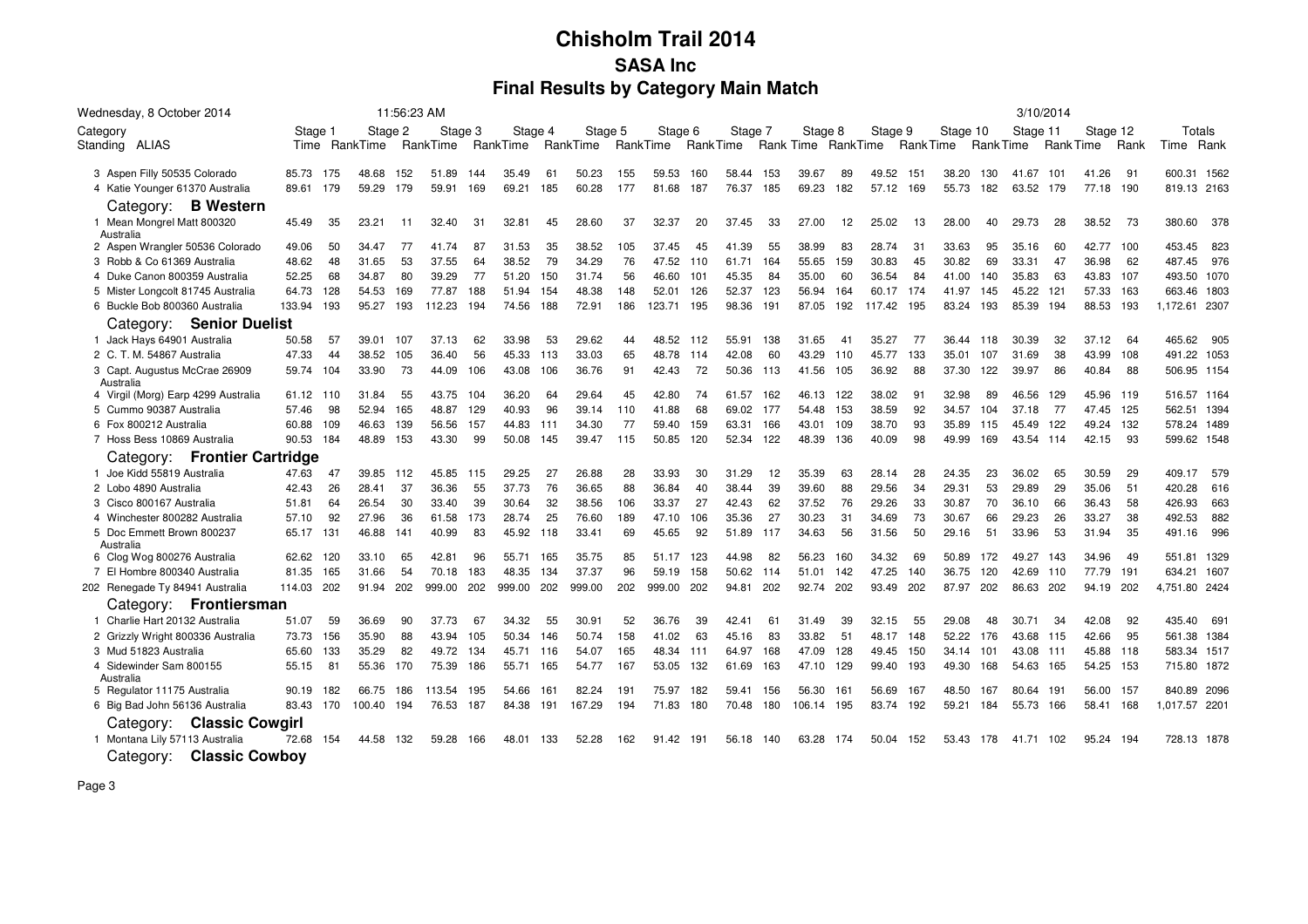| Wednesday, 8 October 2014                  |           |     |               | 11:56:23 AM |          |     |         |     |                                     |     |         |     |         |     |         |     |                             |     |          |           |          | 3/10/2014 |           |      |               |
|--------------------------------------------|-----------|-----|---------------|-------------|----------|-----|---------|-----|-------------------------------------|-----|---------|-----|---------|-----|---------|-----|-----------------------------|-----|----------|-----------|----------|-----------|-----------|------|---------------|
| Category                                   | Stage 1   |     |               | Stage 2     | Stage 3  |     | Stage 4 |     | Stage 5                             |     | Stage 6 |     | Stage 7 |     | Stage 8 |     | Stage 9                     |     | Stage 10 |           | Stage 11 |           | Stage 12  |      | Totals        |
| Standing ALIAS                             |           |     | Time RankTime |             | RankTime |     |         |     | RankTime RankTime RankTime RankTime |     |         |     |         |     |         |     | Rank Time RankTime RankTime |     |          | Rank Time |          | Rank Time |           | Rank | Rank<br>Time  |
|                                            |           |     |               |             |          |     |         |     |                                     |     |         |     |         |     |         |     |                             |     |          |           |          |           |           |      |               |
| 3 Aspen Filly 50535 Colorado               | 85.73     | 175 | 48.68         | 152         | 51.89    | 144 | 35.49   | 61  | 50.23                               | 155 | 59.53   | 160 | 58.44   | 153 | 39.67   | 89  | 49.52                       | 151 | 38.20    | 130       | 41.67    | 101       | 41.26     | 91   | 600.31 1562   |
| 4 Katie Younger 61370 Australia            | 89.61     | 179 | 59.29         | 179         | 59.91    | 169 | 69.21   | 185 | 60.28                               | 177 | 81.68   | 187 | 76.37   | 185 | 69.23   | 182 | 57.12                       | 169 | 55.73    | 182       | 63.52    | 179       | 77.18 190 |      | 819.13 2163   |
| Category: <b>B Western</b>                 |           |     |               |             |          |     |         |     |                                     |     |         |     |         |     |         |     |                             |     |          |           |          |           |           |      |               |
| 1 Mean Mongrel Matt 800320<br>Australia    | 45.49     | 35  | 23.21         | 11          | 32.40    | 31  | 32.81   | 45  | 28.60                               | 37  | 32.37   | 20  | 37.45   | 33  | 27.00   | 12  | 25.02                       | 13  | 28.00    | 40        | 29.73    | 28        | 38.52     | -73  | 380.60 378    |
| 2 Aspen Wrangler 50536 Colorado            | 49.06     | 50  | 34.47         | 77          | 41.74    | 87  | 31.53   | 35  | 38.52                               | 105 | 37.45   | 45  | 41.39   | 55  | 38.99   | 83  | 28.74                       | 31  | 33.63    | 95        | 35.16    | 60        | 42.77     | 100  | 453.45<br>823 |
| 3 Robb & Co 61369 Australia                | 48.62     | 48  | 31.65         | 53          | 37.55    | 64  | 38.52   | 79  | 34.29                               | 76  | 47.52   | 110 | 61.71   | 164 | 55.65   | 159 | 30.83                       | 45  | 30.82    | 69        | 33.31    | 47        | 36.98     | 62   | 976<br>487.45 |
| 4 Duke Canon 800359 Australia              | 52.25     | 68  | 34.87         | 80          | 39.29    | 77  | 51.20   | 150 | 31.74                               | 56  | 46.60   | 101 | 45.35   | 84  | 35.00   | 60  | 36.54                       | 84  | 41.00    | 140       | 35.83    | 63        | 43.83     | 107  | 493.50 1070   |
| 5 Mister Longcolt 81745 Australia          | 64.73     | 128 | 54.53         | 169         | 77.87    | 188 | 51.94   | 154 | 48.38                               | 148 | 52.01   | 126 | 52.37   | 123 | 56.94   | 164 | 60.17                       | 174 | 41.97    | 145       | 45.22    | 121       | 57.33     | 163  | 663.46 1803   |
| 6 Buckle Bob 800360 Australia              | 133.94    | 193 | 95.27         | 193         | 112.23   | 194 | 74.56   | 188 | 72.91                               | 186 | 123.71  | 195 | 98.36   | 191 | 87.05   | 192 | 117.42                      | 195 | 83.24    | 193       | 85.39    | 194       | 88.53     | 193  | 1,172.61 2307 |
| Category: Senior Duelist                   |           |     |               |             |          |     |         |     |                                     |     |         |     |         |     |         |     |                             |     |          |           |          |           |           |      |               |
| 1 Jack Hays 64901 Australia                | 50.58     | 57  | 39.01         | 107         | 37.13    | 62  | 33.98   | 53  | 29.62                               | 44  | 48.52   | 112 | 55.91   | 138 | 31.65   | -41 | 35.27                       | 77  | 36.44    | 118       | 30.39    | 32        | 37.12     | 64   | 465.62<br>905 |
| 2 C. T. M. 54867 Australia                 | 47.33     | 44  | 38.52         | 105         | 36.40    | 56  | 45.33   | 113 | 33.03                               | 65  | 48.78   | 114 | 42.08   | 60  | 43.29   | 110 | 45.77                       | 133 | 35.01    | 107       | 31.69    | 38        | 43.99     | 108  | 491.22 1053   |
| 3 Capt. Augustus McCrae 26909<br>Australia | 59.74     | 104 | 33.90         | 73          | 44.09    | 106 | 43.08   | 106 | 36.76                               | 91  | 42.43   | 72  | 50.36   | 113 | 41.56   | 105 | 36.92                       | 88  | 37.30    | 122       | 39.97    | 86        | 40.84     | 88   | 506.95 1154   |
| 4 Virgil (Morg) Earp 4299 Australia        | 61.12 110 |     | 31.84         | 55          | 43.75    | 104 | 36.20   | 64  | 29.64                               | 45  | 42.80   | 74  | 61.57   | 162 | 46.13   | 122 | 38.02                       | 91  | 32.98    | 89        | 46.56    | 129       | 45.96     | 119  | 516.57 1164   |
| 5 Cummo 90387 Australia                    | 57.46     | 98  | 52.94         | 165         | 48.87    | 129 | 40.93   | 96  | 39.14                               | 110 | 41.88   | 68  | 69.02   | 177 | 54.48   | 153 | 38.59                       | 92  | 34.57    | 104       | 37.18    | 77        | 47.45     | 125  | 562.51 1394   |
| 6 Fox 800212 Australia                     | 60.88     | 109 | 46.63         | 139         | 56.56    | 157 | 44.83   | 111 | 34.30                               | 77  | 59.40   | 159 | 63.31   | 166 | 43.01   | 109 | 38.70                       | 93  | 35.89    | 115       | 45.49    | 122       | 49.24     | 132  | 578.24 1489   |
| 7 Hoss Bess 10869 Australia                | 90.53     | 184 | 48.89         | 153         | 43.30    | 99  | 50.08   | 145 | 39.47                               | 115 | 50.85   | 120 | 52.34   | 122 | 48.39   | 136 | 40.09                       | 98  | 49.99    | 169       | 43.54    | 114       | 42.15     | 93   | 599.62 1548   |
| Category: Frontier Cartridge               |           |     |               |             |          |     |         |     |                                     |     |         |     |         |     |         |     |                             |     |          |           |          |           |           |      |               |
| 1 Joe Kidd 55819 Australia                 | 47.63     | 47  | 39.85         | 112         | 45.85    | 115 | 29.25   | 27  | 26.88                               | 28  | 33.93   | 30  | 31.29   | 12  | 35.39   | 63  | 28.14                       | 28  | 24.35    | 23        | 36.02    | 65        | 30.59     | 29   | 409.17<br>579 |
| 2 Lobo 4890 Australia                      | 42.43     | 26  | 28.41         | 37          | 36.36    | 55  | 37.73   | 76  | 36.65                               | 88  | 36.84   | 40  | 38.44   | 39  | 39.60   | 88  | 29.56                       | 34  | 29.31    | 53        | 29.89    | 29        | 35.06     | 51   | 420.28<br>616 |
| 3 Cisco 800167 Australia                   | 51.81     | 64  | 26.54         | 30          | 33.40    | 39  | 30.64   | 32  | 38.56                               | 106 | 33.37   | 27  | 42.43   | 62  | 37.52   | 76  | 29.26                       | 33  | 30.87    | 70        | 36.10    | 66        | 36.43     | 58   | 426.93<br>663 |
| 4 Winchester 800282 Australia              | 57.10     | 92  | 27.96         | 36          | 61.58    | 173 | 28.74   | 25  | 76.60                               | 189 | 47.10   | 106 | 35.36   | 27  | 30.23   | 31  | 34.69                       | 73  | 30.67    | 66        | 29.23    | 26        | 33.27     | 38   | 882<br>492.53 |
| 5 Doc Emmett Brown 800237<br>Australia     | 65.17     | 131 | 46.88         | 141         | 40.99    | 83  | 45.92   | 118 | 33.41                               | 69  | 45.65   | 92  | 51.89   | 117 | 34.63   | 56  | 31.56                       | 50  | 29.16    | 51        | 33.96    | 53        | 31.94     | 35   | 996<br>491.16 |
| 6 Clog Wog 800276 Australia                | 62.62     | 120 | 33.10         | 65          | 42.81    | 96  | 55.71   | 165 | 35.75                               | 85  | 51.17   | 123 | 44.98   | 82  | 56.23   | 160 | 34.32                       | 69  | 50.89    | 172       | 49.27    | 143       | 34.96     | 49   | 551.81 1329   |
| 7 El Hombre 800340 Australia               | 81.35     | 165 | 31.66         | 54          | 70.18    | 183 | 48.35   | 134 | 37.37                               | 96  | 59.19   | 158 | 50.62   | 114 | 51.01   | 142 | 47.25                       | 140 | 36.75    | 120       | 42.69    | 110       | 77.79     | 191  | 634.21 1607   |
| 202 Renegade Ty 84941 Australia            | 114.03    | 202 | 91.94         | 202         | 999.00   | 202 | 999.00  | 202 | 999.00                              | 202 | 999.00  | 202 | 94.81   | 202 | 92.74   | 202 | 93.49                       | 202 | 87.97    | 202       | 86.63    | 202       | 94.19     | 202  | 4,751.80 2424 |
| Category: Frontiersman                     |           |     |               |             |          |     |         |     |                                     |     |         |     |         |     |         |     |                             |     |          |           |          |           |           |      |               |
| 1 Charlie Hart 20132 Australia             | 51.07     | 59  | 36.69         | 90          | 37.73    | 67  | 34.32   | 55  | 30.91                               | 52  | 36.76   | 39  | 42.41   | 61  | 31.49   | 39  | 32.15                       | 55  | 29.08    | 48        | 30.71    | 34        | 42.08     | 92   | 435.40<br>691 |
| 2 Grizzly Wright 800336 Australia          | 73.73     | 156 | 35.90         | 88          | 43.94    | 105 | 50.34   | 146 | 50.74                               | 158 | 41.02   | 63  | 45.16   | 83  | 33.82   | 51  | 48.17                       | 148 | 52.22    | 176       | 43.68    | 115       | 42.66     | 95   | 561.38 1384   |
| 3 Mud 51823 Australia                      | 65.60     | 133 | 35.29         | 82          | 49.72    | 134 | 45.71   | 116 | 54.07                               | 165 | 48.34   | 111 | 64.97   | 168 | 47.09   | 128 | 49.45                       | 150 | 34.14    | 101       | 43.08    | 111       | 45.88     | 118  | 583.34 1517   |
| 4 Sidewinder Sam 800155<br>Australia       | 55.15     | 81  | 55.36         | 170         | 75.39    | 186 | 55.71   | 165 | 54.77                               | 167 | 53.05   | 132 | 61.69   | 163 | 47.10   | 129 | 99.40                       | 193 | 49.30    | 168       | 54.63    | 165       | 54.25     | 153  | 715.80 1872   |
| 5 Regulator 11175 Australia                | 90.19     | 182 | 66.75         | 186         | 113.54   | 195 | 54.66   | 161 | 82.24                               | 191 | 75.97   | 182 | 59.41   | 156 | 56.30   | 161 | 56.69                       | 167 | 48.50    | 167       | 80.64    | 191       | 56.00 157 |      | 840.89 2096   |
| 6 Big Bad John 56136 Australia             | 83.43 170 |     | 100.40        | 194         | 76.53    | 187 | 84.38   | 191 | 167.29                              | 194 | 71.83   | 180 | 70.48   | 180 | 106.14  | 195 | 83.74                       | 192 | 59.21    | 184       | 55.73    | 166       | 58.41     | 168  | 1,017.57 2201 |
| Category: Classic Cowgirl                  |           |     |               |             |          |     |         |     |                                     |     |         |     |         |     |         |     |                             |     |          |           |          |           |           |      |               |
| 1 Montana Lily 57113 Australia             | 72.68     | 154 | 44.58         | 132         | 59.28    | 166 | 48.01   | 133 | 52.28                               | 162 | 91.42   | 191 | 56.18   | 140 | 63.28   | 174 | 50.04                       | 152 | 53.43    | 178       | 41.71    | 102       | 95.24     | 194  | 728.13 1878   |
| Category: Classic Cowboy                   |           |     |               |             |          |     |         |     |                                     |     |         |     |         |     |         |     |                             |     |          |           |          |           |           |      |               |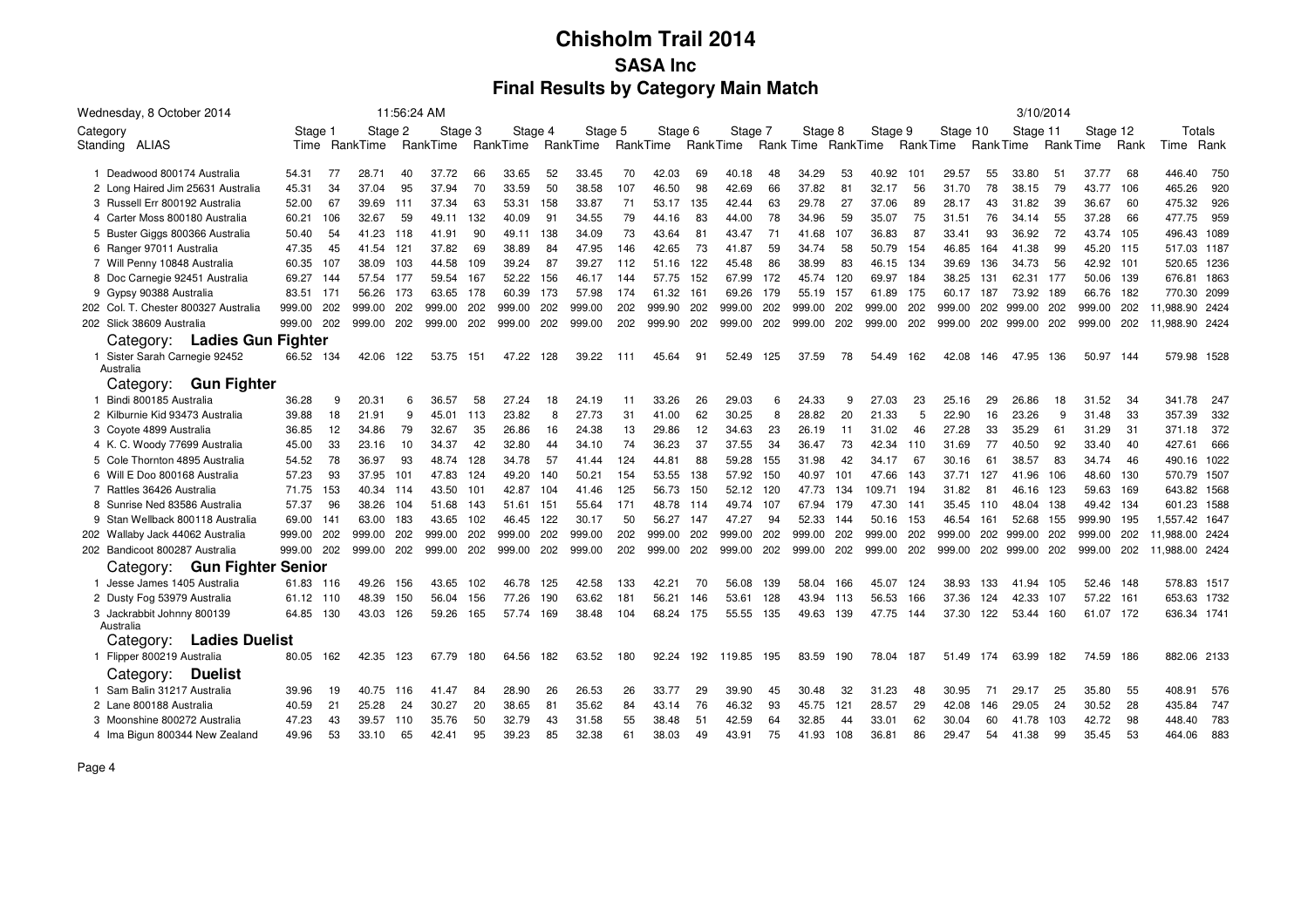|          | Wednesday, 8 October 2014                  |           |       |               |      | 11:56:24 AM |     |          |     |          |     |          |     |          |     |           |     |          |                 |          |     | 3/10/2014 |     |           |      |                |      |
|----------|--------------------------------------------|-----------|-------|---------------|------|-------------|-----|----------|-----|----------|-----|----------|-----|----------|-----|-----------|-----|----------|-----------------|----------|-----|-----------|-----|-----------|------|----------------|------|
| Category |                                            | Stage 1   |       | Stage 2       |      | Stage 3     |     | Stage 4  |     | Stage 5  |     | Stage 6  |     | Stage 7  |     | Stage 8   |     | Stage 9  |                 | Stage 10 |     | Stage 11  |     | Stage 12  |      | Totals         |      |
|          | Standing ALIAS                             |           |       | Time RankTime |      | RankTime    |     | RankTime |     | RankTime |     | RankTime |     | RankTime |     | Rank Time |     | RankTime | <b>RankTime</b> |          |     | Rank Time |     | Rank Time | Rank | Time           | Rank |
|          | 1 Deadwood 800174 Australia                | 54.31     | 77    | 28.71         | 40   | 37.72       | 66  | 33.65    | 52  | 33.45    | 70  | 42.03    | 69  | 40.18    | 48  | 34.29     | 53  | 40.92    | 101             | 29.57    | 55  | 33.80     | 51  | 37.77     | 68   | 446.40         | 750  |
|          | 2 Long Haired Jim 25631 Australia          | 45.31     | 34    | 37.04         | 95   | 37.94       | 70  | 33.59    | 50  | 38.58    | 107 | 46.50    | 98  | 42.69    | 66  | 37.82     | 81  | 32.17    | 56              | 31.70    | 78  | 38.15     | 79  | 43.77     | 106  | 465.26         | 920  |
|          | 3 Russell Err 800192 Australia             | 52.00     | 67    | 39.69         | 111  | 37.34       | 63  | 53.31    | 158 | 33.87    | 71  | 53.17    | 135 | 42.44    | 63  | 29.78     | 27  | 37.06    | 89              | 28.17    | 43  | 31.82     | 39  | 36.67     | 60   | 475.32         | 926  |
|          | 4 Carter Moss 800180 Australia             | 60.21     | 106   | 32.67         | 59   | 49.11       | 132 | 40.09    | 91  | 34.55    | 79  | 44.16    | 83  | 44.00    | 78  | 34.96     | 59  | 35.07    | 75              | 31.51    | 76  | 34.14     | 55  | 37.28     | 66   | 477.75         | 959  |
|          | 5 Buster Giggs 800366 Australia            | 50.40     | 54    | 41.23         | 118  | 41.91       | 90  | 49.11    | 138 | 34.09    | 73  | 43.64    | 81  | 43.47    | 71  | 41.68     | 107 | 36.83    | 87              | 33.41    | 93  | 36.92     | 72  | 43.74     | 105  | 496.43         | 1089 |
|          | 6 Ranger 97011 Australia                   | 47.35     | 45    | 41.54         | 121  | 37.82       | 69  | 38.89    | 84  | 47.95    | 146 | 42.65    | 73  | 41.87    | 59  | 34.74     | 58  | 50.79    | 154             | 46.85    | 164 | 41.38     | 99  | 45.20     | 115  | 517.03 1187    |      |
|          | 7 Will Penny 10848 Australia               | 60.35     | 107   | 38.09         | 103  | 44.58       | 109 | 39.24    | 87  | 39.27    | 112 | 51.16    | 122 | 45.48    | 86  | 38.99     | 83  | 46.15    | 134             | 39.69    | 136 | 34.73     | 56  | 42.92     | 101  | 520.65 1236    |      |
|          | 8 Doc Carnegie 92451 Australia             | 69.27     | 144   | 57.54         | 177  | 59.54       | 167 | 52.22    | 156 | 46.17    | 144 | 57.75    | 152 | 67.99    | 172 | 45.74     | 120 | 69.97    | 184             | 38.25    | 131 | 62.31     | 177 | 50.06     | 139  | 676.81 1863    |      |
|          | 9 Gypsy 90388 Australia                    | 83.51     | - 171 | 56.26         | 173  | 63.65       | 178 | 60.39    | 173 | 57.98    | 174 | 61.32    | 161 | 69.26    | 179 | 55.19     | 157 | 61.89    | 175             | 60.17    | 187 | 73.92     | 189 | 66.76     | 182  | 770.30 2099    |      |
|          | 202 Col. T. Chester 800327 Australia       | 999.00    | 202   | 999.00        | 202  | 999.00      | 202 | 999.00   | 202 | 999.00   | 202 | 999.90   | 202 | 999.00   | 202 | 999.00    | 202 | 999.00   | 202             | 999.00   | 202 | 999.00    | 202 | 999.00    | 202  | 11.988.90 2424 |      |
|          | 202 Slick 38609 Australia                  | 999.00    | 202   | 999.00        | 202  | 999.00      | 202 | 999.00   | 202 | 999.00   | 202 | 999.90   | 202 | 999.00   | 202 | 999.00    | 202 | 999.00   | 202             | 999.00   | 202 | 999.00    | 202 | 999.00    | 202  | 11,988.90 2424 |      |
|          | Category: Ladies Gun Fighter               |           |       |               |      |             |     |          |     |          |     |          |     |          |     |           |     |          |                 |          |     |           |     |           |      |                |      |
|          | 1 Sister Sarah Carnegie 92452<br>Australia | 66.52 134 |       | 42.06         | 122  | 53.75       | 151 | 47.22    | 128 | 39.22    | 111 | 45.64    | 91  | 52.49    | 125 | 37.59     | 78  | 54.49    | 162             | 42.08    | 146 | 47.95     | 136 | 50.97     | 144  | 579.98 1528    |      |
|          | <b>Gun Fighter</b><br>Category:            |           |       |               |      |             |     |          |     |          |     |          |     |          |     |           |     |          |                 |          |     |           |     |           |      |                |      |
|          | 1 Bindi 800185 Australia                   | 36.28     | 9     | 20.31         | 6    | 36.57       | 58  | 27.24    | 18  | 24.19    | 11  | 33.26    | 26  | 29.03    | 6   | 24.33     | 9   | 27.03    | 23              | 25.16    | 29  | 26.86     | 18  | 31.52     | 34   | 341.78         | 247  |
|          | 2 Kilburnie Kid 93473 Australia            | 39.88     | 18    | 21.91         | 9    | 45.01       | 113 | 23.82    | 8   | 27.73    | 31  | 41.00    | 62  | 30.25    | 8   | 28.82     | 20  | 21.33    | 5               | 22.90    | 16  | 23.26     | 9   | 31.48     | 33   | 357.39         | 332  |
|          | 3 Coyote 4899 Australia                    | 36.85     | 12    | 34.86         | 79   | 32.67       | 35  | 26.86    | 16  | 24.38    | 13  | 29.86    | 12  | 34.63    | 23  | 26.19     | 11  | 31.02    | 46              | 27.28    | 33  | 35.29     | 61  | 31.29     | 31   | 371.18         | 372  |
|          | 4 K. C. Woody 77699 Australia              | 45.00     | 33    | 23.16         | 10   | 34.37       | 42  | 32.80    | 44  | 34.10    | 74  | 36.23    | 37  | 37.55    | 34  | 36.47     | 73  | 42.34    | 110             | 31.69    | 77  | 40.50     | 92  | 33.40     | 40   | 427.61         | 666  |
|          | 5 Cole Thornton 4895 Australia             | 54.52     | 78    | 36.97         | 93   | 48.74       | 128 | 34.78    | 57  | 41.44    | 124 | 44.81    | 88  | 59.28    | 155 | 31.98     | 42  | 34.17    | 67              | 30.16    | 61  | 38.57     | 83  | 34.74     | 46   | 490.16 1022    |      |
|          | 6 Will E Doo 800168 Australia              | 57.23     | 93    | 37.95         | 101  | 47.83       | 124 | 49.20    | 140 | 50.21    | 154 | 53.55    | 138 | 57.92    | 150 | 40.97     | 101 | 47.66    | 143             | 37.71    | 127 | 41.96     | 106 | 48.60     | 130  | 570.79 1507    |      |
|          | 7 Rattles 36426 Australia                  | 71.75     | 153   | 40.34         | -114 | 43.50       | 101 | 42.87    | 104 | 41.46    | 125 | 56.73    | 150 | 52.12    | 120 | 47.73     | 134 | 109.71   | 194             | 31.82    | 81  | 46.16     | 123 | 59.63     | 169  | 643.82 1568    |      |
|          | 8 Sunrise Ned 83586 Australia              | 57.37     | 96    | 38.26         | 104  | 51.68       | 143 | 51.61    | 151 | 55.64    | 171 | 48.78    | 114 | 49.74    | 107 | 67.94     | 179 | 47.30    | 141             | 35.45    | 110 | 48.04     | 138 | 49.42     | 134  | 601.23 1588    |      |
|          | 9 Stan Wellback 800118 Australia           | 69.00     | 141   | 63.00         | 183  | 43.65       | 102 | 46.45    | 122 | 30.17    | 50  | 56.27    | 147 | 47.27    | 94  | 52.33     | 144 | 50.16    | 153             | 46.54    | 161 | 52.68     | 155 | 999.90    | 195  | 1,557.42 1647  |      |
|          | 202 Wallaby Jack 44062 Australia           | 999.00    | 202   | 999.00        | 202  | 999.00      | 202 | 999.00   | 202 | 999.00   | 202 | 999.00   | 202 | 999.00   | 202 | 999.00    | 202 | 999.00   | 202             | 999.00   | 202 | 999.00    | 202 | 999.00    | 202  | 11,988.00 2424 |      |
|          | 202 Bandicoot 800287 Australia             | 999.00    | 202   | 999.00        | 202  | 999.00      | 202 | 999.00   | 202 | 999.00   | 202 | 999.00   | 202 | 999.00   | 202 | 999.00    | 202 | 999.00   | 202             | 999.00   | 202 | 999.00    | 202 | 999.00    | 202  | 11,988.00 2424 |      |
|          | <b>Gun Fighter Senior</b><br>Category:     |           |       |               |      |             |     |          |     |          |     |          |     |          |     |           |     |          |                 |          |     |           |     |           |      |                |      |
|          | 1 Jesse James 1405 Australia               | 61.83     | 116   | 49.26         | 156  | 43.65       | 102 | 46.78    | 125 | 42.58    | 133 | 42.21    | 70  | 56.08    | 139 | 58.04     | 166 | 45.07    | 124             | 38.93    | 133 | 41.94     | 105 | 52.46     | 148  | 578.83 1517    |      |
|          | 2 Dusty Fog 53979 Australia                | 61.12     | 110   | 48.39         | 150  | 56.04       | 156 | 77.26    | 190 | 63.62    | 181 | 56.21    | 146 | 53.61    | 128 | 43.94     | 113 | 56.53    | 166             | 37.36    | 124 | 42.33     | 107 | 57.22     | 161  | 653.63 1732    |      |
|          | 3 Jackrabbit Johnny 800139                 | 64.85     | 130   | 43.03         | 126  | 59.26       | 165 | 57.74    | 169 | 38.48    | 104 | 68.24    | 175 | 55.55    | 135 | 49.63     | 139 | 47.75    | 144             | 37.30    | 122 | 53.44     | 160 | 61.07     | 172  | 636.34 174     |      |
|          | Australia                                  |           |       |               |      |             |     |          |     |          |     |          |     |          |     |           |     |          |                 |          |     |           |     |           |      |                |      |
|          | <b>Ladies Duelist</b><br>Category:         |           |       |               |      |             |     |          |     |          |     |          |     |          |     |           |     |          |                 |          |     |           |     |           |      |                |      |
|          | 1 Flipper 800219 Australia                 | 80.05     | 162   | 42.35         | 123  | 67.79       | 180 | 64.56    | 182 | 63.52    | 180 | 92.24    | 192 | 119.85   | 195 | 83.59     | 190 | 78.04    | 187             | 51.49    | 174 | 63.99     | 182 | 74.59     | 186  | 882.06 2133    |      |
|          | <b>Duelist</b><br>Category:                |           |       |               |      |             |     |          |     |          |     |          |     |          |     |           |     |          |                 |          |     |           |     |           |      |                |      |
|          | 1 Sam Balin 31217 Australia                | 39.96     | 19    | 40.75         | 116  | 41.47       | 84  | 28.90    | 26  | 26.53    | 26  | 33.77    | 29  | 39.90    | 45  | 30.48     | 32  | 31.23    | 48              | 30.95    | 71  | 29.17     | 25  | 35.80     | 55   | 408.91         | 576  |
|          | 2 Lane 800188 Australia                    | 40.59     | 21    | 25.28         | 24   | 30.27       | 20  | 38.65    | 81  | 35.62    | 84  | 43.14    | 76  | 46.32    | 93  | 45.75     | 121 | 28.57    | 29              | 42.08    | 146 | 29.05     | 24  | 30.52     | 28   | 435.84         | 747  |
|          | 3 Moonshine 800272 Australia               | 47.23     | 43    | 39.57         | 110  | 35.76       | 50  | 32.79    | 43  | 31.58    | 55  | 38.48    | 51  | 42.59    | 64  | 32.85     | 44  | 33.01    | 62              | 30.04    | 60  | 41.78     | 103 | 42.72     | 98   | 448.40         | 783  |
|          | 4 Ima Bigun 800344 New Zealand             | 49.96     | 53    | 33.10         | 65   | 42.41       | 95  | 39.23    | 85  | 32.38    | 61  | 38.03    | 49  | 43.91    | 75  | 41.93     | 108 | 36.81    | 86              | 29.47    | 54  | 41.38     | 99  | 35.45     | 53   | 464.06         | 883  |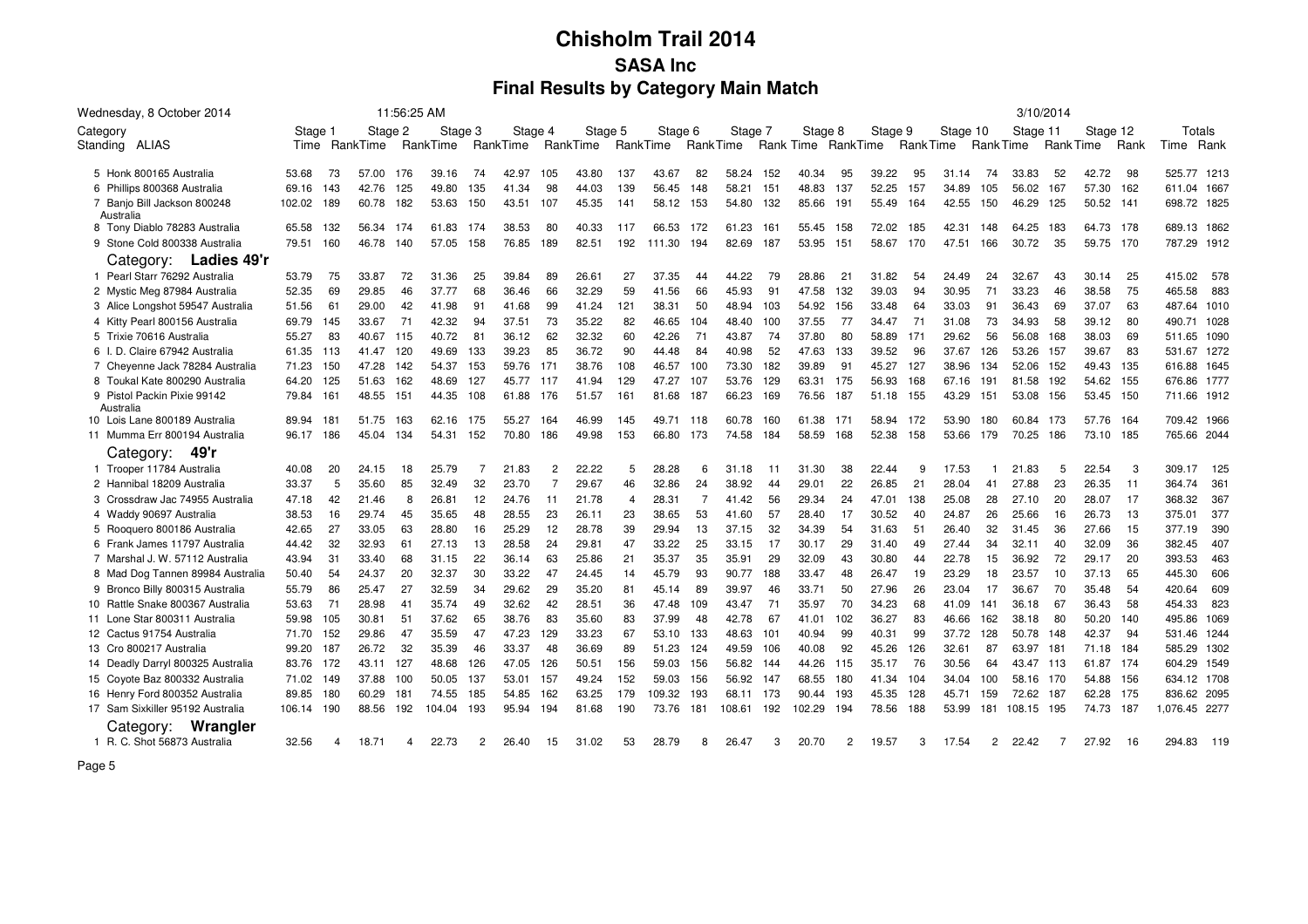| Wednesday, 8 October 2014                |        |     |          | 11:56:25 AM |          |                |          |                |          |                |          |                |         |     |                    |                |         |                 |          |                |          | 3/10/2014 |           |      |               |
|------------------------------------------|--------|-----|----------|-------------|----------|----------------|----------|----------------|----------|----------------|----------|----------------|---------|-----|--------------------|----------------|---------|-----------------|----------|----------------|----------|-----------|-----------|------|---------------|
| Category                                 | Stage  |     | Stage 2  |             | Stage 3  |                | Stage 4  |                | Stage 5  |                | Stage 6  |                | Stage 7 |     | Stage 8            |                | Stage 9 |                 | Stage 10 |                | Stage 11 |           | Stage 12  |      | Totals        |
| Standing ALIAS                           | Time   |     | RankTime |             | RankTime |                | RankTime |                | RankTime |                | RankTime | RankTime       |         |     | Rank Time RankTime |                |         | <b>RankTime</b> |          | Rank Time      |          | Rank Time |           | Rank | Time<br>Rank  |
|                                          |        |     |          |             |          |                |          |                |          |                |          |                |         |     |                    |                |         |                 |          |                |          |           |           |      |               |
| 5 Honk 800165 Australia                  | 53.68  | 73  | 57.00    | 176         | 39.16    | 74             | 42.97    | 105            | 43.80    | 137            | 43.67    | 82             | 58.24   | 152 | 40.34              | 95             | 39.22   | 95              | 31.14    | 74             | 33.83    | 52        | 42.72     | 98   | 525.77 1213   |
| 6 Phillips 800368 Australia              | 69.16  | 143 | 42.76    | 125         | 49.80    | 135            | 41.34    | 98             | 44.03    | 139            | 56.45    | 148            | 58.21   | 151 | 48.83              | 137            | 52.25   | 157             | 34.89    | 105            | 56.02    | 167       | 57.30     | 162  | 611.04 1667   |
| 7 Banjo Bill Jackson 800248<br>Australia | 102.02 | 189 | 60.78    | 182         | 53.63    | 150            | 43.51    | 107            | 45.35    | 141            | 58.12    | 153            | 54.80   | 132 | 85.66              | 191            | 55.49   | 164             | 42.55    | 150            | 46.29    | 125       | 50.52     | 141  | 698.72 1825   |
| 8 Tony Diablo 78283 Australia            | 65.58  | 132 | 56.34    | 174         | 61.83    | 174            | 38.53    | 80             | 40.33    | 117            | 66.53    | 172            | 61.23   | 161 | 55.45              | 158            | 72.02   | 185             | 42.31    | 148            | 64.25    | 183       | 64.73 178 |      | 689.13 1862   |
| 9 Stone Cold 800338 Australia            | 79.51  | 160 | 46.78    | 140         | 57.05    | 158            | 76.85    | 189            | 82.51    | 192            | 111.30   | 194            | 82.69   | 187 | 53.95              | 151            | 58.67   | 170             | 47.51    | 166            | 30.72    | 35        | 59.75 170 |      | 787.29 1912   |
| Category: Ladies 49'r                    |        |     |          |             |          |                |          |                |          |                |          |                |         |     |                    |                |         |                 |          |                |          |           |           |      |               |
| 1 Pearl Starr 76292 Australia            | 53.79  | 75  | 33.87    | 72          | 31.36    | 25             | 39.84    | 89             | 26.61    | 27             | 37.35    | 44             | 44.22   | 79  | 28.86              | 21             | 31.82   | 54              | 24.49    | 24             | 32.67    | 43        | 30.14     | 25   | 415.02<br>578 |
| 2 Mystic Meg 87984 Australia             | 52.35  | 69  | 29.85    | 46          | 37.77    | 68             | 36.46    | 66             | 32.29    | 59             | 41.56    | 66             | 45.93   | 91  | 47.58              | 132            | 39.03   | 94              | 30.95    | 71             | 33.23    | 46        | 38.58     | 75   | 465.58<br>883 |
| 3 Alice Longshot 59547 Australia         | 51.56  | 61  | 29.00    | 42          | 41.98    | 91             | 41.68    | 99             | 41.24    | 121            | 38.31    | 50             | 48.94   | 103 | 54.92              | 156            | 33.48   | 64              | 33.03    | 91             | 36.43    | 69        | 37.07     | 63   | 487.64 1010   |
| 4 Kitty Pearl 800156 Australia           | 69.79  | 145 | 33.67    | 71          | 42.32    | 94             | 37.51    | 73             | 35.22    | 82             | 46.65    | 104            | 48.40   | 100 | 37.55              | 77             | 34.47   | 71              | 31.08    | 73             | 34.93    | 58        | 39.12     | 80   | 490.71 1028   |
| 5 Trixie 70616 Australia                 | 55.27  | 83  | 40.67    | 115         | 40.72    | 81             | 36.12    | 62             | 32.32    | 60             | 42.26    | 71             | 43.87   | 74  | 37.80              | 80             | 58.89   | 171             | 29.62    | 56             | 56.08    | 168       | 38.03     | 69   | 511.65 1090   |
| 6 I. D. Claire 67942 Australia           | 61.35  | 113 | 41.47    | 120         | 49.69    | 133            | 39.23    | 85             | 36.72    | 90             | 44.48    | 84             | 40.98   | 52  | 47.63              | 133            | 39.52   | 96              | 37.67    | 126            | 53.26    | 157       | 39.67     | 83   | 531.67 1272   |
| 7 Cheyenne Jack 78284 Australia          | 71.23  | 150 | 47.28    | 142         | 54.37    | 153            | 59.76    | 171            | 38.76    | 108            | 46.57    | 100            | 73.30   | 182 | 39.89              | 91             | 45.27   | 127             | 38.96    | 134            | 52.06    | 152       | 49.43     | 135  | 616.88 1645   |
| 8 Toukal Kate 800290 Australia           | 64.20  | 125 | 51.63    | 162         | 48.69    | 127            | 45.77    | 117            | 41.94    | 129            | 47.27    | 107            | 53.76   | 129 | 63.31              | 175            | 56.93   | 168             | 67.16    | 191            | 81.58    | 192       | 54.62     | 155  | 676.86 1777   |
| 9 Pistol Packin Pixie 99142<br>Australia | 79.84  | 161 | 48.55    | 151         | 44.35    | 108            | 61.88    | 176            | 51.57    | 161            | 81.68    | 187            | 66.23   | 169 | 76.56              | 187            | 51.18   | 155             | 43.29    | 151            | 53.08    | 156       | 53.45     | 150  | 711.66 1912   |
| 10 Lois Lane 800189 Australia            | 89.94  | 181 | 51.75    | 163         | 62.16    | 175            | 55.27    | 164            | 46.99    | 145            | 49.71    | 118            | 60.78   | 160 | 61.38              | 171            | 58.94   | 172             | 53.90    | 180            | 60.84    | 173       | 57.76     | 164  | 709.42 1966   |
| 11 Mumma Err 800194 Australia            | 96.17  | 186 | 45.04    | 134         | 54.31    | 152            | 70.80    | 186            | 49.98    | 153            | 66.80    | 173            | 74.58   | 184 | 58.59              | 168            | 52.38   | 158             | 53.66    | 179            | 70.25    | 186       | 73.10 185 |      | 765.66 2044   |
| 49'r<br>Category:                        |        |     |          |             |          |                |          |                |          |                |          |                |         |     |                    |                |         |                 |          |                |          |           |           |      |               |
| 1 Trooper 11784 Australia                | 40.08  | 20  | 24.15    | 18          | 25.79    | 7              | 21.83    | $\overline{2}$ | 22.22    | 5              | 28.28    |                | 31.18   | 11  | 31.30              | 38             | 22.44   | 9               | 17.53    |                | 21.83    | 5         | 22.54     | -3   | 309.17<br>125 |
| 2 Hannibal 18209 Australia               | 33.37  | 5   | 35.60    | 85          | 32.49    | 32             | 23.70    | $\overline{7}$ | 29.67    | 46             | 32.86    | 24             | 38.92   | 44  | 29.01              | 22             | 26.85   | 21              | 28.04    | 41             | 27.88    | 23        | 26.35     | 11   | 364.74<br>361 |
| 3 Crossdraw Jac 74955 Australia          | 47.18  | 42  | 21.46    | 8           | 26.81    | 12             | 24.76    | 11             | 21.78    | $\overline{4}$ | 28.31    | $\overline{7}$ | 41.42   | 56  | 29.34              | 24             | 47.01   | 138             | 25.08    | 28             | 27.10    | 20        | 28.07     | 17   | 368.32<br>367 |
| 4 Waddy 90697 Australia                  | 38.53  | 16  | 29.74    | 45          | 35.65    | 48             | 28.55    | 23             | 26.11    | 23             | 38.65    | 53             | 41.60   | 57  | 28.40              | 17             | 30.52   | 40              | 24.87    | 26             | 25.66    | 16        | 26.73     | 13   | 377<br>375.01 |
| 5 Rooquero 800186 Australia              | 42.65  | 27  | 33.05    | 63          | 28.80    | 16             | 25.29    | 12             | 28.78    | 39             | 29.94    | 13             | 37.15   | 32  | 34.39              | 54             | 31.63   | 51              | 26.40    | 32             | 31.45    | 36        | 27.66     | 15   | 377.19<br>390 |
| 6 Frank James 11797 Australia            | 44.42  | 32  | 32.93    | 61          | 27.13    | 13             | 28.58    | 24             | 29.81    | 47             | 33.22    | 25             | 33.15   | 17  | 30.17              | 29             | 31.40   | 49              | 27.44    | 34             | 32.11    | 40        | 32.09     | 36   | 407<br>382.45 |
| 7 Marshal J. W. 57112 Australia          | 43.94  | 31  | 33.40    | 68          | 31.15    | 22             | 36.14    | 63             | 25.86    | 21             | 35.37    | 35             | 35.91   | 29  | 32.09              | 43             | 30.80   | 44              | 22.78    | 15             | 36.92    | 72        | 29.17     | 20   | 393.53<br>463 |
| 8 Mad Dog Tannen 89984 Australia         | 50.40  | 54  | 24.37    | 20          | 32.37    | 30             | 33.22    | 47             | 24.45    | 14             | 45.79    | 93             | 90.77   | 188 | 33.47              | 48             | 26.47   | 19              | 23.29    | 18             | 23.57    | 10        | 37.13     | 65   | 445.30<br>606 |
| 9 Bronco Billy 800315 Australia          | 55.79  | 86  | 25.47    | 27          | 32.59    | 34             | 29.62    | 29             | 35.20    | 81             | 45.14    | 89             | 39.97   | 46  | 33.71              | 50             | 27.96   | 26              | 23.04    | 17             | 36.67    | 70        | 35.48     | 54   | 420.64<br>609 |
| 10 Rattle Snake 800367 Australia         | 53.63  | 71  | 28.98    | 41          | 35.74    | 49             | 32.62    | 42             | 28.51    | 36             | 47.48    | 109            | 43.47   | 71  | 35.97              | 70             | 34.23   | 68              | 41.09    | 141            | 36.18    | 67        | 36.43     | 58   | 454.33<br>823 |
| 11 Lone Star 800311 Australia            | 59.98  | 105 | 30.81    | 51          | 37.62    | 65             | 38.76    | 83             | 35.60    | 83             | 37.99    | 48             | 42.78   | 67  | 41.01              | 102            | 36.27   | 83              | 46.66    | 162            | 38.18    | -80       | 50.20     | 140  | 495.86 1069   |
| 12 Cactus 91754 Australia                | 71.70  | 152 | 29.86    | 47          | 35.59    | 47             | 47.23    | 129            | 33.23    | 67             | 53.10    | 133            | 48.63   | 101 | 40.94              | 99             | 40.31   | 99              | 37.72    | 128            | 50.78    | 148       | 42.37     | 94   | 531.46 1244   |
| 13 Cro 800217 Australia                  | 99.20  | 187 | 26.72    | 32          | 35.39    | 46             | 33.37    | 48             | 36.69    | 89             | 51.23    | 124            | 49.59   | 106 | 40.08              | 92             | 45.26   | 126             | 32.61    | 87             | 63.97    | 181       | 71.18     | 184  | 585.29 1302   |
| 14 Deadly Darryl 800325 Australia        | 83.76  | 172 | 43.11    | 127         | 48.68    | 126            | 47.05    | 126            | 50.51    | 156            | 59.03    | 156            | 56.82   | 144 | 44.26              | 115            | 35.17   | 76              | 30.56    | 64             | 43.47    | 113       | 61.87     | 174  | 604.29 1549   |
| 15 Coyote Baz 800332 Australia           | 71.02  | 149 | 37.88    | 100         | 50.05    | 137            | 53.01    | 157            | 49.24    | 152            | 59.03    | 156            | 56.92   | 147 | 68.55              | 180            | 41.34   | 104             | 34.04    | 100            | 58.16    | 170       | 54.88     | 156  | 634.12 1708   |
| 16 Henry Ford 800352 Australia           | 89.85  | 180 | 60.29    | 181         | 74.55    | 185            | 54.85    | 162            | 63.25    | 179            | 109.32   | 193            | 68.11   | 173 | 90.44              | 193            | 45.35   | 128             | 45.71    | 159            | 72.62    | 187       | 62.28     | 175  | 836.62 2095   |
| 17 Sam Sixkiller 95192 Australia         | 106.14 | 190 | 88.56    | 192         | 104.04   | 193            | 95.94    | 194            | 81.68    | 190            | 73.76    | 181            | 108.61  | 192 | 102.29             | 194            | 78.56   | 188             | 53.99    | 181            | 108.15   | 195       | 74.73     | 187  | 1,076.45 2277 |
| Wrangler<br>Category:                    |        |     |          |             |          |                |          |                |          |                |          |                |         |     |                    |                |         |                 |          |                |          |           |           |      |               |
| 1 R. C. Shot 56873 Australia             | 32.56  | 4   | 18.71    | 4           | 22.73    | $\overline{2}$ | 26.40    | 15             | 31.02    | 53             | 28.79    | 8              | 26.47   | 3   | 20.70              | $\overline{2}$ | 19.57   | 3               | 17.54    | $\overline{2}$ | 22.42    |           | 27.92     | 16   | 294.83<br>119 |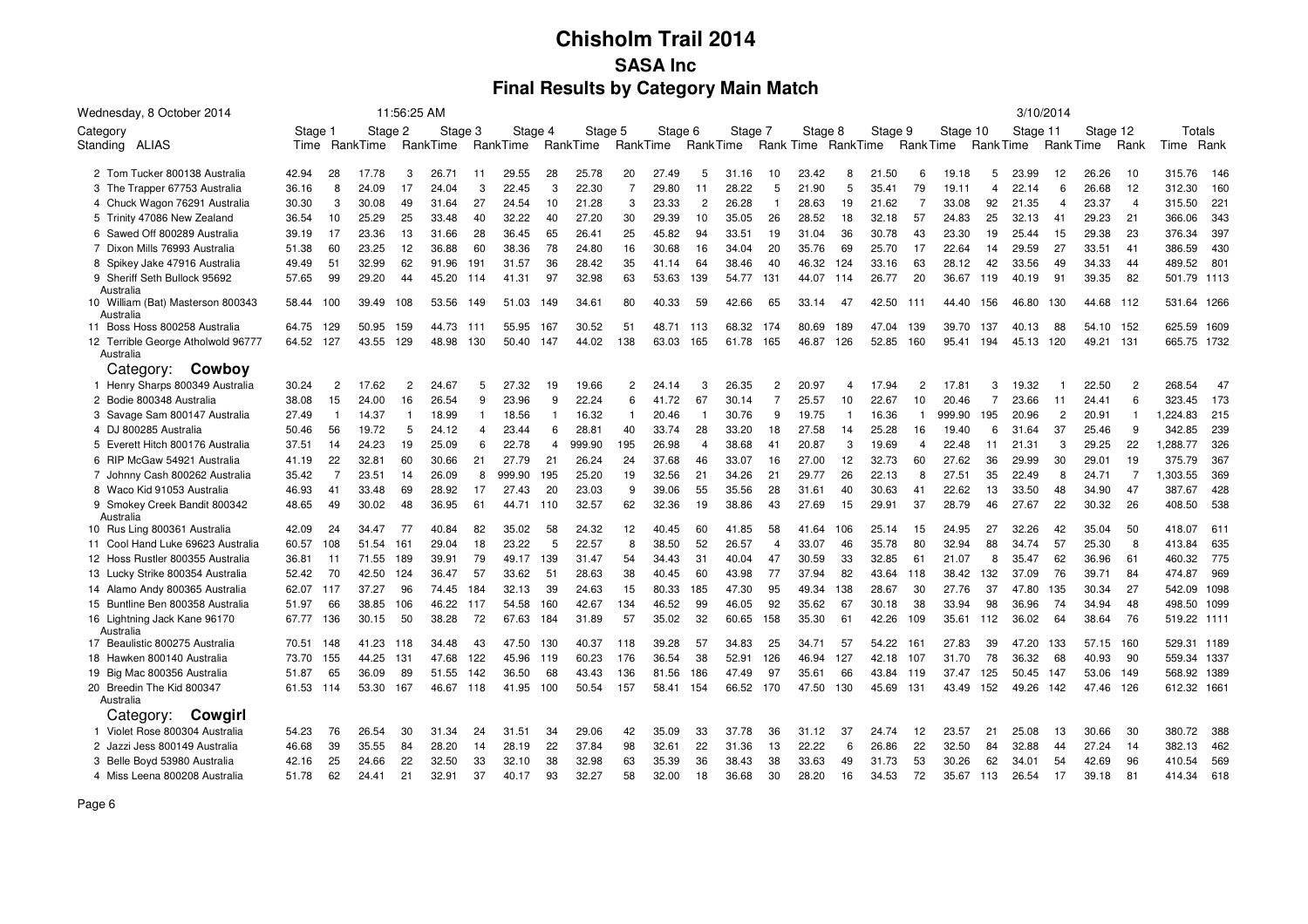| Wednesday, 8 October 2014                       |         |                |          | 11:56:25 AM    |          |                |          |     |          |     |          |                 |         |                |                    |     |         |                 |          |                |          | 3/10/2014        |          |                |             |      |
|-------------------------------------------------|---------|----------------|----------|----------------|----------|----------------|----------|-----|----------|-----|----------|-----------------|---------|----------------|--------------------|-----|---------|-----------------|----------|----------------|----------|------------------|----------|----------------|-------------|------|
| Category                                        | Stage 1 |                | Stage 2  |                | Stage 3  |                | Stage 4  |     | Stage 5  |     | Stage 6  |                 | Stage 7 |                | Stage 8            |     | Stage 9 |                 | Stage 10 |                | Stage 11 |                  | Stage 12 |                | Totals      |      |
| Standing ALIAS                                  | Time    |                | RankTime |                | RankTime |                | RankTime |     | RankTime |     | RankTime | <b>RankTime</b> |         |                | Rank Time RankTime |     |         | <b>RankTime</b> |          | Rank Time      |          | <b>Rank Time</b> |          | Rank           | Time        | Rank |
| 2 Tom Tucker 800138 Australia                   | 42.94   | 28             | 17.78    | 3              | 26.71    | 11             | 29.55    | 28  | 25.78    | 20  | 27.49    | 5               | 31.16   | 10             | 23.42              | 8   | 21.50   | 6               | 19.18    | 5              | 23.99    | 12               | 26.26    | 10             | 315.76      | 146  |
| 3 The Trapper 67753 Australia                   | 36.16   | 8              | 24.09    | 17             | 24.04    | 3              | 22.45    | 3   | 22.30    | 7   | 29.80    | 11              | 28.22   | 5              | 21.90              | 5   | 35.41   | 79              | 19.11    | $\overline{4}$ | 22.14    | 6                | 26.68    | 12             | 312.30      | 160  |
| 4 Chuck Wagon 76291 Australia                   | 30.30   | 3              | 30.08    | 49             | 31.64    | 27             | 24.54    | 10  | 21.28    | 3   | 23.33    | $\overline{c}$  | 26.28   | 1              | 28.63              | 19  | 21.62   | -7              | 33.08    | 92             | 21.35    | $\overline{4}$   | 23.37    | $\overline{4}$ | 315.50      | 221  |
| 5 Trinity 47086 New Zealand                     | 36.54   | 10             | 25.29    | 25             | 33.48    | 40             | 32.22    | 40  | 27.20    | 30  | 29.39    | 10              | 35.05   | 26             | 28.52              | 18  | 32.18   | 57              | 24.83    | 25             | 32.13    | 41               | 29.23    | 21             | 366.06      | 343  |
| 6 Sawed Off 800289 Australia                    | 39.19   | 17             | 23.36    | 13             | 31.66    | 28             | 36.45    | 65  | 26.41    | 25  | 45.82    | 94              | 33.51   | 19             | 31.04              | 36  | 30.78   | 43              | 23.30    | 19             | 25.44    | 15               | 29.38    | 23             | 376.34      | 397  |
| 7 Dixon Mills 76993 Australia                   | 51.38   | 60             | 23.25    | 12             | 36.88    | 60             | 38.36    | 78  | 24.80    | 16  | 30.68    | 16              | 34.04   | 20             | 35.76              | 69  | 25.70   | 17              | 22.64    | 14             | 29.59    | 27               | 33.51    | 41             | 386.59      | 430  |
| 8 Spikey Jake 47916 Australia                   | 49.49   | 51             | 32.99    | 62             | 91.96    | 191            | 31.57    | 36  | 28.42    | 35  | 41.14    | 64              | 38.46   | 40             | 46.32              | 124 | 33.16   | 63              | 28.12    | 42             | 33.56    | 49               | 34.33    | 44             | 489.52      | 801  |
| 9 Sheriff Seth Bullock 95692<br>Australia       | 57.65   | 99             | 29.20    | 44             | 45.20    | 114            | 41.31    | 97  | 32.98    | 63  | 53.63    | 139             | 54.77   | 131            | 44.07              | 114 | 26.77   | 20              | 36.67    | 119            | 40.19    | 91               | 39.35    | 82             | 501.79 1113 |      |
| 10 William (Bat) Masterson 800343<br>Australia  | 58.44   | 100            | 39.49    | 108            | 53.56    | 149            | 51.03    | 149 | 34.61    | 80  | 40.33    | 59              | 42.66   | 65             | 33.14              | -47 | 42.50   | 111             | 44.40    | 156            | 46.80    | 130              | 44.68    | 112            | 531.64 1266 |      |
| 11 Boss Hoss 800258 Australia                   | 64.75   | 129            | 50.95    | 159            | 44.73    | -111           | 55.95    | 167 | 30.52    | 51  | 48.71    | 113             | 68.32   | 174            | 80.69              | 189 | 47.04   | 139             | 39.70    | 137            | 40.13    | 88               | 54.10    | 152            | 625.59 1609 |      |
| 12 Terrible George Atholwold 96777<br>Australia | 64.52   | 127            | 43.55    | 129            | 48.98    | 130            | 50.40    | 147 | 44.02    | 138 | 63.03    | 165             | 61.78   | 165            | 46.87              | 126 | 52.85   | 160             | 95.41    | 194            | 45.13    | 120              | 49.21    | 131            | 665.75 1732 |      |
| Category:<br>Cowboy                             |         |                |          |                |          |                |          |     |          |     |          |                 |         |                |                    |     |         |                 |          |                |          |                  |          |                |             |      |
| 1 Henry Sharps 800349 Australia                 | 30.24   | $\overline{2}$ | 17.62    | $\overline{2}$ | 24.67    | 5              | 27.32    | 19  | 19.66    | 2   | 24.14    | 3               | 26.35   | $\overline{2}$ | 20.97              | 4   | 17.94   | 2               | 17.81    | 3              | 19.32    |                  | 22.50    | $\overline{2}$ | 268.54      | 47   |
| 2 Bodie 800348 Australia                        | 38.08   | 15             | 24.00    | 16             | 26.54    | 9              | 23.96    | 9   | 22.24    | 6   | 41.72    | 67              | 30.14   | $\overline{7}$ | 25.57              | 10  | 22.67   | 10              | 20.46    | $\overline{7}$ | 23.66    | 11               | 24.41    | 6              | 323.45      | 173  |
| 3 Savage Sam 800147 Australia                   | 27.49   | $\overline{1}$ | 14.37    | $\mathbf{1}$   | 18.99    | $\mathbf{1}$   | 18.56    |     | 16.32    |     | 20.46    | -1              | 30.76   | 9              | 19.75              | 1   | 16.36   | -1              | 999.90   | 195            | 20.96    | $\overline{c}$   | 20.91    | $\mathbf{1}$   | 1,224.83    | 215  |
| 4 DJ 800285 Australia                           | 50.46   | 56             | 19.72    | 5              | 24.12    | $\overline{4}$ | 23.44    | 6   | 28.81    | 40  | 33.74    | 28              | 33.20   | 18             | 27.58              | 14  | 25.28   | 16              | 19.40    | 6              | 31.64    | 37               | 25.46    | 9              | 342.85      | 239  |
| 5 Everett Hitch 800176 Australia                | 37.51   | 14             | 24.23    | 19             | 25.09    | 6              | 22.78    | Δ   | 999.90   | 195 | 26.98    | $\overline{4}$  | 38.68   | 41             | 20.87              | 3   | 19.69   | $\overline{4}$  | 22.48    | 11             | 21.31    | 3                | 29.25    | 22             | 1,288.77    | 326  |
| 6 RIP McGaw 54921 Australia                     | 41.19   | 22             | 32.81    | 60             | 30.66    | 21             | 27.79    | 21  | 26.24    | 24  | 37.68    | 46              | 33.07   | 16             | 27.00              | 12  | 32.73   | 60              | 27.62    | 36             | 29.99    | 30               | 29.01    | 19             | 375.79      | 367  |
| 7 Johnny Cash 800262 Australia                  | 35.42   | 7              | 23.51    | 14             | 26.09    | 8              | 999.90   | 195 | 25.20    | 19  | 32.56    | 21              | 34.26   | 21             | 29.77              | 26  | 22.13   | 8               | 27.51    | 35             | 22.49    | 8                | 24.71    | 7              | 1,303.55    | 369  |
| 8 Waco Kid 91053 Australia                      | 46.93   | 41             | 33.48    | 69             | 28.92    | 17             | 27.43    | 20  | 23.03    | 9   | 39.06    | 55              | 35.56   | 28             | 31.61              | 40  | 30.63   | 41              | 22.62    | 13             | 33.50    | 48               | 34.90    | 47             | 387.67      | 428  |
| 9 Smokey Creek Bandit 800342<br>Australia       | 48.65   | 49             | 30.02    | 48             | 36.95    | 61             | 44.71    | 110 | 32.57    | 62  | 32.36    | 19              | 38.86   | 43             | 27.69              | 15  | 29.91   | 37              | 28.79    | 46             | 27.67    | 22               | 30.32    | 26             | 408.50      | 538  |
| 10 Rus Ling 800361 Australia                    | 42.09   | 24             | 34.47    | 77             | 40.84    | 82             | 35.02    | 58  | 24.32    | 12  | 40.45    | 60              | 41.85   | 58             | 41.64              | 106 | 25.14   | 15              | 24.95    | 27             | 32.26    | 42               | 35.04    | 50             | 418.07      | 611  |
| 11 Cool Hand Luke 69623 Australia               | 60.57   | 108            | 51.54    | 161            | 29.04    | 18             | 23.22    | 5   | 22.57    | 8   | 38.50    | 52              | 26.57   | $\overline{4}$ | 33.07              | 46  | 35.78   | 80              | 32.94    | 88             | 34.74    | 57               | 25.30    | 8              | 413.84      | 635  |
| 12 Hoss Rustler 800355 Australia                | 36.81   | 11             | 71.55    | 189            | 39.91    | 79             | 49.17    | 139 | 31.47    | 54  | 34.43    | 31              | 40.04   | 47             | 30.59              | 33  | 32.85   | 61              | 21.07    | 8              | 35.47    | 62               | 36.96    | 61             | 460.32      | 775  |
| 13 Lucky Strike 800354 Australia                | 52.42   | 70             | 42.50    | 124            | 36.47    | 57             | 33.62    | 51  | 28.63    | 38  | 40.45    | 60              | 43.98   | 77             | 37.94              | 82  | 43.64   | 118             | 38.42    | 132            | 37.09    | 76               | 39.71    | 84             | 474.87      | 969  |
| 14 Alamo Andy 800365 Australia                  | 62.07   | - 117          | 37.27    | 96             | 74.45    | 184            | 32.13    | 39  | 24.63    | 15  | 80.33    | 185             | 47.30   | 95             | 49.34              | 138 | 28.67   | 30              | 27.76    | 37             | 47.80    | 135              | 30.34    | 27             | 542.09 1098 |      |
| 15 Buntline Ben 800358 Australia                | 51.97   | 66             | 38.85    | 106            | 46.22    | 117            | 54.58    | 160 | 42.67    | 134 | 46.52    | 99              | 46.05   | 92             | 35.62              | 67  | 30.18   | 38              | 33.94    | 98             | 36.96    | 74               | 34.94    | 48             | 498.50 1099 |      |
| 16 Lightning Jack Kane 96170<br>Australia       | 67.77   | 136            | 30.15    | 50             | 38.28    | 72             | 67.63    | 184 | 31.89    | 57  | 35.02    | 32              | 60.65   | 158            | 35.30              | -61 | 42.26   | 109             | 35.61    | 112            | 36.02    | 64               | 38.64    | -76            | 519.22 1111 |      |
| 17 Beaulistic 800275 Australia                  | 70.51   | 148            | 41.23    | 118            | 34.48    | 43             | 47.50    | 130 | 40.37    | 118 | 39.28    | 57              | 34.83   | 25             | 34.71              | 57  | 54.22   | 161             | 27.83    | 39             | 47.20    | 133              | 57.15    | 160            | 529.31 1189 |      |
| 18 Hawken 800140 Australia                      | 73.70   | 155            | 44.25    | 131            | 47.68    | 122            | 45.96    | 119 | 60.23    | 176 | 36.54    | 38              | 52.91   | 126            | 46.94              | 127 | 42.18   | 107             | 31.70    | 78             | 36.32    | 68               | 40.93    | 90             | 559.34 1337 |      |
| 19 Big Mac 800356 Australia                     | 51.87   | 65             | 36.09    | 89             | 51.55    | 142            | 36.50    | 68  | 43.43    | 136 | 81.56    | 186             | 47.49   | -97            | 35.61              | 66  | 43.84   | 119             | 37.47    | 125            | 50.45    | 147              | 53.06    | 149            | 568.92 1389 |      |
| 20 Breedin The Kid 800347<br>Australia          | 61.53   | 114            | 53.30    | 167            | 46.67    | 118            | 41.95    | 100 | 50.54    | 157 | 58.41    | 154             | 66.52   | 170            | 47.50              | 130 | 45.69   | 131             | 43.49    | 152            | 49.26    | 142              | 47.46    | 126            | 612.32 166  |      |
| Category:<br>Cowgirl                            |         |                |          |                |          |                |          |     |          |     |          |                 |         |                |                    |     |         |                 |          |                |          |                  |          |                |             |      |
| 1 Violet Rose 800304 Australia                  | 54.23   | 76             | 26.54    | 30             | 31.34    | 24             | 31.51    | 34  | 29.06    | 42  | 35.09    | 33              | 37.78   | 36             | 31.12              | 37  | 24.74   | 12              | 23.57    | 21             | 25.08    | 13               | 30.66    | 30             | 380.72      | 388  |
| 2 Jazzi Jess 800149 Australia                   | 46.68   | 39             | 35.55    | 84             | 28.20    | 14             | 28.19    | 22  | 37.84    | 98  | 32.61    | 22              | 31.36   | 13             | 22.22              | 6   | 26.86   | 22              | 32.50    | 84             | 32.88    | 44               | 27.24    | 14             | 382.13      | 462  |
| 3 Belle Boyd 53980 Australia                    | 42.16   | 25             | 24.66    | 22             | 32.50    | 33             | 32.10    | 38  | 32.98    | 63  | 35.39    | 36              | 38.43   | 38             | 33.63              | 49  | 31.73   | 53              | 30.26    | 62             | 34.01    | 54               | 42.69    | 96             | 410.54      | 569  |
| 4 Miss Leena 800208 Australia                   | 51.78   | 62             | 24.41    | 21             | 32.91    | 37             | 40.17    | 93  | 32.27    | 58  | 32.00    | 18              | 36.68   | 30             | 28.20              | 16  | 34.53   | 72              | 35.67    | 113            | 26.54    | 17               | 39.18    | 81             | 414.34      | 618  |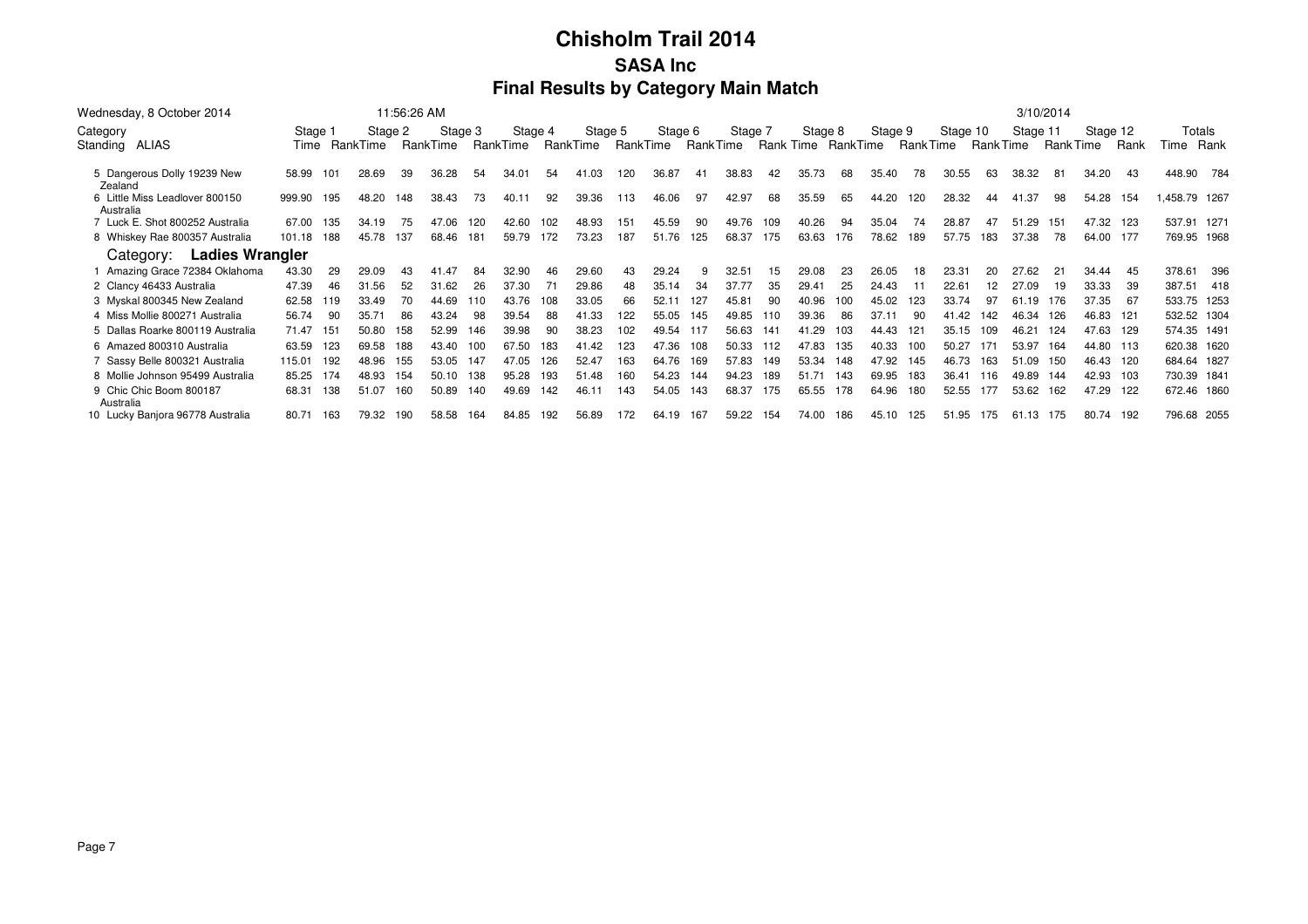| Wednesday, 8 October 2014                   |         |     |          | 11:56:26 AM |          |     |          |     |          |          |         |          |         |     |                    |     |         |                 |          |           |          | 3/10/2014 |           |       |               |       |
|---------------------------------------------|---------|-----|----------|-------------|----------|-----|----------|-----|----------|----------|---------|----------|---------|-----|--------------------|-----|---------|-----------------|----------|-----------|----------|-----------|-----------|-------|---------------|-------|
| Category                                    | Stage 1 |     | Stage 2  |             | Stage 3  |     | Stage 4  |     | Stage 5  |          | Stage 6 |          | Stage 7 |     | Stage 8            |     | Stage 9 |                 | Stage 10 |           | Stage 11 |           | Stage 12  |       | Totals        |       |
| Standing ALIAS                              | Time    |     | RankTime |             | RankTime |     | RankTime |     | RankTime | RankTime |         | RankTime |         |     | Rank Time RankTime |     |         | <b>RankTime</b> |          | Rank Time |          | Rank Time |           | Rank  | Time          | Rank  |
| 5 Dangerous Dolly 19239 New<br>Zealand      | 58.99   | 101 | 28.69    | 39          | 36.28    | 54  | 34.01    | 54  | 41.03    | 120      | 36.87   | 41       | 38.83   | 42  | 35.73              | 68  | 35.40   | 78              | 30.55    | 63        | 38.32    | 81        | 34.20     | 43    | 448.90        | 784   |
| 6 Little Miss Leadlover 800150<br>Australia | 999.90  | 195 | 48.20    | 148         | 38.43    | 73  | 40.11    | 92  | 39.36    | 113      | 46.06   | 97       | 42.97   | 68  | 35.59              | 65  | 44.20   | 120             | 28.32    | 44        | 41.37    | 98        | 54.28     | - 154 | 1,458.79 1267 |       |
| 7 Luck E. Shot 800252 Australia             | 67.00   | 135 | 34.19    | 75          | 47.06    | 120 | 42.60    | 102 | 48.93    | 151      | 45.59   | 90       | 49.76   | 109 | 40.26              | 94  | 35.04   | 74              | 28.87    | 47        | 51.29    | 151       | 47.32 123 |       | 537.91 1271   |       |
| 8 Whiskey Rae 800357 Australia              | 101.18  | 188 | 45.78    | 137         | 68.46    | 181 | 59.79    | 172 | 73.23    | 187      | 51.76   | 125      | 68.37   | 175 | 63.63              | 176 | 78.62   | 189             | 57.75    | 183       | 37.38    | 78        | 64.00 177 |       | 769.95 1968   |       |
| <b>Ladies Wrangler</b><br>Category:         |         |     |          |             |          |     |          |     |          |          |         |          |         |     |                    |     |         |                 |          |           |          |           |           |       |               |       |
| Amazing Grace 72384 Oklahoma                | 43.30   | 29  | 29.09    |             | 41.47    | 84  | 32.90    | 46  | 29.60    | 43       | 29.24   |          | 32.51   | 15  | 29.08              | 23  | 26.05   | 18              | 23.31    | 20        | 27.62    | 21        | 34.44     | 45    | 378.61        | 396   |
| 2 Clancy 46433 Australia                    | 47.39   | 46  | 31.56    | 52          | 31.62    | 26  | 37.30    | 71  | 29.86    | 48       | 35.14   | 34       | 37.77   | 35  | 29.41              | 25  | 24.43   |                 | 22.61    | 12        | 27.09    | 19        | 33.33     | 39    | 387.51        | - 418 |
| 3 Myskal 800345 New Zealand                 | 62.58   | 119 | 33.49    | 70          | 44.69    | 110 | 43.76    | 108 | 33.05    | 66       | 52.1    | 127      | 45.81   | 90  | 40.96              | 100 | 45.02   | 123             | 33.74    | 97        | 61.19    | 176       | 37.35     | 67    | 533.75 1253   |       |
| 4 Miss Mollie 800271 Australia              | 56.74   | 90  | 35.71    | 86          | 43.24    | 98  | 39.54    | 88  | 41.33    | 122      | 55.05   | 145      | 49.85   | 10  | 39.36              | 86  | 37.11   | 90              | 41.42    | 142       | 46.34    | 126       | 46.83 121 |       | 532.52 1304   |       |
| 5 Dallas Roarke 800119 Australia            | 71.47   | 151 | 50.80    | 158         | 52.99    | 146 | 39.98    | 90  | 38.23    | 102      | 49.54   | 117      | 56.63   | 141 | 41.29              | 103 | 44.43   | 121             | 35.15    | 109       | 46.21    | 124       | 47.63     | - 129 | 574.35 1491   |       |
| 6 Amazed 800310 Australia                   | 63.59   | 123 | 69.58    | 188         | 43.40    | 100 | 67.50    | 183 | 41.42    | 123      | 47.36   | 108      | 50.33   | 12  | 47.83              | 135 | 40.33   | 100             | 50.27    | 171       | 53.97    | 164       | 44.80 113 |       | 620.38 1620   |       |
| 7 Sassy Belle 800321 Australia              | 115.01  | 192 | 48.96    | 155         | 53.05    | 147 | 47.05    | 126 | 52.47    | 163      | 64.76   | 169      | 57.83   | 149 | 53.34              | 148 | 47.92   | 145             | 46.73    | 163       | 51.09    | 150       | 46.43 120 |       | 684.64 1827   |       |
| 8 Mollie Johnson 95499 Australia            | 85.25   | 174 | 48.93    | 154         | 50.10    | 138 | 95.28    | 193 | 51.48    | 160      | 54.23   | 144      | 94.23   | 189 | 51.71              | 143 | 69.95   | 183             | 36.41    | 116       | 49.89    | 144       | 42.93 103 |       | 730.39 1841   |       |
| 9 Chic Chic Boom 800187<br>Australia        | 68.31   | 138 | 51.07    | 160         | 50.89    | 140 | 49.69    | 142 | 46.11    | 143      | 54.05   | 143      | 68.37   | 175 | 65.55              | 178 | 64.96   | 180             | 52.55    | 177       | 53.62    | 162       | 47.29     | - 122 | 672.46 1860   |       |
| 10 Lucky Banjora 96778 Australia            | 80.71   | 163 | 79.32    | 190         | 58.58    | 164 | 84.85    | 192 | 56.89    | 172      | 64.19   | 167      | 59.22   | 154 | 74.00              | 186 | 45.10   | 125             | 51.95    | 175       | 61.13    | - 175     | 80.74 192 |       | 796.68 2055   |       |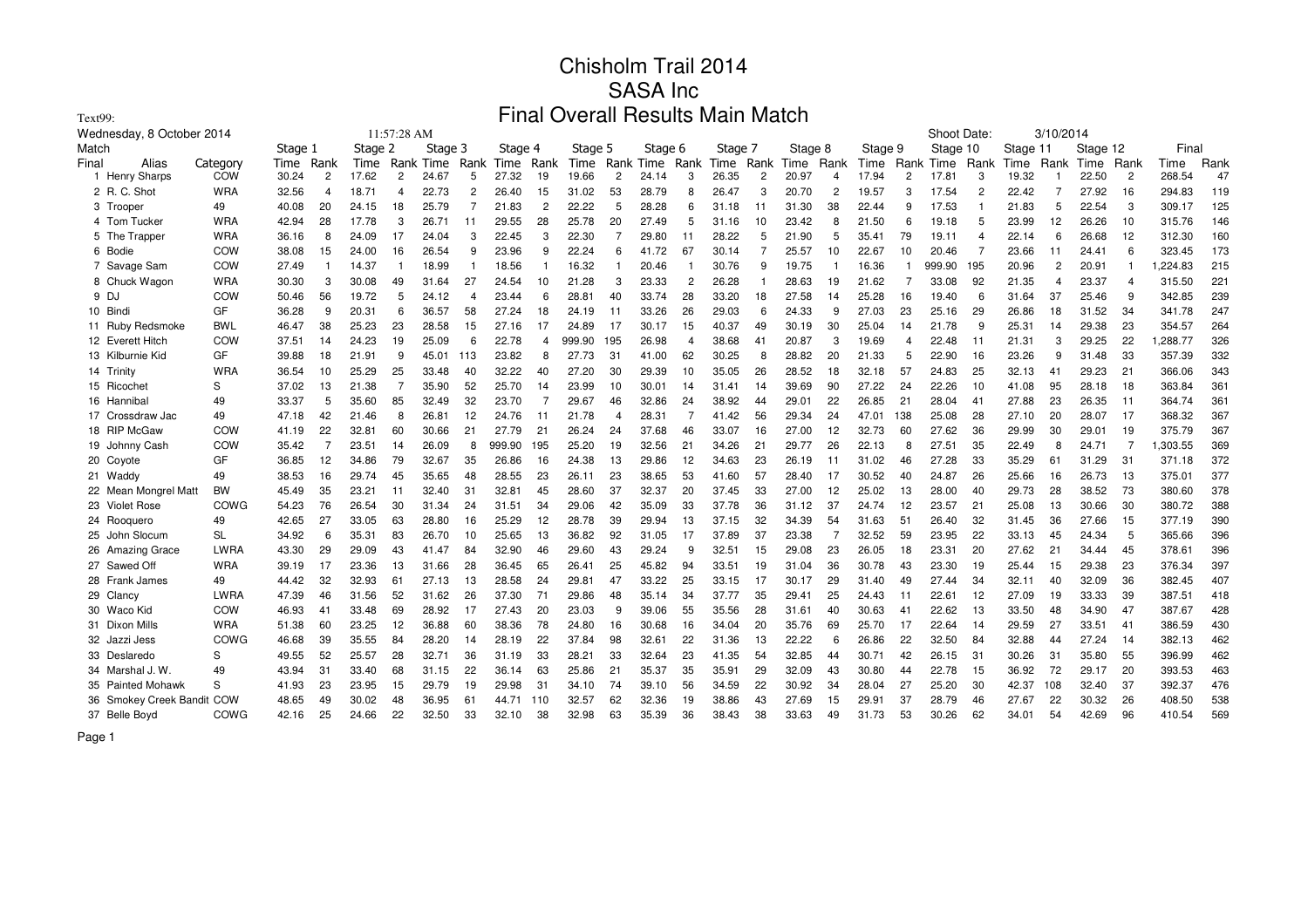| Text99:                    |             |                                                                                                                                                                                                                    |                                                     |       |    |       |                |        |                |        |                |       |      |       |                |       |                |       |     |        |                |       |                |       |                |         |      |
|----------------------------|-------------|--------------------------------------------------------------------------------------------------------------------------------------------------------------------------------------------------------------------|-----------------------------------------------------|-------|----|-------|----------------|--------|----------------|--------|----------------|-------|------|-------|----------------|-------|----------------|-------|-----|--------|----------------|-------|----------------|-------|----------------|---------|------|
| Wednesday, 8 October 2014  |             | Final Overall Results Main Match<br>Shoot Date:<br>3/10/2014<br>11:57:28 AM<br>Stage 3<br>Stage 12<br>Stage 1<br>Stage 2<br>Stage 4<br>Stage 6<br>Stage 8<br>Stage 9<br>Stage 10<br>Stage 11<br>Stage 5<br>Stage 7 |                                                     |       |    |       |                |        |                |        |                |       |      |       |                |       |                |       |     |        |                |       |                |       |                |         |      |
| Match                      |             |                                                                                                                                                                                                                    | Rank Time<br>Rank Time<br>Rank<br>Rank Time<br>Rank |       |    |       |                |        |                |        |                |       |      |       |                |       |                |       |     |        |                |       |                | Final |                |         |      |
| Final<br>Alias             | Category    | Time                                                                                                                                                                                                               | Rank                                                | Time  |    |       |                | Time   | Rank           | Time   |                |       | Rank | Time  | Rank           | Time  |                | Time  |     |        | Rank           | Time  | Rank           | Time  | Rank           | Time    | Rank |
| 1 Henry Sharps             | COW         | 30.24                                                                                                                                                                                                              | $\overline{2}$                                      | 17.62 | 2  | 24.67 | 5              | 27.32  | 19             | 19.66  | $\overline{2}$ | 24.14 | 3    | 26.35 | $\overline{c}$ | 20.97 | $\overline{4}$ | 17.94 | 2   | 17.81  | 3              | 19.32 |                | 22.50 | $\overline{c}$ | 268.54  | 47   |
| 2 R. C. Shot               | <b>WRA</b>  | 32.56                                                                                                                                                                                                              | 4                                                   | 18.71 | 4  | 22.73 | $\overline{c}$ | 26.40  | 15             | 31.02  | 53             | 28.79 | 8    | 26.47 | 3              | 20.70 | $\overline{c}$ | 19.57 | з   | 17.54  | $\overline{2}$ | 22.42 | $\overline{7}$ | 27.92 | 16             | 294.83  | 119  |
| 3 Trooper                  | 49          | 40.08                                                                                                                                                                                                              | 20                                                  | 24.15 | 18 | 25.79 |                | 21.83  | $\overline{2}$ | 22.22  | 5              | 28.28 | 6    | 31.18 | 11             | 31.30 | 38             | 22.44 |     | 17.53  | 1              | 21.83 | 5              | 22.54 | 3              | 309.17  | 125  |
| 4 Tom Tucker               | <b>WRA</b>  | 42.94                                                                                                                                                                                                              | 28                                                  | 17.78 | 3  | 26.71 | 11             | 29.55  | 28             | 25.78  | 20             | 27.49 | 5    | 31.16 | 10             | 23.42 | 8              | 21.50 |     | 19.18  | 5              | 23.99 | 12             | 26.26 | 10             | 315.76  | 146  |
| 5 The Trapper              | <b>WRA</b>  | 36.16                                                                                                                                                                                                              | 8                                                   | 24.09 | 17 | 24.04 |                | 22.45  | 3              | 22.30  |                | 29.80 | 11   | 28.22 | 5              | 21.90 | 5              | 35.41 | 79  | 19.11  | 4              | 22.14 | 6              | 26.68 | 12             | 312.30  | 160  |
| 6 Bodie                    | COW         | 38.08                                                                                                                                                                                                              | 15                                                  | 24.00 | 16 | 26.54 | 9              | 23.96  | 9              | 22.24  | 6              | 41.72 | 67   | 30.14 | 7              | 25.57 | 10             | 22.67 | 10  | 20.46  | 7              | 23.66 | -11            | 24.41 | 6              | 323.45  | 173  |
| 7 Savage Sam               | COW         | 27.49                                                                                                                                                                                                              |                                                     | 14.37 |    | 18.99 | - 1            | 18.56  |                | 16.32  |                | 20.46 |      | 30.76 | 9              | 19.75 |                | 16.36 |     | 999.90 | 195            | 20.96 | $\overline{2}$ | 20.91 | $\overline{1}$ | ,224.83 | 215  |
| 8 Chuck Wagon              | <b>WRA</b>  | 30.30                                                                                                                                                                                                              | 3                                                   | 30.08 | 49 | 31.64 | 27             | 24.54  | 10             | 21.28  | 3              | 23.33 | 2    | 26.28 | -1             | 28.63 | 19             | 21.62 | -7  | 33.08  | 92             | 21.35 | 4              | 23.37 | $\overline{4}$ | 315.50  | 221  |
| 9 D.                       | COW         | 50.46                                                                                                                                                                                                              | 56                                                  | 19.72 | 5  | 24.12 | $\overline{4}$ | 23.44  | 6              | 28.81  | 40             | 33.74 | 28   | 33.20 | 18             | 27.58 | 14             | 25.28 | 16  | 19.40  | 6              | 31.64 | 37             | 25.46 | 9              | 342.85  | 239  |
| 10 Bindi                   | GF          | 36.28                                                                                                                                                                                                              | 9                                                   | 20.31 |    | 36.57 | 58             | 27.24  | 18             | 24.19  | 11             | 33.26 | 26   | 29.03 | 6              | 24.33 | 9              | 27.03 | 23  | 25.16  | 29             | 26.86 | 18             | 31.52 | 34             | 341.78  | 247  |
| 11 Ruby Redsmoke           | <b>BWL</b>  | 46.47                                                                                                                                                                                                              | 38                                                  | 25.23 | 23 | 28.58 | 15             | 27.16  | 17             | 24.89  | 17             | 30.17 | 15   | 40.37 | 49             | 30.19 | 30             | 25.04 | 14  | 21.78  | 9              | 25.31 | 14             | 29.38 | 23             | 354.57  | 264  |
| 12 Everett Hitch           | COW         | 37.51                                                                                                                                                                                                              | 14                                                  | 24.23 | 19 | 25.09 | 6              | 22.78  | 4              | 999.90 | 195            | 26.98 | 4    | 38.68 | 41             | 20.87 | 3              | 19.69 | 4   | 22.48  | 11             | 21.31 | 3              | 29.25 | 22             | ,288.77 | 326  |
| 13 Kilburnie Kid           | GF          | 39.88                                                                                                                                                                                                              | 18                                                  | 21.91 | 9  | 45.01 | 113            | 23.82  | 8              | 27.73  | 31             | 41.00 | 62   | 30.25 | 8              | 28.82 | 20             | 21.33 | 5   | 22.90  | 16             | 23.26 | 9              | 31.48 | 33             | 357.39  | 332  |
| 14 Trinity                 | <b>WRA</b>  | 36.54                                                                                                                                                                                                              | 10                                                  | 25.29 | 25 | 33.48 | 40             | 32.22  | 40             | 27.20  | 30             | 29.39 | 10   | 35.05 | 26             | 28.52 | 18             | 32.18 | 57  | 24.83  | 25             | 32.13 | 41             | 29.23 | 21             | 366.06  | 343  |
| 15 Ricochet                | S           | 37.02                                                                                                                                                                                                              | 13                                                  | 21.38 |    | 35.90 | 52             | 25.70  | 14             | 23.99  | 10             | 30.01 | 14   | 31.41 | 14             | 39.69 | 90             | 27.22 | 24  | 22.26  | 10             | 41.08 | 95             | 28.18 | 18             | 363.84  | 361  |
| 16 Hannibal                | 49          | 33.37                                                                                                                                                                                                              | 5                                                   | 35.60 | 85 | 32.49 | 32             | 23.70  |                | 29.67  | 46             | 32.86 | 24   | 38.92 | 44             | 29.01 | 22             | 26.85 | 21  | 28.04  | 41             | 27.88 | 23             | 26.35 | 11             | 364.74  | 361  |
| 17 Crossdraw Jac           | 49          | 47.18                                                                                                                                                                                                              | 42                                                  | 21.46 | 8  | 26.81 | 12             | 24.76  | 11             | 21.78  | $\overline{4}$ | 28.31 | 7    | 41.42 | 56             | 29.34 | 24             | 47.01 | 138 | 25.08  | 28             | 27.10 | 20             | 28.07 | 17             | 368.32  | 367  |
| 18 RIP McGaw               | COW         | 41.19                                                                                                                                                                                                              | 22                                                  | 32.81 | 60 | 30.66 | 21             | 27.79  | 21             | 26.24  | 24             | 37.68 | 46   | 33.07 | 16             | 27.00 | 12             | 32.73 | 60  | 27.62  | 36             | 29.99 | 30             | 29.01 | 19             | 375.79  | 367  |
| 19 Johnny Cash             | COW         | 35.42                                                                                                                                                                                                              |                                                     | 23.51 | 14 | 26.09 | 8              | 999.90 | 195            | 25.20  | 19             | 32.56 | 21   | 34.26 | 21             | 29.77 | 26             | 22.13 |     | 27.51  | 35             | 22.49 | 8              | 24.71 | 7              | ,303.55 | 369  |
| 20 Coyote                  | GF          | 36.85                                                                                                                                                                                                              | 12                                                  | 34.86 | 79 | 32.67 | 35             | 26.86  | 16             | 24.38  | 13             | 29.86 | 12   | 34.63 | 23             | 26.19 | 11             | 31.02 | 46  | 27.28  | 33             | 35.29 | 61             | 31.29 | 31             | 371.18  | 372  |
| 21 Waddy                   | 49          | 38.53                                                                                                                                                                                                              | 16                                                  | 29.74 | 45 | 35.65 | 48             | 28.55  | 23             | 26.11  | 23             | 38.65 | 53   | 41.60 | 57             | 28.40 | 17             | 30.52 | 40  | 24.87  | 26             | 25.66 | 16             | 26.73 | 13             | 375.01  | 377  |
| 22 Mean Mongrel Matt       | <b>BW</b>   | 45.49                                                                                                                                                                                                              | 35                                                  | 23.21 | 11 | 32.40 | 31             | 32.81  | 45             | 28.60  | 37             | 32.37 | 20   | 37.45 | 33             | 27.00 | 12             | 25.02 | 13  | 28.00  | 40             | 29.73 | 28             | 38.52 | 73             | 380.60  | 378  |
| 23 Violet Rose             | COWG        | 54.23                                                                                                                                                                                                              | 76                                                  | 26.54 | 30 | 31.34 | 24             | 31.51  | 34             | 29.06  | 42             | 35.09 | 33   | 37.78 | 36             | 31.12 | 37             | 24.74 | 12  | 23.57  | 21             | 25.08 | 13             | 30.66 | 30             | 380.72  | 388  |
| 24 Rooguero                | 49          | 42.65                                                                                                                                                                                                              | 27                                                  | 33.05 | 63 | 28.80 | 16             | 25.29  | 12             | 28.78  | 39             | 29.94 | 13   | 37.15 | 32             | 34.39 | 54             | 31.63 | 51  | 26.40  | 32             | 31.45 | 36             | 27.66 | 15             | 377.19  | 390  |
| 25 John Slocum             | SL          | 34.92                                                                                                                                                                                                              | 6                                                   | 35.31 | 83 | 26.70 | 10             | 25.65  | 13             | 36.82  | 92             | 31.05 | 17   | 37.89 | 37             | 23.38 |                | 32.52 | 59  | 23.95  | 22             | 33.13 | 45             | 24.34 | 5              | 365.66  | 396  |
| 26 Amazing Grace           | LWRA        | 43.30                                                                                                                                                                                                              | 29                                                  | 29.09 | 43 | 41.47 | 84             | 32.90  | 46             | 29.60  | 43             | 29.24 | 9    | 32.51 | 15             | 29.08 | 23             | 26.05 | 18  | 23.31  | 20             | 27.62 | 21             | 34.44 | 45             | 378.61  | 396  |
| 27 Sawed Off               | <b>WRA</b>  | 39.19                                                                                                                                                                                                              | 17                                                  | 23.36 | 13 | 31.66 | 28             | 36.45  | 65             | 26.41  | 25             | 45.82 | 94   | 33.51 | 19             | 31.04 | 36             | 30.78 | 43  | 23.30  | 19             | 25.44 | 15             | 29.38 | 23             | 376.34  | 397  |
| 28 Frank James             | 49          | 44.42                                                                                                                                                                                                              | 32                                                  | 32.93 | 61 | 27.13 | -13            | 28.58  | 24             | 29.81  | 47             | 33.22 | 25   | 33.15 | 17             | 30.17 | 29             | 31.40 | 49  | 27.44  | 34             | 32.11 | 40             | 32.09 | 36             | 382.45  | 407  |
| 29 Clancy                  | <b>LWRA</b> | 47.39                                                                                                                                                                                                              | 46                                                  | 31.56 | 52 | 31.62 | 26             | 37.30  | 71             | 29.86  | 48             | 35.14 | 34   | 37.77 | 35             | 29.41 | 25             | 24.43 | 11  | 22.61  | 12             | 27.09 | 19             | 33.33 | 39             | 387.51  | 418  |
| 30 Waco Kid                | COW         | 46.93                                                                                                                                                                                                              | 41                                                  | 33.48 | 69 | 28.92 | 17             | 27.43  | 20             | 23.03  | 9              | 39.06 | 55   | 35.56 | 28             | 31.61 | 40             | 30.63 | 41  | 22.62  | 13             | 33.50 | 48             | 34.90 | 47             | 387.67  | 428  |
| 31 Dixon Mills             | <b>WRA</b>  | 51.38                                                                                                                                                                                                              | 60                                                  | 23.25 | 12 | 36.88 | 60             | 38.36  | 78             | 24.80  | 16             | 30.68 | 16   | 34.04 | 20             | 35.76 | 69             | 25.70 | 17  | 22.64  | 14             | 29.59 | 27             | 33.51 | 41             | 386.59  | 430  |
| 32 Jazzi Jess              | COWG        | 46.68                                                                                                                                                                                                              | 39                                                  | 35.55 | 84 | 28.20 | -14            | 28.19  | 22             | 37.84  | 98             | 32.61 | 22   | 31.36 | 13             | 22.22 | 6              | 26.86 | 22  | 32.50  | 84             | 32.88 | 44             | 27.24 | 14             | 382.13  | 462  |
| Deslaredo<br>33            | S           | 49.55                                                                                                                                                                                                              | 52                                                  | 25.57 | 28 | 32.71 | 36             | 31.19  | 33             | 28.21  | 33             | 32.64 | 23   | 41.35 | 54             | 32.85 | 44             | 30.71 | 42  | 26.15  | 31             | 30.26 | 31             | 35.80 | 55             | 396.99  | 462  |
| 34 Marshal J. W.           | 49          | 43.94                                                                                                                                                                                                              | 31                                                  | 33.40 | 68 | 31.15 | 22             | 36.14  | 63             | 25.86  | 21             | 35.37 | 35   | 35.91 | 29             | 32.09 | 43             | 30.80 | 44  | 22.78  | 15             | 36.92 | 72             | 29.17 | 20             | 393.53  | 463  |
| 35 Painted Mohawk          | S           | 41.93                                                                                                                                                                                                              | 23                                                  | 23.95 | 15 | 29.79 | 19             | 29.98  | 31             | 34.10  | 74             | 39.10 | 56   | 34.59 | 22             | 30.92 | 34             | 28.04 | 27  | 25.20  | 30             | 42.37 | 108            | 32.40 | 37             | 392.37  | 476  |
| 36 Smokey Creek Bandit COW |             | 48.65                                                                                                                                                                                                              | 49                                                  | 30.02 | 48 | 36.95 | 61             | 44.71  | -110           | 32.57  | 62             | 32.36 | 19   | 38.86 | 43             | 27.69 | 15             | 29.91 | 37  | 28.79  | 46             | 27.67 | 22             | 30.32 | 26             | 408.50  | 538  |
| 37 Belle Boyd              | COWG        | 42.16                                                                                                                                                                                                              | 25                                                  | 24.66 | 22 | 32.50 | 33             | 32.10  | 38             | 32.98  | 63             | 35.39 | 36   | 38.43 | 38             | 33.63 | 49             | 31.73 | 53  | 30.26  | 62             | 34.01 | 54             | 42.69 | 96             | 410.54  | 569  |
|                            |             |                                                                                                                                                                                                                    |                                                     |       |    |       |                |        |                |        |                |       |      |       |                |       |                |       |     |        |                |       |                |       |                |         |      |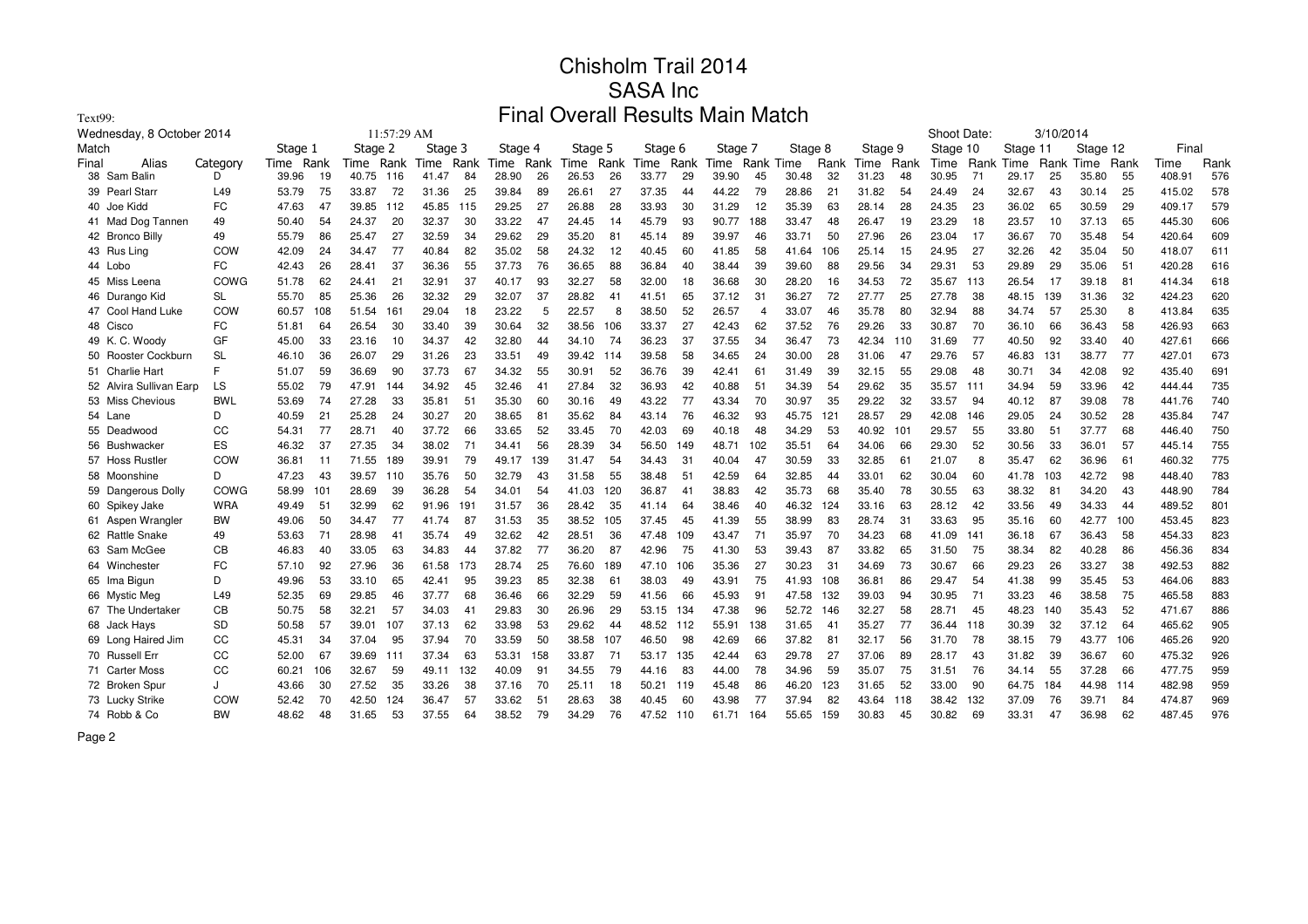| Text99:                   |            |       |                                                                                                                                                                                |       |      |       |      | Final |      |       |      |       |      |       |     |           |      |       |           |       |     |           |           |          |      |        |      |
|---------------------------|------------|-------|--------------------------------------------------------------------------------------------------------------------------------------------------------------------------------|-------|------|-------|------|-------|------|-------|------|-------|------|-------|-----|-----------|------|-------|-----------|-------|-----|-----------|-----------|----------|------|--------|------|
| Wednesday, 8 October 2014 |            |       | <b>Overall Results Main Match</b><br>11:57:29 AM<br>Shoot Date:<br>Stage 1<br>Stage 3<br>Stage 4<br>Stage 8<br>Stage 9<br>Stage 2<br>Stage 5<br>Stage 6<br>Stage 7<br>Stage 10 |       |      |       |      |       |      |       |      |       |      |       |     |           |      |       | 3/10/2014 |       |     |           |           |          |      |        |      |
| Match                     |            |       |                                                                                                                                                                                |       |      |       |      |       |      |       |      |       |      |       |     |           |      |       |           |       |     | Stage 11  |           | Stage 12 |      | Final  |      |
| Final<br>Alias            | Category   | Time  | Rank                                                                                                                                                                           | Time  | Rank | Time  | Rank | Time  | Rank | Time  | Rank | Time  | Rank | Time  |     | Rank Time | Rank | Time  | Rank      | Time  |     | Rank Time | Rank Time |          | Rank | Time   | Rank |
| Sam Balin<br>38           | D          | 39.96 | 19                                                                                                                                                                             | 40.75 | 116  | 41.47 | 84   | 28.90 | 26   | 26.53 | 26   | 33.77 | 29   | 39.90 | 45  | 30.48     | 32   | 31.23 | 48        | 30.95 | 71  | 29.17     | 25        | 35.80    | 55   | 408.91 | 576  |
| <b>Pearl Starr</b><br>39  | L49        | 53.79 | 75                                                                                                                                                                             | 33.87 | 72   | 31.36 | 25   | 39.84 | 89   | 26.61 | 27   | 37.35 | 44   | 44.22 | 79  | 28.86     | 21   | 31.82 | 54        | 24.49 | 24  | 32.67     | 43        | 30.14    | 25   | 415.02 | 578  |
| 40 Joe Kidd               | <b>FC</b>  | 47.63 | 47                                                                                                                                                                             | 39.85 | 112  | 45.85 | 115  | 29.25 | 27   | 26.88 | 28   | 33.93 | 30   | 31.29 | 12  | 35.39     | 63   | 28.14 | 28        | 24.35 | 23  | 36.02     | 65        | 30.59    | 29   | 409.17 | 579  |
| 41 Mad Dog Tannen         | 49         | 50.40 | 54                                                                                                                                                                             | 24.37 | 20   | 32.37 | 30   | 33.22 | 47   | 24.45 | 14   | 45.79 | 93   | 90.77 | 188 | 33.47     | 48   | 26.47 | 19        | 23.29 | 18  | 23.57     | 10        | 37.13    | 65   | 445.30 | 606  |
| 42 Bronco Billy           | 49         | 55.79 | 86                                                                                                                                                                             | 25.47 | 27   | 32.59 | 34   | 29.62 | 29   | 35.20 | 81   | 45.14 | 89   | 39.97 | 46  | 33.71     | 50   | 27.96 | 26        | 23.04 | 17  | 36.67     | 70        | 35.48    | 54   | 420.64 | 609  |
| 43 Rus Ling               | COW        | 42.09 | 24                                                                                                                                                                             | 34.47 | 77   | 40.84 | 82   | 35.02 | 58   | 24.32 | 12   | 40.45 | 60   | 41.85 | 58  | 41.64     | 106  | 25.14 | 15        | 24.95 | 27  | 32.26     | 42        | 35.04    | 50   | 418.07 | 611  |
| 44 Lobo                   | FC         | 42.43 | 26                                                                                                                                                                             | 28.41 | 37   | 36.36 | 55   | 37.73 | 76   | 36.65 | 88   | 36.84 | 40   | 38.44 | 39  | 39.60     | 88   | 29.56 | 34        | 29.31 | 53  | 29.89     | 29        | 35.06    | 51   | 420.28 | 616  |
| 45 Miss Leena             | COWG       | 51.78 | 62                                                                                                                                                                             | 24.41 | 21   | 32.91 | 37   | 40.17 | 93   | 32.27 | 58   | 32.00 | 18   | 36.68 | 30  | 28.20     | 16   | 34.53 | 72        | 35.67 | 113 | 26.54     | 17        | 39.18    | 81   | 414.34 | 618  |
| 46 Durango Kid            | <b>SL</b>  | 55.70 | 85                                                                                                                                                                             | 25.36 | 26   | 32.32 | 29   | 32.07 | 37   | 28.82 | 41   | 41.51 | 65   | 37.12 | 31  | 36.27     | 72   | 27.77 | 25        | 27.78 | 38  | 48.15     | 139       | 31.36    | 32   | 424.23 | 620  |
| 47 Cool Hand Luke         | COW        | 60.57 | 108                                                                                                                                                                            | 51.54 | 161  | 29.04 | 18   | 23.22 | 5    | 22.57 | 8    | 38.50 | 52   | 26.57 | 4   | 33.07     | 46   | 35.78 | 80        | 32.94 | 88  | 34.74     | 57        | 25.30    | 8    | 413.84 | 635  |
| 48 Cisco                  | FC         | 51.81 | 64                                                                                                                                                                             | 26.54 | 30   | 33.40 | 39   | 30.64 | 32   | 38.56 | 106  | 33.37 | 27   | 42.43 | 62  | 37.52     | 76   | 29.26 | 33        | 30.87 | 70  | 36.10     | 66        | 36.43    | 58   | 426.93 | 663  |
| 49 K. C. Woody            | GF         | 45.00 | 33                                                                                                                                                                             | 23.16 | 10   | 34.37 | 42   | 32.80 | 44   | 34.10 | 74   | 36.23 | 37   | 37.55 | 34  | 36.47     | 73   | 42.34 | 110       | 31.69 | 77  | 40.50     | 92        | 33.40    | 40   | 427.61 | 666  |
| 50 Rooster Cockburn       | <b>SL</b>  | 46.10 | 36                                                                                                                                                                             | 26.07 | 29   | 31.26 | 23   | 33.51 | 49   | 39.42 | 114  | 39.58 | 58   | 34.65 | 24  | 30.00     | 28   | 31.06 | 47        | 29.76 | 57  | 46.83     | 131       | 38.77    | 77   | 427.01 | 673  |
| 51 Charlie Hart           | F.         | 51.07 | 59                                                                                                                                                                             | 36.69 | 90   | 37.73 | 67   | 34.32 | 55   | 30.91 | 52   | 36.76 | 39   | 42.41 | 61  | 31.49     | 39   | 32.15 | 55        | 29.08 | 48  | 30.71     | 34        | 42.08    | 92   | 435.40 | 691  |
| 52 Alvira Sullivan Earp   | LS         | 55.02 | 79                                                                                                                                                                             | 47.91 | 144  | 34.92 | 45   | 32.46 | 41   | 27.84 | 32   | 36.93 | 42   | 40.88 | 51  | 34.39     | 54   | 29.62 | 35        | 35.57 | 111 | 34.94     | 59        | 33.96    | 42   | 444.44 | 735  |
| 53 Miss Chevious          | <b>BWL</b> | 53.69 | 74                                                                                                                                                                             | 27.28 | 33   | 35.81 | 51   | 35.30 | 60   | 30.16 | 49   | 43.22 | 77   | 43.34 | 70  | 30.97     | 35   | 29.22 | 32        | 33.57 | 94  | 40.12     | 87        | 39.08    | 78   | 441.76 | 740  |
| 54 Lane                   | D          | 40.59 | 21                                                                                                                                                                             | 25.28 | 24   | 30.27 | 20   | 38.65 | 81   | 35.62 | 84   | 43.14 | 76   | 46.32 | 93  | 45.75     | 121  | 28.57 | 29        | 42.08 | 146 | 29.05     | 24        | 30.52    | 28   | 435.84 | 747  |
| 55<br>Deadwood            | CC         | 54.31 | 77                                                                                                                                                                             | 28.71 | 40   | 37.72 | 66   | 33.65 | 52   | 33.45 | 70   | 42.03 | 69   | 40.18 | 48  | 34.29     | 53   | 40.92 | 101       | 29.57 | 55  | 33.80     | 51        | 37.77    | 68   | 446.40 | 750  |
| Bushwacker<br>56          | ES         | 46.32 | 37                                                                                                                                                                             | 27.35 | 34   | 38.02 | 71   | 34.41 | 56   | 28.39 | 34   | 56.50 | 149  | 48.71 | 102 | 35.51     | 64   | 34.06 | 66        | 29.30 | 52  | 30.56     | 33        | 36.01    | 57   | 445.14 | 755  |
| 57 Hoss Rustler           | COW        | 36.81 | 11                                                                                                                                                                             | 71.55 | 189  | 39.91 | 79   | 49.17 | 139  | 31.47 | 54   | 34.43 | 31   | 40.04 | 47  | 30.59     | 33   | 32.85 | 61        | 21.07 | 8   | 35.47     | 62        | 36.96    | 61   | 460.32 | 775  |
| 58 Moonshine              | D          | 47.23 | 43                                                                                                                                                                             | 39.57 | 110  | 35.76 | 50   | 32.79 | 43   | 31.58 | 55   | 38.48 | 51   | 42.59 | 64  | 32.85     | 44   | 33.01 | 62        | 30.04 | 60  | 41.78     | 103       | 42.72    | 98   | 448.40 | 783  |
| 59 Dangerous Dolly        | COWG       | 58.99 | 101                                                                                                                                                                            | 28.69 | 39   | 36.28 | 54   | 34.01 | 54   | 41.03 | 120  | 36.87 | 41   | 38.83 | 42  | 35.73     | 68   | 35.40 | 78        | 30.55 | 63  | 38.32     | 81        | 34.20    | 43   | 448.90 | 784  |
| 60 Spikey Jake            | <b>WRA</b> | 49.49 | 51                                                                                                                                                                             | 32.99 | 62   | 91.96 | 191  | 31.57 | 36   | 28.42 | 35   | 41.14 | 64   | 38.46 | 40  | 46.32     | 124  | 33.16 | 63        | 28.12 | 42  | 33.56     | 49        | 34.33    | 44   | 489.52 | 801  |
| 61 Aspen Wrangler         | <b>BW</b>  | 49.06 | 50                                                                                                                                                                             | 34.47 | 77   | 41.74 | 87   | 31.53 | 35   | 38.52 | 105  | 37.45 | 45   | 41.39 | 55  | 38.99     | 83   | 28.74 | 31        | 33.63 | 95  | 35.16     | 60        | 42.77    | 100  | 453.45 | 823  |
| 62 Rattle Snake           | 49         | 53.63 | 71                                                                                                                                                                             | 28.98 | 41   | 35.74 | 49   | 32.62 | 42   | 28.51 | 36   | 47.48 | 109  | 43.47 | 71  | 35.97     | 70   | 34.23 | 68        | 41.09 | 141 | 36.18     | 67        | 36.43    | 58   | 454.33 | 823  |
| 63 Sam McGee              | СB         | 46.83 | 40                                                                                                                                                                             | 33.05 | 63   | 34.83 | -44  | 37.82 | 77   | 36.20 | 87   | 42.96 | 75   | 41.30 | 53  | 39.43     | 87   | 33.82 | 65        | 31.50 | 75  | 38.34     | 82        | 40.28    | 86   | 456.36 | 834  |
| 64 Winchester             | <b>FC</b>  | 57.10 | 92                                                                                                                                                                             | 27.96 | 36   | 61.58 | 173  | 28.74 | 25   | 76.60 | 189  | 47.10 | 106  | 35.36 | 27  | 30.23     | 31   | 34.69 | 73        | 30.67 | 66  | 29.23     | 26        | 33.27    | 38   | 492.53 | 882  |
| 65 Ima Bigun              | D          | 49.96 | 53                                                                                                                                                                             | 33.10 | 65   | 42.41 | 95   | 39.23 | 85   | 32.38 | 61   | 38.03 | 49   | 43.91 | 75  | 41.93     | 108  | 36.81 | 86        | 29.47 | 54  | 41.38     | 99        | 35.45    | 53   | 464.06 | 883  |
| 66 Mystic Meg             | L49        | 52.35 | 69                                                                                                                                                                             | 29.85 | 46   | 37.77 | 68   | 36.46 | 66   | 32.29 | 59   | 41.56 | 66   | 45.93 | 91  | 47.58     | 132  | 39.03 | 94        | 30.95 | 71  | 33.23     | 46        | 38.58    | 75   | 465.58 | 883  |
| 67 The Undertaker         | CВ         | 50.75 | 58                                                                                                                                                                             | 32.21 | 57   | 34.03 | 41   | 29.83 | 30   | 26.96 | 29   | 53.15 | 134  | 47.38 | 96  | 52.72     | 146  | 32.27 | 58        | 28.71 | 45  | 48.23     | 140       | 35.43    | 52   | 471.67 | 886  |
| 68 Jack Hays              | <b>SD</b>  | 50.58 | 57                                                                                                                                                                             | 39.01 | 107  | 37.13 | 62   | 33.98 | 53   | 29.62 | 44   | 48.52 | 112  | 55.91 | 138 | 31.65     | 41   | 35.27 | 77        | 36.44 | 118 | 30.39     | 32        | 37.12    | 64   | 465.62 | 905  |
| 69 Long Haired Jim        | CC         | 45.31 | 34                                                                                                                                                                             | 37.04 | 95   | 37.94 | 70   | 33.59 | 50   | 38.58 | 107  | 46.50 | 98   | 42.69 | 66  | 37.82     | 81   | 32.17 | 56        | 31.70 | 78  | 38.15     | 79        | 43.77    | 106  | 465.26 | 920  |
| 70 Russell Err            | CC         | 52.00 | 67                                                                                                                                                                             | 39.69 | 111  | 37.34 | 63   | 53.31 | 158  | 33.87 | 71   | 53.17 | 135  | 42.44 | 63  | 29.78     | 27   | 37.06 | 89        | 28.17 | 43  | 31.82     | 39        | 36.67    | 60   | 475.32 | 926  |
| 71 Carter Moss            | CC         | 60.21 | 106                                                                                                                                                                            | 32.67 | 59   | 49.11 | 132  | 40.09 | 91   | 34.55 | 79   | 44.16 | 83   | 44.00 | 78  | 34.96     | 59   | 35.07 | 75        | 31.51 | 76  | 34.14     | 55        | 37.28    | 66   | 477.75 | 959  |
| 72 Broken Spur            | J          | 43.66 | 30                                                                                                                                                                             | 27.52 | 35   | 33.26 | 38   | 37.16 | 70   | 25.11 | 18   | 50.21 | 119  | 45.48 | 86  | 46.20     | 123  | 31.65 | 52        | 33.00 | 90  | 64.75     | 184       | 44.98    | -114 | 482.98 | 959  |
| 73 Lucky Strike           | COW        | 52.42 | 70                                                                                                                                                                             | 42.50 | 124  | 36.47 | 57   | 33.62 | 51   | 28.63 | 38   | 40.45 | 60   | 43.98 | 77  | 37.94     | 82   | 43.64 | 118       | 38.42 | 132 | 37.09     | 76        | 39.71    | 84   | 474.87 | 969  |
| 74 Robb & Co              | BW         | 48.62 | 48                                                                                                                                                                             | 31.65 | 53   | 37.55 | 64   | 38.52 | 79   | 34.29 | 76   | 47.52 | 110  | 61.71 | 164 | 55.65     | 159  | 30.83 | 45        | 30.82 | 69  | 33.31     | 47        | 36.98    | 62   | 487.45 | 976  |
|                           |            |       |                                                                                                                                                                                |       |      |       |      |       |      |       |      |       |      |       |     |           |      |       |           |       |     |           |           |          |      |        |      |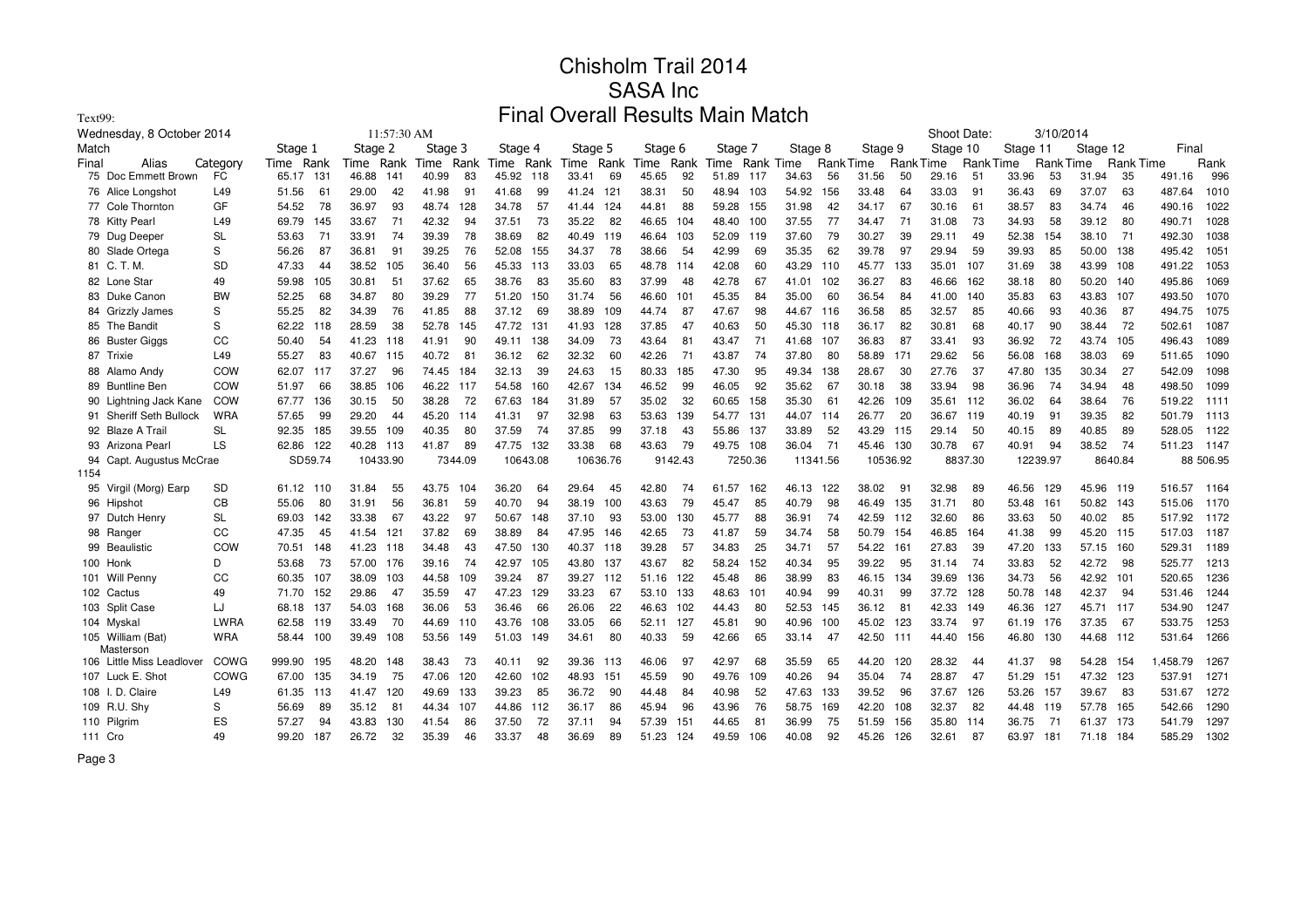| Text99:                        |            |         |         |         |             |         |         | Final   |          |         |          | <b>Overall Results Main Match</b> |         |         |         |           |                 |          |                 |             |           |          |                 |           |                  |             |           |
|--------------------------------|------------|---------|---------|---------|-------------|---------|---------|---------|----------|---------|----------|-----------------------------------|---------|---------|---------|-----------|-----------------|----------|-----------------|-------------|-----------|----------|-----------------|-----------|------------------|-------------|-----------|
| Wednesday, 8 October 2014      |            |         |         |         | 11:57:30 AM |         |         |         |          |         |          |                                   |         |         |         |           |                 |          |                 | Shoot Date: |           |          | 3/10/2014       |           |                  |             |           |
| Match                          |            | Stage 1 |         | Stage 2 |             | Stage 3 |         | Stage 4 |          | Stage 5 |          | Stage 6                           |         | Stage 7 |         | Stage 8   |                 | Stage 9  |                 | Stage 10    |           | Stage 11 |                 | Stage 12  |                  | Final       |           |
| Final<br>Alias                 | Category   | Time    | Rank    | Time    | Rank        | Time    | Rank    | Time    | Rank     | Time    | Rank     | Time                              | Rank    | Time    |         | Rank Time | <b>RankTime</b> |          | <b>RankTime</b> |             | Rank Time |          | <b>RankTime</b> |           | <b>Rank Time</b> |             | Rank      |
| 75 Doc Emmett Brown            | FC         | 65.17   | 131     | 46.88   | 141         | 40.99   | 83      | 45.92   | 118      | 33.41   | 69       | 45.65                             | 92      | 51.89   | 117     | 34.63     | 56              | 31.56    | 50              | 29.16       | 51        | 33.96    | 53              | 31.94     | 35               | 491.16      | 996       |
| 76 Alice Longshot              | L49        | 51.56   | 61      | 29.00   | 42          | 41.98   | 91      | 41.68   | 99       | 41.24   | 121      | 38.31                             | 50      | 48.94   | 103     | 54.92     | 156             | 33.48    | 64              | 33.03       | 91        | 36.43    | 69              | 37.07     | 63               | 487.64      | 1010      |
| 77 Cole Thornton               | GF         | 54.52   | 78      | 36.97   | 93          | 48.74   | 128     | 34.78   | 57       | 41.44   | 124      | 44.81                             | 88      | 59.28   | 155     | 31.98     | 42              | 34.17    | 67              | 30.16       | 61        | 38.57    | 83              | 34.74     | 46               | 490.16      | 1022      |
| 78 Kitty Pearl                 | L49        | 69.79   | 145     | 33.67   | 71          | 42.32   | 94      | 37.51   | 73       | 35.22   | 82       | 46.65                             | 104     | 48.40   | 100     | 37.55     | 77              | 34.47    | 71              | 31.08       | 73        | 34.93    | 58              | 39.12     | 80               | 490.71      | 1028      |
| 79 Dug Deeper                  | <b>SL</b>  | 53.63   | 71      | 33.91   | 74          | 39.39   | 78      | 38.69   | 82       | 40.49   | 119      | 46.64                             | 103     | 52.09   | 119     | 37.60     | 79              | 30.27    | 39              | 29.11       | 49        | 52.38    | 154             | 38.10     | 71               | 492.30      | 1038      |
| 80 Slade Ortega                | S          | 56.26   | 87      | 36.81   | 91          | 39.25   | 76      | 52.08   | 155      | 34.37   | 78       | 38.66                             | 54      | 42.99   | 69      | 35.35     | 62              | 39.78    | 97              | 29.94       | 59        | 39.93    | 85              | 50.00 138 |                  | 495.42      | 1051      |
| 81 C. T. M.                    | <b>SD</b>  | 47.33   | 44      | 38.52   | 105         | 36.40   | 56      | 45.33   | 113      | 33.03   | 65       | 48.78                             | 114     | 42.08   | 60      | 43.29     | 110             | 45.77    | 133             | 35.01       | 107       | 31.69    | 38              | 43.99 108 |                  | 491.22      | 1053      |
| 82 Lone Star                   | 49         | 59.98   | 105     | 30.81   | 51          | 37.62   | 65      | 38.76   | 83       | 35.60   | 83       | 37.99                             | 48      | 42.78   | 67      | 41.01     | 102             | 36.27    | 83              | 46.66       | 162       | 38.18    | 80              | 50.20 140 |                  | 495.86      | 1069      |
| 83 Duke Canon                  | <b>BW</b>  | 52.25   | 68      | 34.87   | 80          | 39.29   | 77      | 51.20   | 150      | 31.74   | 56       | 46.60                             | 101     | 45.35   | 84      | 35.00     | 60              | 36.54    | 84              | 41.00       | 140       | 35.83    | 63              | 43.83     | 107              | 493.50      | 1070      |
| 84 Grizzly James               | S          | 55.25   | 82      | 34.39   | 76          | 41.85   | 88      | 37.12   | 69       | 38.89   | 109      | 44.74                             | 87      | 47.67   | 98      | 44.67     | 116             | 36.58    | 85              | 32.57       | 85        | 40.66    | 93              | 40.36     | 87               | 494.75      | 1075      |
| 85 The Bandit                  | S          | 62.22   | 118     | 28.59   | 38          | 52.78   | 145     | 47.72   | -131     | 41.93   | 128      | 37.85                             | 47      | 40.63   | 50      | 45.30 118 |                 | 36.17    | 82              | 30.81       | 68        | 40.17    | 90              | 38.44     | 72               | 502.61      | 1087      |
| 86 Buster Giggs                | CC         | 50.40   | 54      | 41.23   | 118         | 41.91   | 90      | 49.11   | 138      | 34.09   | 73       | 43.64                             | 81      | 43.47   | 71      | 41.68     | 107             | 36.83    | 87              | 33.41       | 93        | 36.92    | 72              | 43.74 105 |                  | 496.43      | 1089      |
| 87 Trixie                      | L49        | 55.27   | 83      | 40.67   | 115         | 40.72   | 81      | 36.12   | 62       | 32.32   | 60       | 42.26                             | 71      | 43.87   | 74      | 37.80     | 80              | 58.89    | 171             | 29.62       | 56        | 56.08    | 168             | 38.03     | 69               | 511.65      | 1090      |
| 88 Alamo Andy                  | COW        | 62.07   | 117     | 37.27   | 96          | 74.45   | 184     | 32.13   | 39       | 24.63   | 15       | 80.33                             | 185     | 47.30   | 95      | 49.34     | 138             | 28.67    | 30              | 27.76       | 37        | 47.80    | 135             | 30.34     | 27               | 542.09      | 1098      |
| 89 Buntline Ben                | COW        | 51.97   | 66      | 38.85   | 106         | 46.22   | 117     | 54.58   | 160      | 42.67   | 134      | 46.52                             | 99      | 46.05   | 92      | 35.62     | 67              | 30.18    | 38              | 33.94       | 98        | 36.96    | 74              | 34.94     | 48               | 498.50      | 1099      |
| 90 Lightning Jack Kane         | COW        | 67.77   | 136     | 30.15   | 50          | 38.28   | 72      | 67.63   | 184      | 31.89   | 57       | 35.02                             | 32      | 60.65   | 158     | 35.30     | 61              | 42.26    | 109             | 35.61       | 112       | 36.02    | 64              | 38.64     | 76               | 519.22      | 1111      |
| 91 Sheriff Seth Bullock        | <b>WRA</b> | 57.65   | 99      | 29.20   | 44          | 45.20   | 114     | 41.31   | 97       | 32.98   | 63       | 53.63                             | 139     | 54.77   | 131     | 44.07     | 114             | 26.77    | 20              | 36.67       | 119       | 40.19    | 91              | 39.35     | 82               | 501.79      | 1113      |
| 92 Blaze A Trail               | <b>SL</b>  | 92.35   | 185     | 39.55   | 109         | 40.35   | 80      | 37.59   | 74       | 37.85   | 99       | 37.18                             | 43      | 55.86   | 137     | 33.89     | 52              | 43.29    | 115             | 29.14       | 50        | 40.15    | 89              | 40.85     | 89               | 528.05      | 1122      |
| 93 Arizona Pearl               | LS         | 62.86   | 122     | 40.28   | - 113       | 41.87   | 89      | 47.75   | 132      | 33.38   | 68       | 43.63                             | 79      | 49.75   | 108     | 36.04     | 71              | 45.46    | 130             | 30.78       | 67        | 40.91    | 94              | 38.52     | 74               | 511.23      | 1147      |
| 94 Capt. Augustus McCrae       |            |         | SD59.74 |         | 10433.90    |         | 7344.09 |         | 10643.08 |         | 10636.76 |                                   | 9142.43 |         | 7250.36 |           | 11341.56        | 10536.92 |                 |             | 8837.30   | 12239.97 |                 |           | 8640.84          |             | 88 506.95 |
| 1154                           |            |         |         |         |             |         |         |         |          |         |          |                                   |         |         |         |           |                 |          |                 |             |           |          |                 |           |                  |             |           |
| 95 Virgil (Morg) Earp          | <b>SD</b>  | 61.12   | 110     | 31.84   | 55          | 43.75   | 104     | 36.20   | 64       | 29.64   | 45       | 42.80                             | 74      | 61.57   | 162     | 46.13     | 122             | 38.02    | 91              | 32.98       | 89        | 46.56    | 129             | 45.96 119 |                  | 516.57 1164 |           |
| 96 Hipshot                     | CB         | 55.06   | 80      | 31.91   | 56          | 36.81   | 59      | 40.70   | 94       | 38.19   | 100      | 43.63                             | 79      | 45.47   | 85      | 40.79     | 98              | 46.49    | 135             | 31.71       | 80        | 53.48    | 161             | 50.82 143 |                  | 515.06      | 1170      |
| 97 Dutch Henry                 | <b>SL</b>  | 69.03   | 142     | 33.38   | 67          | 43.22   | 97      | 50.67   | 148      | 37.10   | 93       | 53.00                             | 130     | 45.77   | 88      | 36.91     | 74              | 42.59    | 112             | 32.60       | 86        | 33.63    | 50              | 40.02     | 85               | 517.92      | 1172      |
| 98 Ranger                      | CC         | 47.35   | 45      | 41.54   | 121         | 37.82   | 69      | 38.89   | 84       | 47.95   | 146      | 42.65                             | 73      | 41.87   | 59      | 34.74     | 58              | 50.79    | 154             | 46.85       | 164       | 41.38    | 99              | 45.20 115 |                  | 517.03      | 1187      |
| 99 Beaulistic                  | COW        | 70.51   | 148     | 41.23   | 118         | 34.48   | 43      | 47.50   | 130      | 40.37   | 118      | 39.28                             | 57      | 34.83   | 25      | 34.71     | 57              | 54.22    | 161             | 27.83       | 39        | 47.20    | 133             | 57.15 160 |                  | 529.31      | 1189      |
| 100 Honk                       | D          | 53.68   | 73      | 57.00   | 176         | 39.16   | 74      | 42.97   | 105      | 43.80   | 137      | 43.67                             | 82      | 58.24   | 152     | 40.34     | 95              | 39.22    | 95              | 31.14       | 74        | 33.83    | 52              | 42.72     | 98               | 525.77      | 1213      |
| 101 Will Penny                 | CC         | 60.35   | 107     | 38.09   | 103         | 44.58   | 109     | 39.24   | 87       | 39.27   | 112      | 51.16                             | 122     | 45.48   | 86      | 38.99     | 83              | 46.15    | 134             | 39.69       | 136       | 34.73    | 56              | 42.92 101 |                  | 520.65      | 1236      |
| 102 Cactus                     | 49         | 71.70   | 152     | 29.86   | 47          | 35.59   | 47      | 47.23   | 129      | 33.23   | 67       | 53.10                             | 133     | 48.63   | 101     | 40.94     | 99              | 40.31    | 99              | 37.72       | 128       | 50.78    | 148             | 42.37     | 94               | 531.46      | 1244      |
| 103 Split Case                 | LJ         | 68.18   | 137     | 54.03   | 168         | 36.06   | 53      | 36.46   | 66       | 26.06   | 22       | 46.63                             | 102     | 44.43   | 80      | 52.53     | 145             | 36.12    | 81              | 42.33       | 149       | 46.36    | 127             | 45.71 117 |                  | 534.90      | 1247      |
| 104 Myskal                     | LWRA       | 62.58   | 119     | 33.49   | 70          | 44.69   | 110     | 43.76   | 108      | 33.05   | 66       | 52.11                             | 127     | 45.81   | 90      | 40.96     | 100             | 45.02    | 123             | 33.74       | 97        | 61.19    | 176             | 37.35     | 67               | 533.75      | 1253      |
| 105 William (Bat)<br>Masterson | <b>WRA</b> | 58.44   | 100     | 39.49   | 108         | 53.56   | 149     | 51.03   | 149      | 34.61   | 80       | 40.33                             | 59      | 42.66   | 65      | 33.14     | 47              | 42.50    | 111             | 44.40       | 156       | 46.80    | 130             | 44.68 112 |                  | 531.64      | 1266      |
| 106 Little Miss Leadlover      | COWG       | 999.90  | 195     | 48.20   | 148         | 38.43   | 73      | 40.11   | 92       | 39.36   | 113      | 46.06                             | 97      | 42.97   | 68      | 35.59     | 65              | 44.20    | 120             | 28.32       | 44        | 41.37    | 98              | 54.28 154 |                  | 1,458.79    | 1267      |
| 107 Luck E. Shot               | COWG       | 67.00   | 135     | 34.19   | 75          | 47.06   | 120     | 42.60   | 102      | 48.93   | 151      | 45.59                             | 90      | 49.76   | 109     | 40.26     | 94              | 35.04    | 74              | 28.87       | 47        | 51.29    | 151             | 47.32 123 |                  | 537.91      | 1271      |
| 108 I.D. Claire                | L49        | 61.35   | 113     | 41.47   | 120         | 49.69   | 133     | 39.23   | 85       | 36.72   | 90       | 44.48                             | 84      | 40.98   | 52      | 47.63     | 133             | 39.52    | 96              | 37.67       | 126       | 53.26    | 157             | 39.67     | 83               | 531.67      | 1272      |
| 109 R.U. Shy                   | S          | 56.69   | 89      | 35.12   | 81          | 44.34   | 107     | 44.86   | 112      | 36.17   | 86       | 45.94                             | 96      | 43.96   | 76      | 58.75     | 169             | 42.20    | 108             | 32.37       | 82        | 44.48    | 119             | 57.78 165 |                  | 542.66      | 1290      |
| 110 Pilgrim                    | ES         | 57.27   | 94      | 43.83   | 130         | 41.54   | 86      | 37.50   | 72       | 37.11   | 94       | 57.39                             | 151     | 44.65   | 81      | 36.99     | 75              | 51.59    | 156             | 35.80       | 114       | 36.75    | 71              | 61.37     | 173              | 541.79      | 1297      |
| 111 Cro                        | 49         | 99.20   | 187     | 26.72   | 32          | 35.39   | 46      | 33.37   | 48       | 36.69   | 89       | 51.23                             | 124     | 49.59   | 106     | 40.08     | 92              | 45.26    | 126             | 32.61       | 87        | 63.97    | 181             | 71.18 184 |                  | 585.29      | 1302      |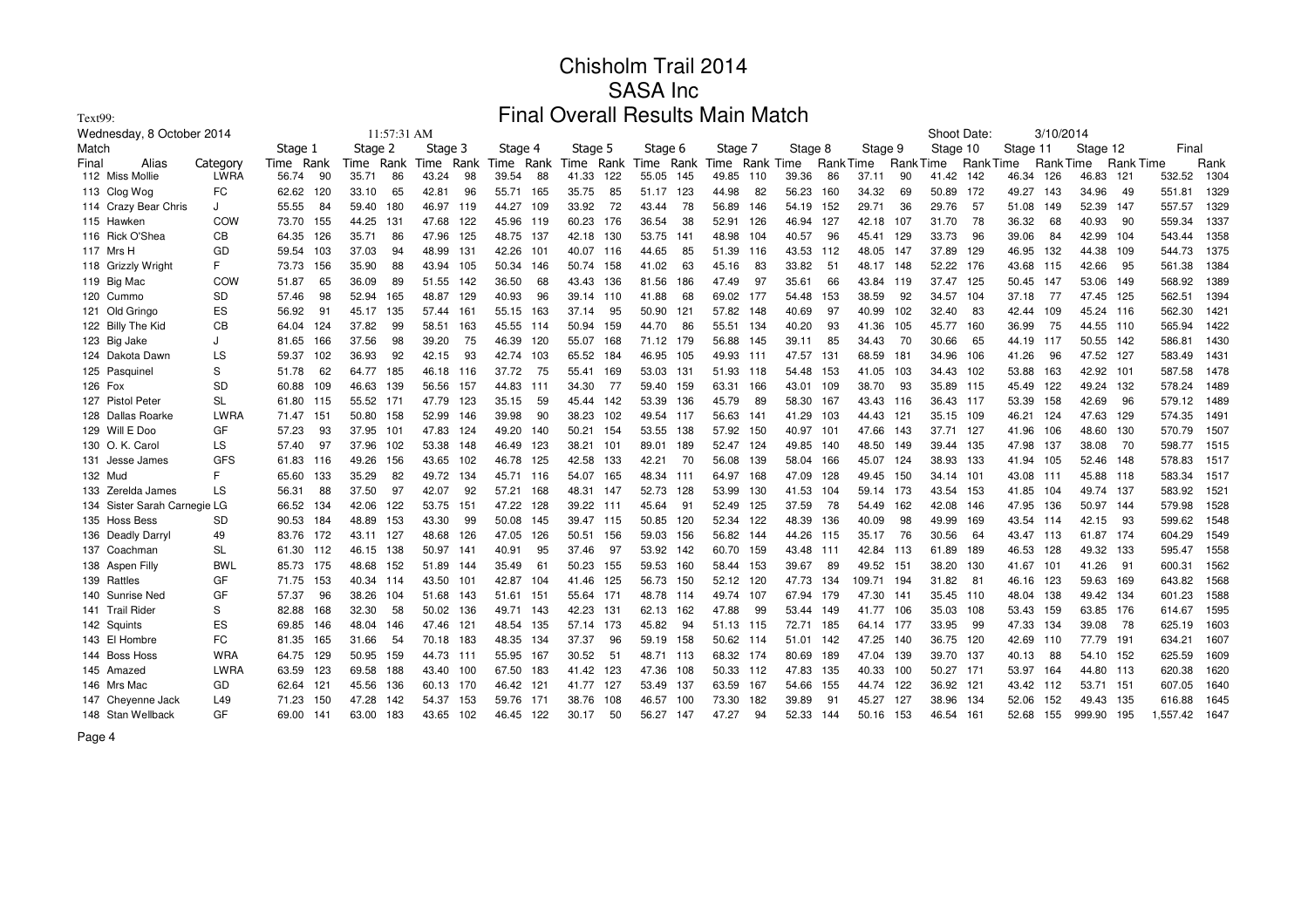| Text99:                      |             |              |               |              | Final          |              | <b>Overall Results Main Match</b> |                |               |               |                 |                 |                 |           |                  |          |      |
|------------------------------|-------------|--------------|---------------|--------------|----------------|--------------|-----------------------------------|----------------|---------------|---------------|-----------------|-----------------|-----------------|-----------|------------------|----------|------|
| Wednesday, 8 October 2014    |             |              | 11:57:31 AM   |              |                |              |                                   |                |               |               | Shoot Date:     |                 | 3/10/2014       |           |                  |          |      |
| Match                        |             | Stage 1      | Stage 2       | Stage 3      | Stage 4        | Stage 5      | Stage 6                           | Stage 7        | Stage 8       | Stage 9       | Stage 10        | Stage 11        |                 | Stage 12  |                  | Final    |      |
| Alias<br>Final               | Category    | Rank<br>Time | Rank<br>Time  | Rank<br>Time | Rank<br>Time   | Time Rank    | Rank<br>Time                      | Time Rank Time |               | Rank Time     | <b>RankTime</b> | <b>RankTime</b> | <b>RankTime</b> |           | <b>Rank Time</b> |          | Rank |
| 112 Miss Mollie              | <b>LWRA</b> | 56.74<br>90  | 35.71<br>86   | 43.24<br>98  | 39.54<br>88    | 41.33<br>122 | 55.05<br>145                      | 49.85<br>110   | 39.36<br>86   | 37.11<br>90   | 41.42           | 142<br>46.34    | 126             | 46.83 121 |                  | 532.52   | 1304 |
| 113 Clog Wog                 | FC          | 62.62<br>120 | 33.10<br>65   | 42.81<br>96  | 55.71<br>165   | 35.75<br>85  | 123<br>51.17                      | 44.98<br>82    | 56.23<br>160  | 34.32<br>69   | 50.89           | 172<br>49.27    | 143             | 34.96     | 49               | 551.81   | 1329 |
| 114 Crazy Bear Chris         | J           | 55.55<br>84  | 59.40<br>180  | 46.97<br>119 | 44.27<br>109   | 72<br>33.92  | 78<br>43.44                       | 56.89<br>146   | 152<br>54.19  | 29.71<br>36   | 29.76           | 57<br>51.08     | 149             | 52.39     | 147              | 557.57   | 1329 |
| 115 Hawken                   | COW         | 73.70<br>155 | 44.25<br>-131 | 47.68<br>122 | 45.96<br>119   | 60.23<br>176 | 36.54<br>38                       | 52.91<br>126   | 46.94<br>127  | 42.18<br>107  | 31.70           | 78<br>36.32     | 68              | 40.93     | 90               | 559.34   | 1337 |
| 116 Rick O'Shea              | CВ          | 64.35<br>126 | 35.71<br>86   | 47.96<br>125 | 48.75<br>- 137 | 42.18<br>130 | 53.75<br>$14^{\circ}$             | 48.98<br>104   | 96<br>40.57   | 45.41<br>129  | 33.73           | 39.06<br>96     | 84              | 42.99     | - 104            | 543.44   | 1358 |
| 117 Mrs H                    | GD          | 103<br>59.54 | 37.03<br>94   | 48.99<br>131 | 42.26<br>101   | 40.07<br>116 | 44.65<br>85                       | 51.39<br>116   | 43.53<br>112  | 48.05<br>147  | 37.89           | 129<br>46.95    | 132             | 44.38 109 |                  | 544.73   | 1375 |
| 118 Grizzly Wright           | F.          | 73.73<br>156 | 35.90<br>88   | 43.94<br>105 | 50.34<br>146   | 50.74<br>158 | 41.02<br>63                       | 45.16<br>83    | 33.82<br>51   | 48.17<br>148  | 52.22           | 176<br>43.68    | 115             | 42.66     | 95               | 561.38   | 1384 |
| 119 Big Mac                  | COW         | 51.87<br>65  | 36.09<br>89   | 51.55<br>142 | 36.50<br>68    | 43.43<br>136 | 81.56<br>186                      | 47.49<br>97    | 66<br>35.61   | 43.84<br>119  | 37.47           | 125<br>50.45    | 147             | 53.06     | 149              | 568.92   | 1389 |
| 120 Cummo                    | <b>SD</b>   | 57.46<br>98  | 52.94<br>165  | 48.87<br>129 | 40.93<br>96    | 39.14<br>110 | 41.88<br>68                       | 69.02<br>177   | 54.48<br>153  | 38.59<br>92   | 34.57           | 104<br>37.18    | -77             | 47.45     | 125              | 562.51   | 1394 |
| 121 Old Gringo               | ES          | 56.92<br>91  | 135<br>45.17  | 57.44<br>161 | 55.15<br>163   | 37.14<br>95  | 50.90<br>121                      | 57.82<br>148   | 40.69<br>97   | 40.99<br>102  | 32.40           | 83<br>42.44     | 109             | 45.24 116 |                  | 562.30   | 1421 |
| 122 Billy The Kid            | CВ          | 124<br>64.04 | 37.82<br>99   | 58.51<br>163 | 45.55<br>114   | 50.94<br>159 | 44.70<br>86                       | 55.51<br>134   | 40.20<br>93   | 41.36<br>105  | 45.77           | 160<br>36.99    | 75              | 44.55 110 |                  | 565.94   | 1422 |
| 123 Big Jake                 | J           | 81.65<br>166 | 37.56<br>98   | 75<br>39.20  | 46.39<br>120   | 55.07<br>168 | 71.12<br>179                      | 56.88<br>145   | 85<br>39.11   | 34.43<br>70   | 30.66           | 44.19<br>65     | 117             | 50.55 142 |                  | 586.81   | 1430 |
| 124 Dakota Dawn              | LS          | 59.37<br>102 | 36.93<br>92   | 42.15<br>93  | 42.74<br>103   | 65.52<br>184 | 46.95<br>105                      | 49.93<br>111   | 47.57<br>131  | 68.59<br>181  | 34.96           | 41.26<br>106    | 96              | 47.52     | 127              | 583.49   | 1431 |
| 125 Pasquinel                | S           | 51.78<br>62  | 185<br>64.77  | 46.18<br>116 | 37.72<br>75    | 55.41<br>169 | 53.03<br>131                      | 51.93<br>118   | 153<br>54.48  | 41.05<br>103  | 34.43           | 102<br>53.88    | 163             | 42.92 101 |                  | 587.58   | 1478 |
| 126 Fox                      | SD          | 60.88<br>109 | 46.63<br>139  | 56.56<br>157 | 44.83<br>111   | 34.30<br>77  | 59.40<br>159                      | 63.31<br>166   | 43.01<br>109  | 38.70<br>93   | 35.89           | 115<br>45.49    | 122             | 49.24     | 132              | 578.24   | 1489 |
| 127 Pistol Peter             | <b>SL</b>   | 61.80<br>115 | 55.52 171     | 47.79<br>123 | 35.15<br>59    | 142<br>45.44 | 53.39<br>136                      | 45.79<br>89    | 58.30<br>167  | 43.43<br>116  | 36.43<br>117    | 53.39           | 158             | 42.69     | 96               | 579.12   | 1489 |
| 128 Dallas Roarke            | LWRA        | 71.47<br>151 | 50.80<br>158  | 52.99<br>146 | 39.98<br>90    | 38.23<br>102 | 49.54<br>-117                     | 56.63<br>141   | 41.29<br>103  | 44.43<br>121  | 35.15           | 109<br>46.21    | 124             | 47.63 129 |                  | 574.35   | 1491 |
| 129 Will E Doo               | GF          | 57.23<br>93  | 37.95<br>101  | 47.83<br>124 | 49.20<br>140   | 50.21<br>154 | 53.55<br>138                      | 150<br>57.92   | 40.97<br>101  | 47.66<br>143  | 37.71           | 127<br>41.96    | 106             | 48.60 130 |                  | 570.79   | 1507 |
| 130 O. K. Carol              | LS          | 57.40<br>97  | 37.96<br>102  | 53.38<br>148 | 123<br>46.49   | 38.21<br>101 | 89.01<br>189                      | 52.47<br>124   | 49.85<br>140  | 48.50<br>149  | 39.44<br>135    | 47.98           | 137             | 38.08     | 70               | 598.77   | 1515 |
| 131 Jesse James              | <b>GFS</b>  | 61.83<br>116 | 49.26<br>156  | 43.65<br>102 | 46.78<br>125   | 133<br>42.58 | 42.21<br>70                       | 56.08<br>139   | 166<br>58.04  | 45.07<br>124  | 38.93           | 133<br>41.94    | 105             | 52.46     | 148              | 578.83   | 1517 |
| 132 Mud                      | F.          | 133<br>65.60 | 35.29<br>82   | 49.72<br>134 | 45.71<br>116   | 54.07<br>165 | 48.34<br>111                      | 64.97<br>168   | 47.09<br>128  | 49.45<br>150  | 34.14<br>101    | 43.08           | 111             | 45.88 118 |                  | 583.34   | 1517 |
| 133 Zerelda James            | LS          | 88<br>56.31  | 37.50<br>97   | 42.07<br>92  | 57.21<br>168   | 48.31<br>147 | 52.73<br>128                      | 130<br>53.99   | 41.53<br>104  | 59.14<br>173  | 43.54           | 153<br>41.85    | 104             | 49.74 137 |                  | 583.92   | 1521 |
| 134 Sister Sarah Carnegie LG |             | 134<br>66.52 | 122<br>42.06  | 53.75<br>151 | 47.22<br>128   | 39.22<br>111 | 45.64<br>91                       | 125<br>52.49   | 78<br>37.59   | 54.49<br>162  | 42.08           | 47.95<br>146    | 136             | 50.97     | 144              | 579.98   | 1528 |
| 135 Hoss Bess                | SD          | 90.53<br>184 | 48.89<br>153  | 43.30<br>-99 | 50.08<br>145   | 39.47 115    | 50.85<br>120                      | 52.34<br>122   | 48.39<br>136  | 40.09<br>98   | 49.99           | 169<br>43.54    | 114             | 42.15     | 93               | 599.62   | 1548 |
| 136 Deadly Darryl            | 49          | 83.76<br>172 | 43.11<br>127  | 126<br>48.68 | 47.05<br>126   | 50.51<br>156 | 156<br>59.03                      | 56.82<br>144   | 44.26<br>115  | 35.17<br>76   | 30.56           | 64<br>43.47     | 113             | 61.87 174 |                  | 604.29   | 1549 |
| 137 Coachman                 | <b>SL</b>   | 61.30 112    | 46.15<br>138  | 50.97<br>141 | 40.91<br>95    | 37.46<br>97  | 53.92<br>142                      | 60.70<br>159   | 43.48<br>-111 | 42.84<br>113  | 61.89           | 189<br>46.53    | 128             | 49.32 133 |                  | 595.47   | 1558 |
| 138 Aspen Filly              | BWL         | 85.73 175    | 48.68<br>152  | 51.89<br>144 | 35.49<br>61    | 50.23<br>155 | 59.53<br>160                      | 153<br>58.44   | 39.67<br>89   | 49.52<br>151  | 38.20           | 130<br>41.67    | 101             | 41.26     | 91               | 600.31   | 1562 |
| 139 Rattles                  | GF          | 71.75 153    | 40.34 114     | 43.50<br>101 | 42.87<br>104   | 125<br>41.46 | 56.73<br>150                      | 120<br>52.12   | 47.73<br>134  | 109.71<br>194 | 31.82           | 81<br>46.16     | 123             | 59.63 169 |                  | 643.82   | 1568 |
| 140 Sunrise Ned              | GF          | 57.37<br>96  | 38.26<br>104  | 51.68<br>143 | 51.61<br>151   | 55.64<br>171 | 48.78<br>114                      | 49.74<br>107   | 67.94<br>179  | 47.30<br>141  | 35.45<br>110    | 48.04           | 138             | 49.42 134 |                  | 601.23   | 1588 |
| 141 Trail Rider              | S           | 82.88<br>168 | 58<br>32.30   | 50.02<br>136 | 49.71<br>143   | 42.23<br>131 | 62.13<br>162                      | 47.88<br>99    | 53.44<br>149  | 41.77<br>106  | 35.03           | 108<br>53.43    | 159             | 63.85 176 |                  | 614.67   | 1595 |
| 142 Squints                  | ES          | 69.85<br>146 | 48.04<br>146  | 121<br>47.46 | 48.54<br>135   | 57.14<br>173 | 45.82<br>94                       | 51.13<br>115   | 72.71<br>185  | 64.14<br>177  | 33.95           | 99<br>47.33     | 134             | 39.08     | 78               | 625.19   | 1603 |
| 143 El Hombre                | FC          | 81.35<br>165 | 31.66<br>54   | 70.18<br>183 | 48.35<br>134   | 37.37<br>96  | 59.19<br>158                      | 50.62<br>114   | 51.01<br>142  | 47.25<br>140  | 36.75           | 120<br>42.69    | 110             | 77.79 191 |                  | 634.21   | 1607 |
| 144 Boss Hoss                | <b>WRA</b>  | 64.75<br>129 | 50.95<br>159  | 44.73<br>111 | 55.95<br>167   | 30.52<br>51  | 48.71 113                         | 68.32<br>174   | 80.69<br>189  | 47.04<br>139  | 39.70           | 137<br>40.13    | 88              | 54.10 152 |                  | 625.59   | 1609 |
| 145 Amazed                   | LWRA        | 63.59<br>123 | 69.58<br>188  | 43.40<br>100 | 67.50<br>183   | 41.42<br>123 | 47.36<br>108                      | 50.33<br>112   | 47.83<br>135  | 40.33<br>100  | 50.27<br>171    | 53.97           | 164             | 44.80 113 |                  | 620.38   | 1620 |
| 146 Mrs Mac                  | GD          | 62.64<br>121 | 45.56<br>136  | 60.13<br>170 | 46.42<br>121   | 41.77<br>127 | 53.49<br>137                      | 63.59<br>167   | 54.66<br>155  | 44.74<br>122  | 36.92<br>121    | 43.42           | 112             | 53.71     | - 151            | 607.05   | 1640 |
| 147 Cheyenne Jack            | L49         | 150<br>71.23 | 47.28<br>142  | 54.37<br>153 | 59.76<br>171   | 38.76<br>108 | 46.57<br>100                      | 73.30<br>182   | 39.89<br>91   | 45.27<br>127  | 38.96           | 134<br>52.06    | 152             | 49.43 135 |                  | 616.88   | 1645 |
| 148 Stan Wellback            | GF          | 69.00<br>141 | 63.00<br>183  | 43.65<br>102 | 46.45<br>122   | 50<br>30.17  | 56.27<br>147                      | 47.27<br>94    | 52.33<br>144  | 153<br>50.16  | 46.54<br>161    | 52.68           | 155             | 999.90    | 195              | 1,557.42 | 1647 |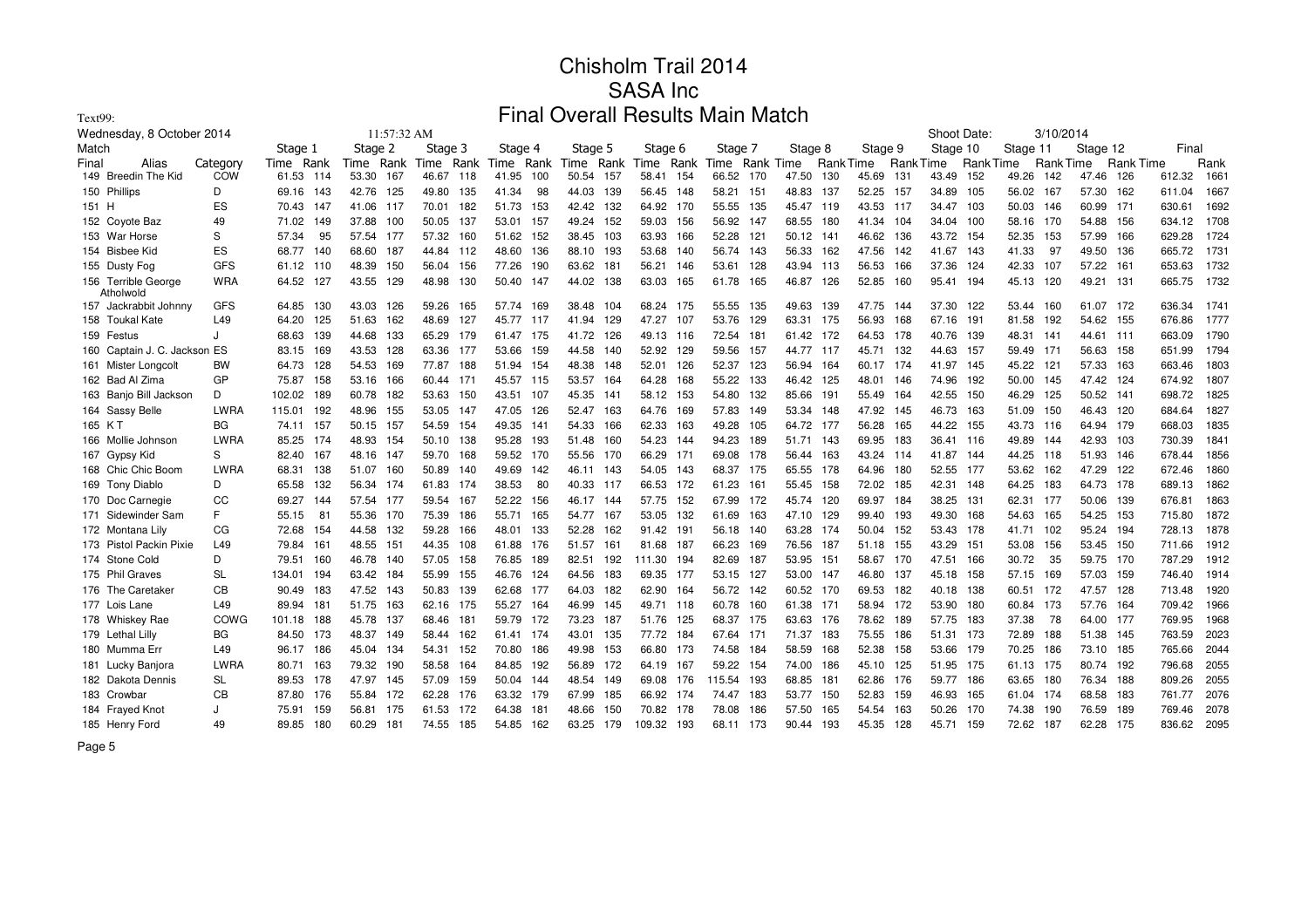| Text99:                          |                 |           |     |           |             |         |      | Final     |      |                |     |           |      | <b>Overall Results Main Match</b> |       |           |                  |         |                 |             |                 |          |           |           |                  |             |      |
|----------------------------------|-----------------|-----------|-----|-----------|-------------|---------|------|-----------|------|----------------|-----|-----------|------|-----------------------------------|-------|-----------|------------------|---------|-----------------|-------------|-----------------|----------|-----------|-----------|------------------|-------------|------|
| Wednesday, 8 October 2014        |                 |           |     |           | 11:57:32 AM |         |      |           |      |                |     |           |      |                                   |       |           |                  |         |                 | Shoot Date: |                 |          | 3/10/2014 |           |                  |             |      |
| Match                            |                 | Stage 1   |     | Stage 2   |             | Stage 3 |      | Stage 4   |      | Stage 5        |     | Stage 6   |      | Stage 7                           |       | Stage 8   |                  | Stage 9 |                 | Stage 10    |                 | Stage 11 |           | Stage 12  |                  | Final       |      |
| Final<br>Alias                   | Category        | Time Rank |     | Time Rank |             | Time    | Rank | Time Rank |      | Time Rank Time |     |           | Rank | Time                              |       | Rank Time | <b>Rank Time</b> |         | <b>RankTime</b> |             | <b>RankTime</b> |          | Rank Time |           | <b>Rank Time</b> |             | Rank |
| 149 Breedin The Kid              | COW             | 61.53     | 114 | 53.30     | 167         | 46.67   | 118  | 41.95     | 100  | 50.54          | 157 | 58.41     | 154  | 66.52                             | - 170 | 47.50     | 130              | 45.69   | 131             | 43.49       | 152             | 49.26    | 142       | 47.46     | 126              | 612.32      | 1661 |
| 150 Phillips                     | D               | 69.16 143 |     | 42.76 125 |             | 49.80   | 135  | 41.34     | 98   | 44.03 139      |     | 56.45     | 148  | 58.21                             | - 151 | 48.83     | 137              | 52.25   | 157             | 34.89       | 105             | 56.02    | 167       | 57.30 162 |                  | 611.04      | 1667 |
| 151 H                            | ES              | 70.43 147 |     | 41.06 117 |             | 70.01   | 182  | 51.73     | 153  | 42.42 132      |     | 64.92     | 170  | 55.55                             | - 135 | 45.47 119 |                  | 43.53   | 117             | 34.47       | 103             | 50.03    | 146       | 60.99 171 |                  | 630.61      | 1692 |
| 152 Coyote Baz                   | 49              | 71.02     | 149 | 37.88     | 100         | 50.05   | 137  | 53.01     | -157 | 49.24 152      |     | 59.03     | 156  | 56.92                             | -147  | 68.55     | 180              | 41.34   | 104             | 34.04       | 100             | 58.16    | 170       | 54.88 156 |                  | 634.12      | 1708 |
| 153 War Horse                    | S               | 57.34     | 95  | 57.54     | 177         | 57.32   | 160  | 51.62     | 152  | 38.45          | 103 | 63.93     | 166  | 52.28                             | - 121 | 50.12     | 141              | 46.62   | 136             | 43.72 154   |                 | 52.35    | 153       | 57.99     | 166              | 629.28      | 1724 |
| 154 Bisbee Kid                   | ES              | 68.77     | 140 | 68.60     | 187         | 44.84   | 112  | 48.60     | 136  | 88.10 193      |     | 53.68     | 140  | 56.74 143                         |       | 56.33     | 162              | 47.56   | 142             | 41.67       | 143             | 41.33    | 97        | 49.50     | 136              | 665.72      | 1731 |
| 155 Dusty Fog                    | <b>GFS</b>      | 61.12 110 |     | 48.39     | 150         | 56.04   | 156  | 77.26     | 190  | 63.62 181      |     | 56.21     | 146  | 53.61 128                         |       | 43.94 113 |                  | 56.53   | 166             | 37.36       | 124             | 42.33    | 107       | 57.22 161 |                  | 653.63      | 1732 |
| 156 Terrible George<br>Atholwold | <b>WRA</b>      | 64.52 127 |     | 43.55     | 129         | 48.98   | 130  | 50.40 147 |      | 44.02 138      |     | 63.03     | 165  | 61.78 165                         |       | 46.87     | 126              | 52.85   | 160             | 95.41       | 194             | 45.13    | 120       | 49.21 131 |                  | 665.75      | 1732 |
| 157 Jackrabbit Johnny            | GFS             | 64.85     | 130 | 43.03 126 |             | 59.26   | 165  | 57.74 169 |      | 38.48          | 104 | 68.24 175 |      | 55.55                             | 135   | 49.63     | 139              | 47.75   | 144             | 37.30       | 122             | 53.44    | 160       | 61.07 172 |                  | 636.34 1741 |      |
| 158 Toukal Kate                  | L49             | 64.20 125 |     | 51.63     | 162         | 48.69   | 127  | 45.77 117 |      | 41.94 129      |     | 47.27     | 107  | 53.76                             | 129   | 63.31     | 175              | 56.93   | 168             | 67.16       | 191             | 81.58    | 192       | 54.62 155 |                  | 676.86      | 1777 |
| 159 Festus                       | J               | 68.63     | 139 | 44.68     | 133         | 65.29   | 179  | 61.47 175 |      | 41.72          | 126 | 49.13     | 116  | 72.54                             | 181   | 61.42     | 172              | 64.53   | 178             | 40.76       | 139             | 48.31    | 141       | 44.61 111 |                  | 663.09      | 1790 |
| 160 Captain J. C. Jackson ES     |                 | 83.15     | 169 | 43.53     | 128         | 63.36   | 177  | 53.66     | 159  | 44.58          | 140 | 52.92     | 129  | 59.56                             | - 157 | 44.77     | 117              | 45.71   | 132             | 44.63       | - 157           | 59.49    | - 171     | 56.63 158 |                  | 651.99      | 1794 |
| 161 Mister Longcolt              | <b>BW</b>       | 64.73     | 128 | 54.53     | 169         | 77.87   | 188  | 51.94     | 154  | 48.38          | 148 | 52.01     | 126  | 52.37                             | 123   | 56.94     | 164              | 60.17   | 174             | 41.97       | - 145           | 45.22    | 121       | 57.33 163 |                  | 663.46      | 1803 |
| 162 Bad Al Zima                  | GP              | 75.87     | 158 | 53.16     | 166         | 60.44   | 171  | 45.57 115 |      | 53.57          | 164 | 64.28     | 168  | 55.22                             | 133   | 46.42     | 125              | 48.01   | 146             | 74.96       | 192             | 50.00    | 145       | 47.42 124 |                  | 674.92      | 1807 |
| 163 Banjo Bill Jackson           | D               | 102.02    | 189 | 60.78     | 182         | 53.63   | 150  | 43.51 107 |      | 45.35          | 141 | 58.12     | 153  | 54.80                             | 132   | 85.66     | 191              | 55.49   | 164             | 42.55       | 150             | 46.29    | 125       | 50.52 141 |                  | 698.72      | 1825 |
| 164 Sassy Belle                  | LWRA            | 115.01    | 192 | 48.96     | 155         | 53.05   | 147  | 47.05     | 126  | 52.47          | 163 | 64.76     | 169  | 57.83                             | 149   | 53.34     | 148              | 47.92   | 145             | 46.73       | 163             | 51.09    | 150       | 46.43 120 |                  | 684.64      | 1827 |
| 165 KT                           | <b>BG</b>       | 74.11 157 |     | 50.15     | 157         | 54.59   | 154  | 49.35     | 141  | 54.33          | 166 | 62.33     | 163  | 49.28                             | 105   | 64.72 177 |                  | 56.28   | 165             | 44.22       | 155             | 43.73    | 116       | 64.94 179 |                  | 668.03      | 1835 |
| 166 Mollie Johnson               | <b>LWRA</b>     | 85.25 174 |     | 48.93     | 154         | 50.10   | 138  | 95.28     | 193  | 51.48          | 160 | 54.23     | 144  | 94.23                             | 189   | 51.71 143 |                  | 69.95   | 183             | 36.41       | 116             | 49.89    | 144       | 42.93 103 |                  | 730.39      | 1841 |
| 167 Gypsy Kid                    | S               | 82.40 167 |     | 48.16 147 |             | 59.70   | 168  | 59.52 170 |      | 55.56 170      |     | 66.29     | 171  | 69.08 178                         |       | 56.44     | 163              | 43.24   | -114            | 41.87       | -144            | 44.25    | 118       | 51.93 146 |                  | 678.44      | 1856 |
| 168 Chic Chic Boom               | <b>LWRA</b>     | 68.31     | 138 | 51.07     | 160         | 50.89   | 140  | 49.69     | 142  | 46.11          | 143 | 54.05     | 143  | 68.37 175                         |       | 65.55     | 178              | 64.96   | 180             | 52.55       | 177             | 53.62    | 162       | 47.29 122 |                  | 672.46      | 1860 |
| 169 Tony Diablo                  | D               | 65.58     | 132 | 56.34     | 174         | 61.83   | 174  | 38.53     | 80   | 40.33 117      |     | 66.53     | 172  | 61.23                             | 161   | 55.45     | 158              | 72.02   | 185             | 42.31       | 148             | 64.25    | 183       | 64.73 178 |                  | 689.13      | 1862 |
| 170 Doc Carnegie                 | CC              | 69.27     | 144 | 57.54     | 177         | 59.54   | 167  | 52.22     | 156  | 46.17          | 144 | 57.75     | 152  | 67.99                             | 172   | 45.74     | 120              | 69.97   | 184             | 38.25       | 131             | 62.31    | 177       | 50.06 139 |                  | 676.81      | 1863 |
| 171 Sidewinder Sam               | F.              | 55.15     | -81 | 55.36     | 170         | 75.39   | 186  | 55.71     | 165  | 54.77          | 167 | 53.05     | 132  | 61.69                             | - 163 | 47.10     | 129              | 99.40   | 193             | 49.30       | 168             | 54.63    | 165       | 54.25 153 |                  | 715.80      | 1872 |
| 172 Montana Lily                 | CG              | 72.68     | 154 | 44.58     | 132         | 59.28   | 166  | 48.01     | 133  | 52.28          | 162 | 91.42     | 191  | 56.18 140                         |       | 63.28     | 174              | 50.04   | 152             | 53.43 178   |                 | 41.71    | 102       | 95.24 194 |                  | 728.13      | 1878 |
| 173 Pistol Packin Pixie          | L <sub>49</sub> | 79.84     | 161 | 48.55     | 151         | 44.35   | 108  | 61.88     | 176  | 51.57          | 161 | 81.68     | 187  | 66.23                             | 169   | 76.56     | 187              | 51.18   | 155             | 43.29       | 151             | 53.08    | 156       | 53.45 150 |                  | 711.66      | 1912 |
| 174 Stone Cold                   | D               | 79.51     | 160 | 46.78     | 140         | 57.05   | 158  | 76.85     | 189  | 82.51          | 192 | 111.30    | 194  | 82.69                             | 187   | 53.95     | 151              | 58.67   | 170             | 47.51       | 166             | 30.72    | 35        | 59.75 170 |                  | 787.29      | 1912 |
| 175 Phil Graves                  | <b>SL</b>       | 134.01    | 194 | 63.42 184 |             | 55.99   | 155  | 46.76     | 124  | 64.56          | 183 | 69.35     | 177  | 53.15                             | 127   | 53.00     | 147              | 46.80   | 137             | 45.18       | 158             | 57.15    | 169       | 57.03 159 |                  | 746.40      | 1914 |
| 176 The Caretaker                | CВ              | 90.49     | 183 | 47.52 143 |             | 50.83   | 139  | 62.68     | 177  | 64.03          | 182 | 62.90     | 164  | 56.72 142                         |       | 60.52     | 170              | 69.53   | 182             | 40.18       | 138             | 60.51    | 172       | 47.57 128 |                  | 713.48      | 1920 |
| 177 Lois Lane                    | L49             | 89.94     | 181 | 51.75     | 163         | 62.16   | 175  | 55.27 164 |      | 46.99          | 145 | 49.71     | 118  | 60.78 160                         |       | 61.38     | 171              | 58.94   | 172             | 53.90       | 180             | 60.84    | 173       | 57.76 164 |                  | 709.42      | 1966 |
| 178 Whiskey Rae                  | COWG            | 101.18    | 188 | 45.78     | 137         | 68.46   | 181  | 59.79     | 172  | 73.23          | 187 | 51.76     | 125  | 68.37 175                         |       | 63.63     | 176              | 78.62   | 189             | 57.75       | 183             | 37.38    | 78        | 64.00 177 |                  | 769.95      | 1968 |
| 179 Lethal Lilly                 | <b>BG</b>       | 84.50     | 173 | 48.37     | 149         | 58.44   | 162  | 61.41 174 |      | 43.01          | 135 | 77.72     | 184  | 67.64 171                         |       | 71.37     | 183              | 75.55   | 186             | 51.31       | 173             | 72.89    | 188       | 51.38 145 |                  | 763.59      | 2023 |
| 180 Mumma Err                    | L49             | 96.17 186 |     | 45.04     | 134         | 54.31   | 152  | 70.80     | 186  | 49.98          | 153 | 66.80     | 173  | 74.58                             | 184   | 58.59     | 168              | 52.38   | 158             | 53.66       | 179             | 70.25    | 186       | 73.10 185 |                  | 765.66      | 2044 |
| 181 Lucky Banjora                | <b>LWRA</b>     | 80.71     | 163 | 79.32     | 190         | 58.58   | 164  | 84.85     | 192  | 56.89 172      |     | 64.19     | 167  | 59.22 154                         |       | 74.00     | 186              | 45.10   | 125             | 51.95       | 175             | 61.13    | 175       | 80.74 192 |                  | 796.68      | 2055 |
| 182 Dakota Dennis                | <b>SL</b>       | 89.53     | 178 | 47.97     | 145         | 57.09   | 159  | 50.04 144 |      | 48.54 149      |     | 69.08     | 176  | 115.54                            | 193   | 68.85     | 181              | 62.86   | 176             | 59.77 186   |                 | 63.65    | 180       | 76.34 188 |                  | 809.26      | 2055 |
| 183 Crowbar                      | CB              | 87.80     | 176 | 55.84     | 172         | 62.28   | 176  | 63.32     | 179  | 67.99          | 185 | 66.92     | 174  | 74.47                             | 183   | 53.77     | 150              | 52.83   | 159             | 46.93       | 165             | 61.04    | 174       | 68.58     | 183              | 761.77      | 2076 |
| 184 Frayed Knot                  | J               | 75.91     | 159 | 56.81     | 175         | 61.53   | 172  | 64.38     | 181  | 48.66          | 150 | 70.82     | 178  | 78.08                             | 186   | 57.50     | 165              | 54.54   | 163             | 50.26       | 170             | 74.38    | 190       | 76.59     | 189              | 769.46      | 2078 |
| 185 Henry Ford                   | 49              | 89.85     | 180 | 60.29     | 181         | 74.55   | 185  | 54.85     | 162  | 63.25          | 179 | 109.32    | 193  | 68.11                             | 173   | 90.44     | 193              | 45.35   | 128             | 45.71       | 159             | 72.62    | 187       | 62.28 175 |                  | 836.62      | 2095 |